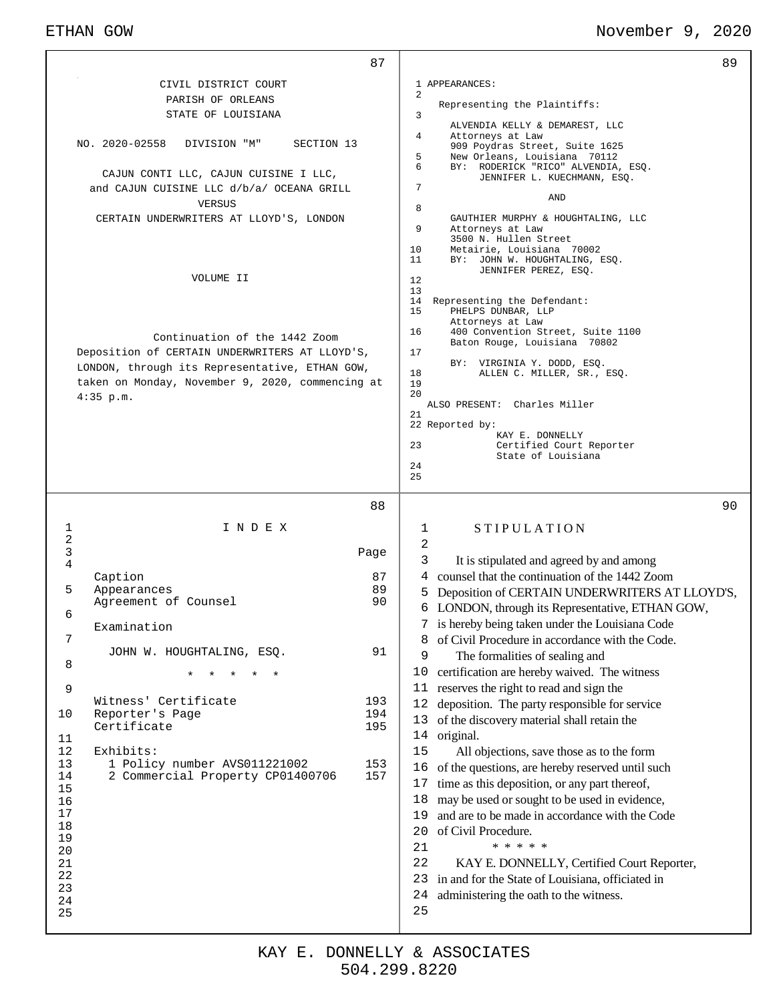## ETHAN GOW **November 9, 2020**

|                                                                                                     |                                                                                                                                                                                       | 87                | 89                                                                                                                                                                                                                                                                                                                                                                                                                                                                                                                                                                   |
|-----------------------------------------------------------------------------------------------------|---------------------------------------------------------------------------------------------------------------------------------------------------------------------------------------|-------------------|----------------------------------------------------------------------------------------------------------------------------------------------------------------------------------------------------------------------------------------------------------------------------------------------------------------------------------------------------------------------------------------------------------------------------------------------------------------------------------------------------------------------------------------------------------------------|
|                                                                                                     | CIVIL DISTRICT COURT                                                                                                                                                                  |                   | 1 APPEARANCES:                                                                                                                                                                                                                                                                                                                                                                                                                                                                                                                                                       |
|                                                                                                     | PARISH OF ORLEANS                                                                                                                                                                     |                   | 2<br>Representing the Plaintiffs:                                                                                                                                                                                                                                                                                                                                                                                                                                                                                                                                    |
|                                                                                                     | STATE OF LOUISIANA                                                                                                                                                                    |                   | 3<br>ALVENDIA KELLY & DEMAREST, LLC                                                                                                                                                                                                                                                                                                                                                                                                                                                                                                                                  |
| NO. 2020-02558                                                                                      | SECTION 13<br>DIVISION "M"                                                                                                                                                            |                   | 4<br>Attorneys at Law<br>909 Poydras Street, Suite 1625<br>5<br>New Orleans, Louisiana 70112<br>6<br>BY: RODERICK "RICO" ALVENDIA, ESQ.                                                                                                                                                                                                                                                                                                                                                                                                                              |
|                                                                                                     | CAJUN CONTI LLC, CAJUN CUISINE I LLC,<br>and CAJUN CUISINE LLC d/b/a/ OCEANA GRILL<br>VERSUS                                                                                          |                   | JENNIFER L. KUECHMANN, ESQ.<br>7<br><b>AND</b><br>8                                                                                                                                                                                                                                                                                                                                                                                                                                                                                                                  |
|                                                                                                     | CERTAIN UNDERWRITERS AT LLOYD'S, LONDON                                                                                                                                               |                   | GAUTHIER MURPHY & HOUGHTALING, LLC<br>9<br>Attorneys at Law<br>3500 N. Hullen Street<br>10<br>Metairie, Louisiana 70002<br>11<br>BY: JOHN W. HOUGHTALING, ESQ.<br>JENNIFER PEREZ, ESQ.                                                                                                                                                                                                                                                                                                                                                                               |
|                                                                                                     | VOLUME II                                                                                                                                                                             |                   | 12<br>13<br>14<br>Representing the Defendant:<br>15<br>PHELPS DUNBAR, LLP<br>Attorneys at Law                                                                                                                                                                                                                                                                                                                                                                                                                                                                        |
| $4:35$ p.m.                                                                                         | Continuation of the 1442 Zoom<br>Deposition of CERTAIN UNDERWRITERS AT LLOYD'S,<br>LONDON, through its Representative, ETHAN GOW,<br>taken on Monday, November 9, 2020, commencing at |                   | 16<br>400 Convention Street, Suite 1100<br>Baton Rouge, Louisiana 70802<br>17<br>BY: VIRGINIA Y. DODD, ESQ.<br>18<br>ALLEN C. MILLER, SR., ESQ.<br>19<br>20<br>ALSO PRESENT: Charles Miller<br>21<br>22 Reported by:                                                                                                                                                                                                                                                                                                                                                 |
|                                                                                                     |                                                                                                                                                                                       |                   | KAY E. DONNELLY<br>23<br>Certified Court Reporter<br>State of Louisiana<br>24<br>25                                                                                                                                                                                                                                                                                                                                                                                                                                                                                  |
|                                                                                                     |                                                                                                                                                                                       | 88                | 90                                                                                                                                                                                                                                                                                                                                                                                                                                                                                                                                                                   |
| $\mathbf{1}$<br>$\sqrt{2}$<br>$\mathsf{3}$                                                          | INDEX                                                                                                                                                                                 | Page              | <b>STIPULATION</b><br>1<br>2<br>3<br>It is stipulated and agreed by and among                                                                                                                                                                                                                                                                                                                                                                                                                                                                                        |
| $\,4$<br>Caption                                                                                    |                                                                                                                                                                                       | 87                | counsel that the continuation of the 1442 Zoom<br>4                                                                                                                                                                                                                                                                                                                                                                                                                                                                                                                  |
| 5                                                                                                   | Appearances                                                                                                                                                                           | 89                | Deposition of CERTAIN UNDERWRITERS AT LLOYD'S,<br>5                                                                                                                                                                                                                                                                                                                                                                                                                                                                                                                  |
| 6                                                                                                   | Agreement of Counsel                                                                                                                                                                  | 90                | 6 LONDON, through its Representative, ETHAN GOW,                                                                                                                                                                                                                                                                                                                                                                                                                                                                                                                     |
|                                                                                                     | Examination                                                                                                                                                                           |                   | 7 is hereby being taken under the Louisiana Code                                                                                                                                                                                                                                                                                                                                                                                                                                                                                                                     |
| 7                                                                                                   | JOHN W. HOUGHTALING, ESQ.                                                                                                                                                             | 91                | of Civil Procedure in accordance with the Code.<br>8                                                                                                                                                                                                                                                                                                                                                                                                                                                                                                                 |
| 8                                                                                                   |                                                                                                                                                                                       |                   | 9<br>The formalities of sealing and                                                                                                                                                                                                                                                                                                                                                                                                                                                                                                                                  |
| 9                                                                                                   | $^\star$                                                                                                                                                                              |                   | 10<br>certification are hereby waived. The witness<br>reserves the right to read and sign the<br>11                                                                                                                                                                                                                                                                                                                                                                                                                                                                  |
|                                                                                                     | Witness' Certificate                                                                                                                                                                  | 193               | 12<br>deposition. The party responsible for service                                                                                                                                                                                                                                                                                                                                                                                                                                                                                                                  |
| 10                                                                                                  | Reporter's Page                                                                                                                                                                       | 194               | 13                                                                                                                                                                                                                                                                                                                                                                                                                                                                                                                                                                   |
| 11<br>12<br>Exhibits:<br>13<br>14<br>15<br>16<br>17<br>18<br>19<br>20<br>21<br>22<br>23<br>24<br>25 | Certificate<br>1 Policy number AVS011221002<br>2 Commercial Property CP01400706                                                                                                       | 195<br>153<br>157 | of the discovery material shall retain the<br>original.<br>14<br>15<br>All objections, save those as to the form<br>of the questions, are hereby reserved until such<br>16<br>time as this deposition, or any part thereof,<br>17<br>may be used or sought to be used in evidence,<br>18<br>and are to be made in accordance with the Code<br>19<br>of Civil Procedure.<br>20<br>* * * * *<br>21<br>22<br>KAY E. DONNELLY, Certified Court Reporter,<br>in and for the State of Louisiana, officiated in<br>23<br>administering the oath to the witness.<br>24<br>25 |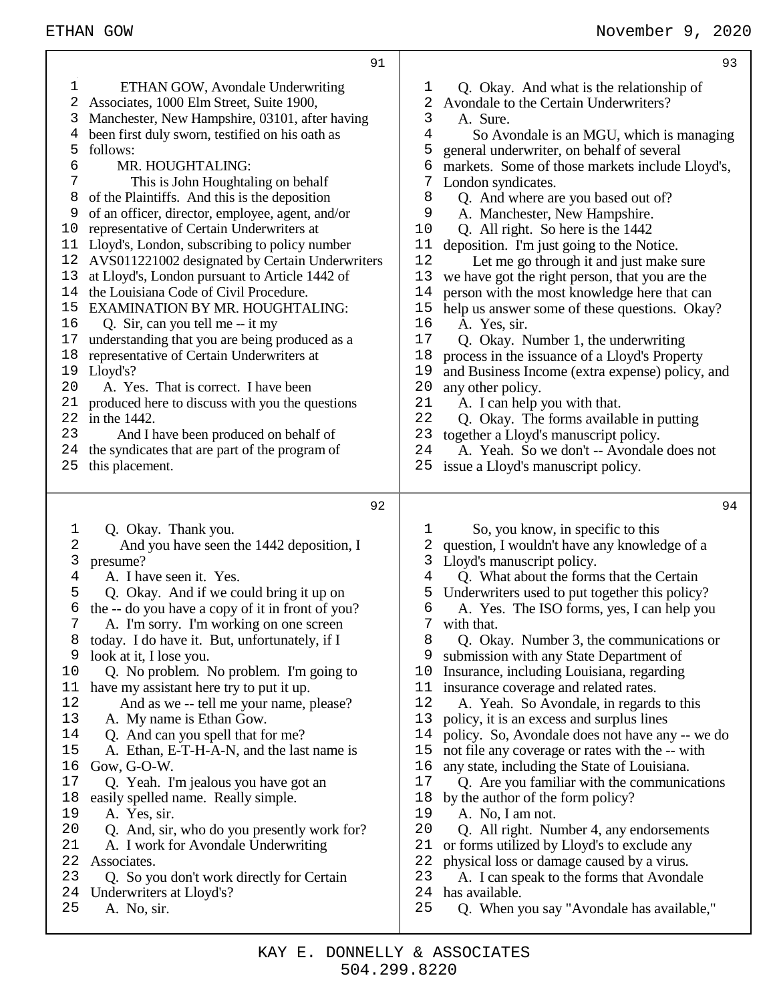**Q** 1

| 1<br>$\overline{2}$<br>3<br>4<br>5<br>6<br>7<br>8<br>9<br>10<br>11<br>12<br>13<br>14<br>15<br>16<br>17<br>18<br>19<br>20<br>21<br>22<br>23<br>24 | ETHAN GOW, Avondale Underwriting<br>Associates, 1000 Elm Street, Suite 1900,<br>Manchester, New Hampshire, 03101, after having<br>been first duly sworn, testified on his oath as<br>follows:<br>MR. HOUGHTALING:<br>This is John Houghtaling on behalf<br>of the Plaintiffs. And this is the deposition<br>of an officer, director, employee, agent, and/or<br>representative of Certain Underwriters at<br>Lloyd's, London, subscribing to policy number<br>AVS011221002 designated by Certain Underwriters<br>at Lloyd's, London pursuant to Article 1442 of<br>the Louisiana Code of Civil Procedure.<br><b>EXAMINATION BY MR. HOUGHTALING:</b><br>Q. Sir, can you tell me -- it my<br>understanding that you are being produced as a<br>representative of Certain Underwriters at<br>Lloyd's?<br>A. Yes. That is correct. I have been<br>produced here to discuss with you the questions<br>in the 1442.<br>And I have been produced on behalf of<br>the syndicates that are part of the program of | 1<br>2<br>3<br>4<br>5<br>6<br>7<br>8<br>9<br>10<br>11<br>12<br>13<br>14<br>15<br>16<br>17<br>18<br>19<br>20<br>21<br>22<br>23<br>24 | Q. Okay<br>Avondale t<br>A. Sure<br>So Ay<br>general un<br>markets. S<br>London sy<br>Q. And<br>A. Man<br>Q. All r<br>deposition.<br>Let m<br>we have go<br>person with<br>help us ans<br>A. Yes,<br>Q. Okay<br>process in<br>and Busine<br>any other p<br>A. I can<br>Q. Okay<br>together a<br>A. Yeal |
|--------------------------------------------------------------------------------------------------------------------------------------------------|----------------------------------------------------------------------------------------------------------------------------------------------------------------------------------------------------------------------------------------------------------------------------------------------------------------------------------------------------------------------------------------------------------------------------------------------------------------------------------------------------------------------------------------------------------------------------------------------------------------------------------------------------------------------------------------------------------------------------------------------------------------------------------------------------------------------------------------------------------------------------------------------------------------------------------------------------------------------------------------------------------|-------------------------------------------------------------------------------------------------------------------------------------|---------------------------------------------------------------------------------------------------------------------------------------------------------------------------------------------------------------------------------------------------------------------------------------------------------|
| 25                                                                                                                                               | this placement.                                                                                                                                                                                                                                                                                                                                                                                                                                                                                                                                                                                                                                                                                                                                                                                                                                                                                                                                                                                          | 25                                                                                                                                  | issue a Llo                                                                                                                                                                                                                                                                                             |
|                                                                                                                                                  | 92                                                                                                                                                                                                                                                                                                                                                                                                                                                                                                                                                                                                                                                                                                                                                                                                                                                                                                                                                                                                       |                                                                                                                                     |                                                                                                                                                                                                                                                                                                         |
|                                                                                                                                                  |                                                                                                                                                                                                                                                                                                                                                                                                                                                                                                                                                                                                                                                                                                                                                                                                                                                                                                                                                                                                          |                                                                                                                                     |                                                                                                                                                                                                                                                                                                         |
| 1<br>2                                                                                                                                           | Q. Okay. Thank you.<br>And you have seen the 1442 deposition, I                                                                                                                                                                                                                                                                                                                                                                                                                                                                                                                                                                                                                                                                                                                                                                                                                                                                                                                                          | 1<br>2                                                                                                                              | So, yo<br>question, I                                                                                                                                                                                                                                                                                   |
| 3                                                                                                                                                | presume?                                                                                                                                                                                                                                                                                                                                                                                                                                                                                                                                                                                                                                                                                                                                                                                                                                                                                                                                                                                                 | 3                                                                                                                                   | Lloyd's ma                                                                                                                                                                                                                                                                                              |
| 4                                                                                                                                                | A. I have seen it. Yes.                                                                                                                                                                                                                                                                                                                                                                                                                                                                                                                                                                                                                                                                                                                                                                                                                                                                                                                                                                                  | 4                                                                                                                                   | Q. Wha                                                                                                                                                                                                                                                                                                  |
| 5                                                                                                                                                | Q. Okay. And if we could bring it up on                                                                                                                                                                                                                                                                                                                                                                                                                                                                                                                                                                                                                                                                                                                                                                                                                                                                                                                                                                  | 5                                                                                                                                   | Underwrite                                                                                                                                                                                                                                                                                              |
| 6                                                                                                                                                | the -- do you have a copy of it in front of you?                                                                                                                                                                                                                                                                                                                                                                                                                                                                                                                                                                                                                                                                                                                                                                                                                                                                                                                                                         | 6                                                                                                                                   | A. Yes.                                                                                                                                                                                                                                                                                                 |
| 7                                                                                                                                                | A. I'm sorry. I'm working on one screen                                                                                                                                                                                                                                                                                                                                                                                                                                                                                                                                                                                                                                                                                                                                                                                                                                                                                                                                                                  | 7                                                                                                                                   | with that.                                                                                                                                                                                                                                                                                              |
| 8                                                                                                                                                | today. I do have it. But, unfortunately, if I                                                                                                                                                                                                                                                                                                                                                                                                                                                                                                                                                                                                                                                                                                                                                                                                                                                                                                                                                            | 8                                                                                                                                   | Q. Okay                                                                                                                                                                                                                                                                                                 |
| 9                                                                                                                                                | look at it, I lose you.                                                                                                                                                                                                                                                                                                                                                                                                                                                                                                                                                                                                                                                                                                                                                                                                                                                                                                                                                                                  | 9                                                                                                                                   | submission                                                                                                                                                                                                                                                                                              |
| 10                                                                                                                                               | Q. No problem. No problem. I'm going to                                                                                                                                                                                                                                                                                                                                                                                                                                                                                                                                                                                                                                                                                                                                                                                                                                                                                                                                                                  | 10                                                                                                                                  | Insurance,                                                                                                                                                                                                                                                                                              |
| 11                                                                                                                                               | have my assistant here try to put it up.                                                                                                                                                                                                                                                                                                                                                                                                                                                                                                                                                                                                                                                                                                                                                                                                                                                                                                                                                                 | 11                                                                                                                                  | insurance o                                                                                                                                                                                                                                                                                             |
| 12                                                                                                                                               | And as we -- tell me your name, please?                                                                                                                                                                                                                                                                                                                                                                                                                                                                                                                                                                                                                                                                                                                                                                                                                                                                                                                                                                  | 12                                                                                                                                  | A. Yeal                                                                                                                                                                                                                                                                                                 |
| 13                                                                                                                                               | A. My name is Ethan Gow.                                                                                                                                                                                                                                                                                                                                                                                                                                                                                                                                                                                                                                                                                                                                                                                                                                                                                                                                                                                 | 13                                                                                                                                  | policy, it is                                                                                                                                                                                                                                                                                           |
| 14                                                                                                                                               | Q. And can you spell that for me?                                                                                                                                                                                                                                                                                                                                                                                                                                                                                                                                                                                                                                                                                                                                                                                                                                                                                                                                                                        | 14                                                                                                                                  | policy. So                                                                                                                                                                                                                                                                                              |
| 15                                                                                                                                               | A. Ethan, E-T-H-A-N, and the last name is                                                                                                                                                                                                                                                                                                                                                                                                                                                                                                                                                                                                                                                                                                                                                                                                                                                                                                                                                                | 15                                                                                                                                  | not file any                                                                                                                                                                                                                                                                                            |
| 16                                                                                                                                               | Gow, G-O-W.                                                                                                                                                                                                                                                                                                                                                                                                                                                                                                                                                                                                                                                                                                                                                                                                                                                                                                                                                                                              | 16                                                                                                                                  | any state, i                                                                                                                                                                                                                                                                                            |
| 17                                                                                                                                               | Q. Yeah. I'm jealous you have got an                                                                                                                                                                                                                                                                                                                                                                                                                                                                                                                                                                                                                                                                                                                                                                                                                                                                                                                                                                     | 17                                                                                                                                  | Q. Are $\overline{S}$                                                                                                                                                                                                                                                                                   |
| 18<br>19                                                                                                                                         | easily spelled name. Really simple.                                                                                                                                                                                                                                                                                                                                                                                                                                                                                                                                                                                                                                                                                                                                                                                                                                                                                                                                                                      | 18<br>19                                                                                                                            | by the auth                                                                                                                                                                                                                                                                                             |
| 20                                                                                                                                               | A. Yes, sir.<br>Q. And, sir, who do you presently work for?                                                                                                                                                                                                                                                                                                                                                                                                                                                                                                                                                                                                                                                                                                                                                                                                                                                                                                                                              | 20                                                                                                                                  | A. No, l<br>Q. All r                                                                                                                                                                                                                                                                                    |
| 21                                                                                                                                               | A. I work for Avondale Underwriting                                                                                                                                                                                                                                                                                                                                                                                                                                                                                                                                                                                                                                                                                                                                                                                                                                                                                                                                                                      | 21                                                                                                                                  | or forms ut                                                                                                                                                                                                                                                                                             |
| 22                                                                                                                                               | Associates.                                                                                                                                                                                                                                                                                                                                                                                                                                                                                                                                                                                                                                                                                                                                                                                                                                                                                                                                                                                              | 22                                                                                                                                  | physical lo                                                                                                                                                                                                                                                                                             |
| 23                                                                                                                                               | Q. So you don't work directly for Certain                                                                                                                                                                                                                                                                                                                                                                                                                                                                                                                                                                                                                                                                                                                                                                                                                                                                                                                                                                | 23                                                                                                                                  | A. I can                                                                                                                                                                                                                                                                                                |
| 24                                                                                                                                               | Underwriters at Lloyd's?                                                                                                                                                                                                                                                                                                                                                                                                                                                                                                                                                                                                                                                                                                                                                                                                                                                                                                                                                                                 | 24                                                                                                                                  | has availab                                                                                                                                                                                                                                                                                             |
|                                                                                                                                                  |                                                                                                                                                                                                                                                                                                                                                                                                                                                                                                                                                                                                                                                                                                                                                                                                                                                                                                                                                                                                          |                                                                                                                                     |                                                                                                                                                                                                                                                                                                         |
| 25                                                                                                                                               | A. No, sir.                                                                                                                                                                                                                                                                                                                                                                                                                                                                                                                                                                                                                                                                                                                                                                                                                                                                                                                                                                                              | 25                                                                                                                                  | Q. Whe                                                                                                                                                                                                                                                                                                  |

| 1  | Q. Okay. And what is the relationship of        |
|----|-------------------------------------------------|
| 2  | Avondale to the Certain Underwriters?           |
| 3  | A. Sure.                                        |
| 4  | So Avondale is an MGU, which is managing        |
| 5  | general underwriter, on behalf of several       |
| 6  | markets. Some of those markets include Lloyd's, |
| 7  | London syndicates.                              |
| 8  | Q. And where are you based out of?              |
| 9  | A. Manchester, New Hampshire.                   |
| 10 | Q. All right. So here is the 1442               |
| 11 | deposition. I'm just going to the Notice.       |
| 12 | Let me go through it and just make sure         |
| 13 | we have got the right person, that you are the  |
| 14 | person with the most knowledge here that can    |
| 15 | help us answer some of these questions. Okay?   |
| 16 | A. Yes, sir.                                    |
| 17 | Q. Okay. Number 1, the underwriting             |
| 18 | process in the issuance of a Lloyd's Property   |
| 19 | and Business Income (extra expense) policy, and |
| 20 | any other policy.                               |
| 21 | A. I can help you with that.                    |
| 22 | Q. Okay. The forms available in putting         |
| 23 | together a Lloyd's manuscript policy.           |

- h. So we don't -- Avondale does not
- yd's manuscript policy.
- 
- bu know, in specific to this wouldn't have any knowledge of a muscript policy. it about the forms that the Certain ers used to put together this policy? The ISO forms, yes, I can help you y. Number 3, the communications or 1 with any State Department of including Louisiana, regarding coverage and related rates. h. So Avondale, in regards to this s an excess and surplus lines , Avondale does not have any -- we do y coverage or rates with the -- with ncluding the State of Louisiana. you familiar with the communications 18 hor of the form policy? I am not. ight. Number 4, any endorsements tilized by Lloyd's to exclude any ss or damage caused by a virus.
- 1 speak to the forms that Avondale
- $l$ e.
- When you say "Avondale has available,"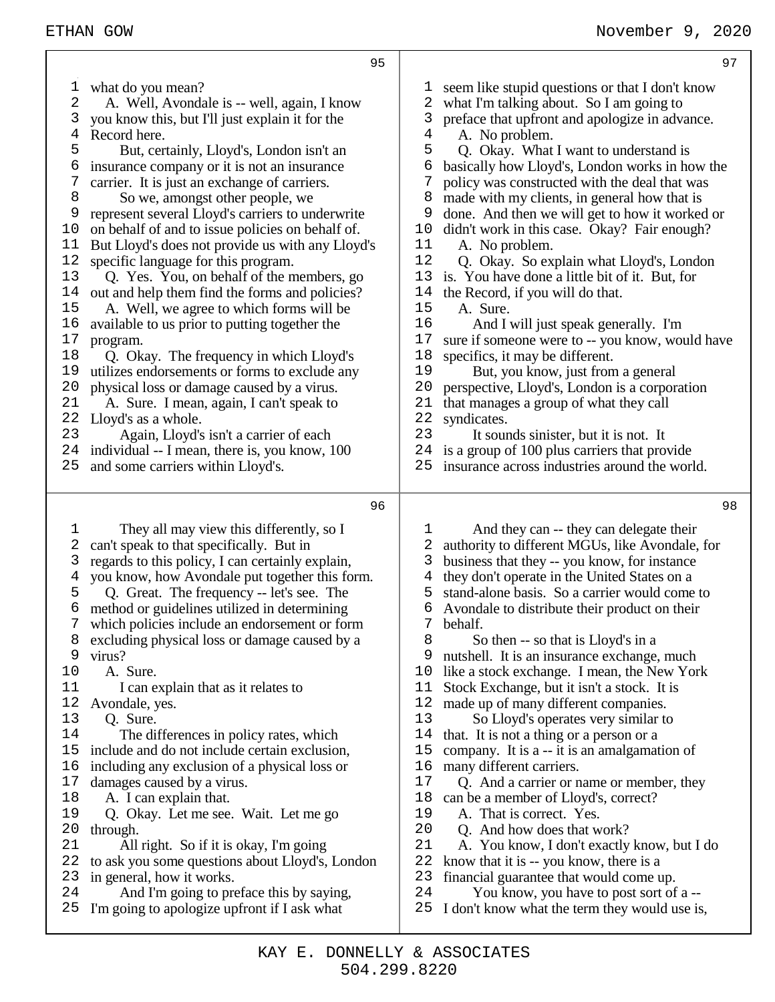1 what do you mean?<br>2 A. Well. Avonda A. Well, Avondale is -- well, again, I know you know this, but I'll just explain it for the Record here. But, certainly, Lloyd's, London isn't an insurance company or it is not an insurance<br>7 carrier. It is just an exchange of carriers. carrier. It is just an exchange of carriers. So we, amongst other people, we represent several Lloyd's carriers to underwrite on behalf of and to issue policies on behalf of. But Lloyd's does not provide us with any Lloyd's specific language for this program. Q. Yes. You, on behalf of the members, go out and help them find the forms and policies? A. Well, we agree to which forms will be available to us prior to putting together the 17 program.<br>18 O. Ok. Q. Okay. The frequency in which Lloyd's utilizes endorsements or forms to exclude any 20 physical loss or damage caused by a virus.<br>21 A. Sure. I mean, again, I can't speak to A. Sure. I mean, again, I can't speak to Lloyd's as a whole. Again, Lloyd's isn't a carrier of each individual -- I mean, there is, you know, 100 and some carriers within Lloyd's. They all may view this differently, so I can't speak to that specifically. But in regards to this policy, I can certainly explain, you know, how Avondale put together this form. Q. Great. The frequency -- let's see. The method or guidelines utilized in determining which policies include an endorsement or form 8 excluding physical loss or damage caused by a<br>9 virus? virus? A. Sure. 11 I can explain that as it relates to Avondale, yes. Q. Sure. The differences in policy rates, which include and do not include certain exclusion, including any exclusion of a physical loss or damages caused by a virus. A. I can explain that. Q. Okay. Let me see. Wait. Let me go through. All right. So if it is okay, I'm going to ask you some questions about Lloyd's, London 23 in general, how it works.<br>24 And I'm going to pro And I'm going to preface this by saying, seem like stupid questions or that I don't know what I'm talking about. So I am going to preface that upfront and apologize in advance. A. No problem. Q. Okay. What I want to understand is basically how Lloyd's, London works in how the policy was constructed with the deal that was made with my clients, in general how that is done. And then we will get to how it worked or didn't work in this case. Okay? Fair enough? A. No problem. Q. Okay. So explain what Lloyd's, London is. You have done a little bit of it. But, for the Record, if you will do that. A. Sure. And I will just speak generally. I'm sure if someone were to -- you know, would have specifics, it may be different. 19 But, you know, just from a general<br>20 nerspective. Llovd's. London is a corpor perspective, Lloyd's, London is a corporation that manages a group of what they call 22 syndicates.<br>23 It sour It sounds sinister, but it is not. It is a group of 100 plus carriers that provide insurance across industries around the world. And they can -- they can delegate their authority to different MGUs, like Avondale, for business that they -- you know, for instance they don't operate in the United States on a stand-alone basis. So a carrier would come to Avondale to distribute their product on their behalf. So then -- so that is Lloyd's in a nutshell. It is an insurance exchange, much like a stock exchange. I mean, the New York Stock Exchange, but it isn't a stock. It is made up of many different companies. So Lloyd's operates very similar to that. It is not a thing or a person or a 15 company. It is a -- it is an amalgamation of 16 many different carriers. many different carriers. Q. And a carrier or name or member, they can be a member of Lloyd's, correct? 19 A. That is correct. Yes.<br>20 O And how does that w Q. And how does that work? A. You know, I don't exactly know, but I do 22 know that it is -- you know, there is a<br>23 financial guarantee that would come u 23 financial guarantee that would come up.<br>24 You know, you have to post sort of You know, you have to post sort of a --

- I'm going to apologize upfront if I ask what
- I don't know what the term they would use is,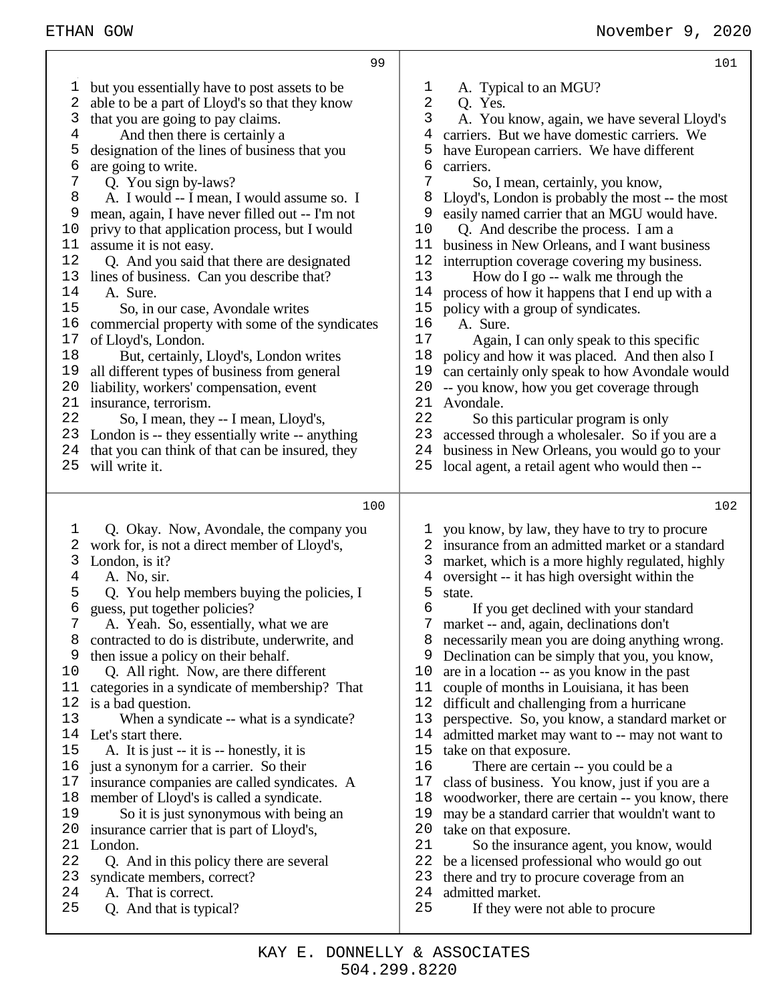but you essentially have to post assets to be able to be a part of Lloyd's so that they know that you are going to pay claims. And then there is certainly a designation of the lines of business that you  $\begin{matrix}6\\7\end{matrix}$  are going to write.<br>  $\begin{matrix}7\\0\end{matrix}$  O. You sign by Q. You sign by-laws? A. I would -- I mean, I would assume so. I mean, again, I have never filled out -- I'm not 10 privy to that application process, but I would<br>11 assume it is not easy. assume it is not easy. Q. And you said that there are designated 13 lines of business. Can you describe that?<br>14 A Sure A. Sure.<br>15 So. in So, in our case, Avondale writes commercial property with some of the syndicates 17 of Lloyd's, London.<br>18 But. certainly. But, certainly, Lloyd's, London writes all different types of business from general 20 liability, workers' compensation, event 21 insurance, terrorism. 21 insurance, terrorism.<br>22 So I mean, they So, I mean, they -- I mean, Lloyd's, London is -- they essentially write -- anything that you can think of that can be insured, they will write it. Q. Okay. Now, Avondale, the company you work for, is not a direct member of Lloyd's, 3 London, is it?<br>4 A. No. sir. A. No, sir. Q. You help members buying the policies, I guess, put together policies? A. Yeah. So, essentially, what we are contracted to do is distribute, underwrite, and then issue a policy on their behalf. Q. All right. Now, are there different categories in a syndicate of membership? That is a bad question. 13 When a syndicate -- what is a syndicate? 14 Let's start there.<br>15 A. It is just --A. It is just  $-$  it is  $-$  honestly, it is just a synonym for a carrier. So their insurance companies are called syndicates. A member of Lloyd's is called a syndicate. So it is just synonymous with being an insurance carrier that is part of Lloyd's, London. Q. And in this policy there are several syndicate members, correct? A. That is correct. Q. And that is typical?  $\frac{1}{2}$  A. Typical to an MGU? 2 Q. Yes.<br>3 A. You A. You know, again, we have several Lloyd's carriers. But we have domestic carriers. We have European carriers. We have different 6 carriers.<br>7 So. So, I mean, certainly, you know, Lloyd's, London is probably the most -- the most 9 easily named carrier that an MGU would have.<br>10 O. And describe the process. I am a Q. And describe the process. I am a business in New Orleans, and I want business interruption coverage covering my business. 13 How do I go -- walk me through the 14 process of how it happens that I end up w process of how it happens that I end up with a policy with a group of syndicates. 16 A. Sure.<br>17 Again. 17 Again, I can only speak to this specific<br>18 nolicy and how it was placed. And then also policy and how it was placed. And then also I can certainly only speak to how Avondale would 20 -- you know, how you get coverage through 21 Avondale. 21 Avondale.<br>22 So the So this particular program is only accessed through a wholesaler. So if you are a business in New Orleans, you would go to your local agent, a retail agent who would then -- you know, by law, they have to try to procure insurance from an admitted market or a standard market, which is a more highly regulated, highly oversight -- it has high oversight within the state. If you get declined with your standard market -- and, again, declinations don't necessarily mean you are doing anything wrong. 9 Declination can be simply that you, you know,<br>10 are in a location -- as you know in the past are in a location -- as you know in the past couple of months in Louisiana, it has been difficult and challenging from a hurricane perspective. So, you know, a standard market or 14 admitted market may want to -- may not want to 15 take on that exposure. take on that exposure. There are certain -- you could be a class of business. You know, just if you are a woodworker, there are certain -- you know, there 19 may be a standard carrier that wouldn't want to 20 take on that exposure 20 take on that exposure.<br>21 So the insurance So the insurance agent, you know, would be a licensed professional who would go out there and try to procure coverage from an admitted market. If they were not able to procure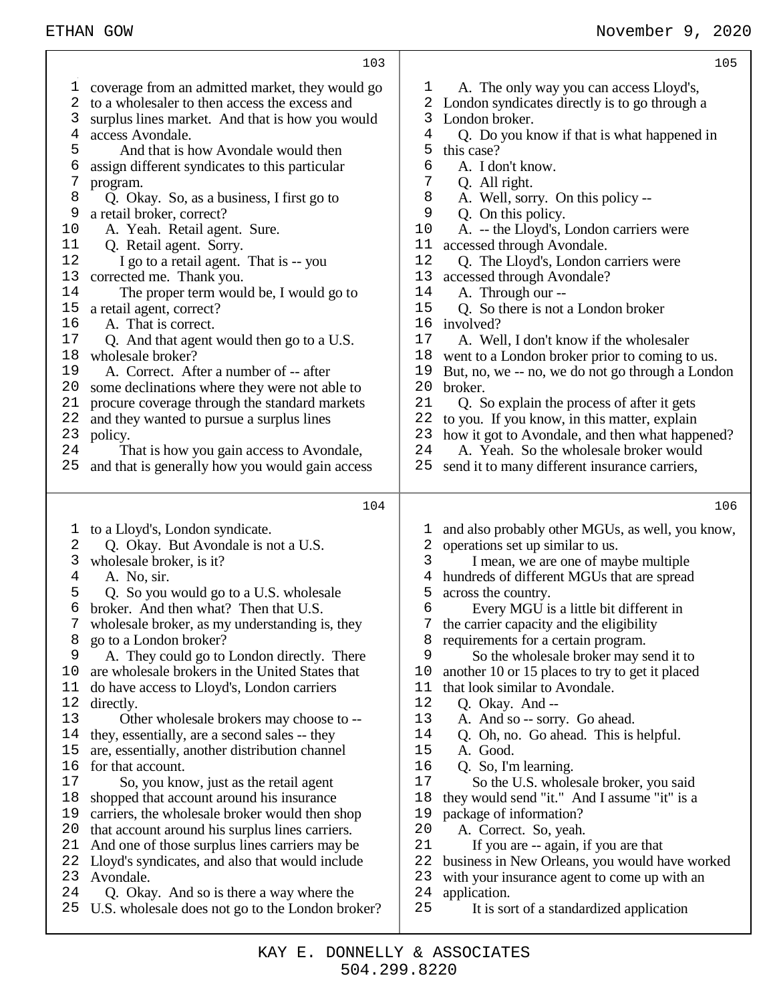| 103                                              | 105                                              |
|--------------------------------------------------|--------------------------------------------------|
| coverage from an admitted market, they would go  | A. The only way you can access Lloyd's,          |
| 1                                                | ı                                                |
| 2                                                | London syndicates directly is to go through a    |
| to a wholesaler to then access the excess and    | 2                                                |
| 3                                                | 3                                                |
| surplus lines market. And that is how you would  | London broker.                                   |
| access Avondale.                                 | 4                                                |
| 4                                                | Q. Do you know if that is what happened in       |
| 5                                                | 5                                                |
| And that is how Avondale would then              | this case?                                       |
| 6                                                | 6                                                |
| assign different syndicates to this particular   | A. I don't know.                                 |
| 7                                                | 7                                                |
| program.                                         | Q. All right.                                    |
| 8                                                | 8                                                |
| Q. Okay. So, as a business, I first go to        | A. Well, sorry. On this policy --                |
| 9                                                | 9                                                |
| a retail broker, correct?                        | Q. On this policy.                               |
| 10                                               | 10                                               |
| A. Yeah. Retail agent. Sure.                     | A. -- the Lloyd's, London carriers were          |
| 11                                               | accessed through Avondale.                       |
| Q. Retail agent. Sorry.                          | 11                                               |
| 12                                               | 12                                               |
| I go to a retail agent. That is -- you           | Q. The Lloyd's, London carriers were             |
| 13                                               | 13                                               |
| corrected me. Thank you.                         | accessed through Avondale?                       |
| 14                                               | A. Through our --                                |
| The proper term would be, I would go to          | 14                                               |
| 15                                               | 15                                               |
| a retail agent, correct?                         | Q. So there is not a London broker               |
| $16$                                             | 16                                               |
| A. That is correct.                              | involved?                                        |
| 17                                               | 17                                               |
| Q. And that agent would then go to a U.S.        | A. Well, I don't know if the wholesaler          |
| 18                                               | 18                                               |
| wholesale broker?                                | went to a London broker prior to coming to us.   |
| 19                                               | 19                                               |
| A. Correct. After a number of -- after           | But, no, we -- no, we do not go through a London |
| 20                                               | 20                                               |
| some declinations where they were not able to    | broker.                                          |
| procure coverage through the standard markets    | 21                                               |
| 21                                               | Q. So explain the process of after it gets       |
| and they wanted to pursue a surplus lines        | 22                                               |
| 22                                               | to you. If you know, in this matter, explain     |
| 23                                               | 23                                               |
| policy.                                          | how it got to Avondale, and then what happened?  |
| 24                                               | 24                                               |
| That is how you gain access to Avondale,         | A. Yeah. So the wholesale broker would           |
| 25                                               | 25                                               |
| and that is generally how you would gain access  | send it to many different insurance carriers,    |
| 104                                              | 106                                              |
| to a Lloyd's, London syndicate.                  | and also probably other MGUs, as well, you know, |
| $\mathbf 1$                                      | T                                                |
| 2                                                | operations set up similar to us.                 |
| Q. Okay. But Avondale is not a U.S.              | 2                                                |
| 3                                                | 3                                                |
| wholesale broker, is it?                         | I mean, we are one of maybe multiple             |
| 4                                                | 4                                                |
| A. No, sir.                                      | hundreds of different MGUs that are spread       |
| 5                                                | 5                                                |
| Q. So you would go to a U.S. wholesale           | across the country.                              |
| 6                                                | 6                                                |
| broker. And then what? Then that U.S.            | Every MGU is a little bit different in           |
| wholesale broker, as my understanding is, they   | the carrier capacity and the eligibility         |
| 8                                                | requirements for a certain program.              |
| go to a London broker?                           | 8                                                |
| 9                                                | 9                                                |
| A. They could go to London directly. There       | So the wholesale broker may send it to           |
| 10                                               | another 10 or 15 places to try to get it placed  |
| are wholesale brokers in the United States that  | 10                                               |
| do have access to Lloyd's, London carriers       | that look similar to Avondale.                   |
| 11                                               | 11                                               |
| 12                                               | 12                                               |
| directly.                                        | Q. Okay. And --                                  |
| 13                                               | 13                                               |
| Other wholesale brokers may choose to --         | A. And so -- sorry. Go ahead.                    |
| 14                                               | 14                                               |
| they, essentially, are a second sales -- they    | Q. Oh, no. Go ahead. This is helpful.            |
| 15                                               | 15                                               |
| are, essentially, another distribution channel   | A. Good.                                         |
| 16                                               | 16                                               |
| for that account.                                | Q. So, I'm learning.                             |
| 17                                               | 17                                               |
| So, you know, just as the retail agent           | So the U.S. wholesale broker, you said           |
| 18                                               | 18                                               |
| shopped that account around his insurance        | they would send "it." And I assume "it" is a     |
| carriers, the wholesale broker would then shop   | package of information?                          |
| 19                                               | 19                                               |
| that account around his surplus lines carriers.  | 20                                               |
| 20                                               | A. Correct. So, yeah.                            |
| And one of those surplus lines carriers may be   | 21                                               |
| 21                                               | If you are -- again, if you are that             |
| Lloyd's syndicates, and also that would include  | 22                                               |
| 22                                               | business in New Orleans, you would have worked   |
| 23                                               | 23                                               |
| Avondale.                                        | with your insurance agent to come up with an     |
| 24                                               | 24                                               |
| Q. Okay. And so is there a way where the         | application.                                     |
| 25                                               | 25                                               |
| U.S. wholesale does not go to the London broker? | It is sort of a standardized application         |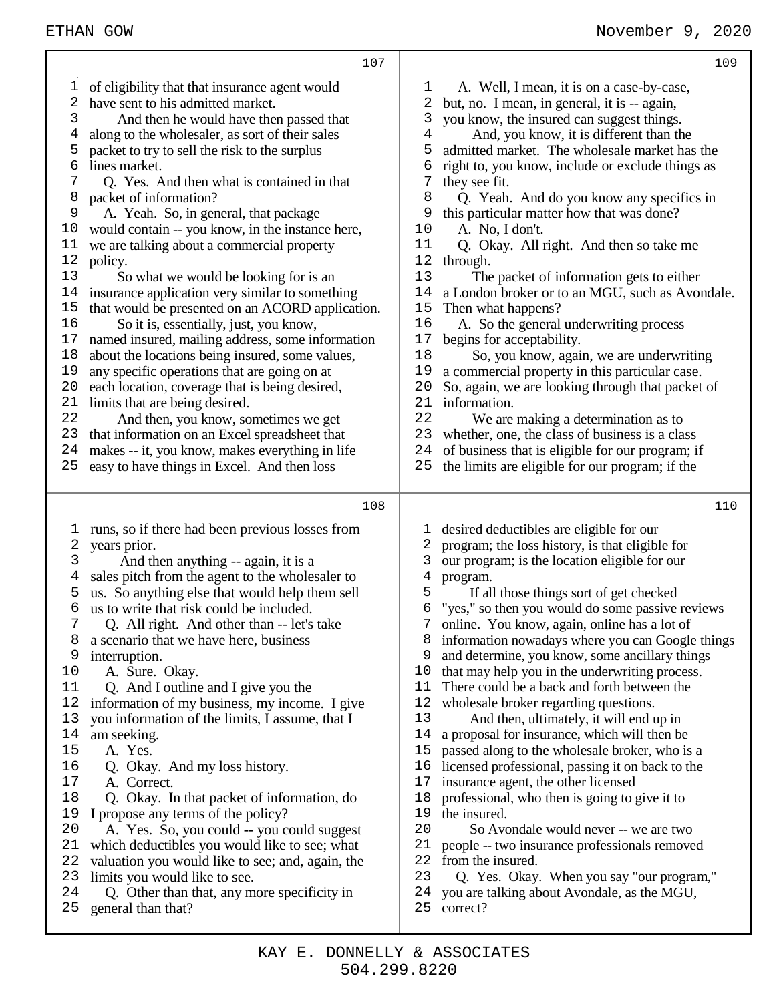# ETHAN GOW **November 9, 2020**

|          | 107                                                                                  |          | 109                                                                                           |
|----------|--------------------------------------------------------------------------------------|----------|-----------------------------------------------------------------------------------------------|
| T,       | of eligibility that that insurance agent would                                       | T        | A. Well, I mean, it is on a case-by-case,                                                     |
| 2        | have sent to his admitted market.                                                    | 2        | but, no. I mean, in general, it is -- again,                                                  |
| 3        | And then he would have then passed that                                              | 3        | you know, the insured can suggest things.                                                     |
| 4        | along to the wholesaler, as sort of their sales                                      | 4        | And, you know, it is different than the                                                       |
| 5        | packet to try to sell the risk to the surplus                                        | 5        | admitted market. The wholesale market has the                                                 |
| 6        | lines market.                                                                        | 6        | right to, you know, include or exclude things as                                              |
| 7        | Q. Yes. And then what is contained in that                                           | 7        | they see fit.                                                                                 |
| 8        | packet of information?                                                               | 8        | Q. Yeah. And do you know any specifics in                                                     |
| 9        | A. Yeah. So, in general, that package                                                | 9        | this particular matter how that was done?                                                     |
| 10       | would contain -- you know, in the instance here,                                     | 10       | A. No, I don't.                                                                               |
| 11       | we are talking about a commercial property                                           | 11       | Q. Okay. All right. And then so take me                                                       |
| 12       | policy.                                                                              | 12       | through.                                                                                      |
| 13       | So what we would be looking for is an                                                | 13       | The packet of information gets to either                                                      |
| 14       | insurance application very similar to something                                      | 14       | a London broker or to an MGU, such as Avondale.                                               |
| 15       | that would be presented on an ACORD application.                                     | 15       | Then what happens?                                                                            |
| 16       | So it is, essentially, just, you know,                                               | 16       | A. So the general underwriting process                                                        |
| 17       | named insured, mailing address, some information                                     | 17       | begins for acceptability.                                                                     |
| 18       | about the locations being insured, some values,                                      | 18       | So, you know, again, we are underwriting                                                      |
| 19       | any specific operations that are going on at                                         | 19       | a commercial property in this particular case.                                                |
| 20       | each location, coverage that is being desired,                                       | 20       | So, again, we are looking through that packet of                                              |
| 21       | limits that are being desired.                                                       | 21       | information.                                                                                  |
| 22       | And then, you know, sometimes we get                                                 | 22       | We are making a determination as to                                                           |
| 23       | that information on an Excel spreadsheet that                                        | 23       | whether, one, the class of business is a class                                                |
| 24       | makes -- it, you know, makes everything in life                                      | 24       | of business that is eligible for our program; if                                              |
| 25       | easy to have things in Excel. And then loss                                          | 25       | the limits are eligible for our program; if the                                               |
|          |                                                                                      |          |                                                                                               |
|          |                                                                                      |          |                                                                                               |
|          | 108                                                                                  |          | 110                                                                                           |
|          |                                                                                      |          |                                                                                               |
| 1        | runs, so if there had been previous losses from                                      | T        | desired deductibles are eligible for our                                                      |
| 2        | years prior.                                                                         | 2        | program; the loss history, is that eligible for                                               |
| 3        | And then anything -- again, it is a                                                  | 3        | our program; is the location eligible for our                                                 |
| 4        | sales pitch from the agent to the wholesaler to                                      | 4        | program.                                                                                      |
| 5        | us. So anything else that would help them sell                                       | 5        | If all those things sort of get checked                                                       |
| 6        | us to write that risk could be included.                                             | 6        | "yes," so then you would do some passive reviews                                              |
| 7<br>8   | Q. All right. And other than -- let's take                                           | 8        | 7 online. You know, again, online has a lot of                                                |
| 9        | a scenario that we have here, business                                               | 9        | information nowadays where you can Google things                                              |
| 10       | interruption.                                                                        | 10       | and determine, you know, some ancillary things                                                |
| 11       | A. Sure. Okay.                                                                       | 11       | that may help you in the underwriting process.<br>There could be a back and forth between the |
| 12       | Q. And I outline and I give you the<br>information of my business, my income. I give | 12       | wholesale broker regarding questions.                                                         |
| 13       | you information of the limits, I assume, that I                                      | 13       | And then, ultimately, it will end up in                                                       |
| 14       | am seeking.                                                                          | 14       | a proposal for insurance, which will then be                                                  |
| 15       | A. Yes.                                                                              | 15       | passed along to the wholesale broker, who is a                                                |
| 16       | Q. Okay. And my loss history.                                                        | 16       | licensed professional, passing it on back to the                                              |
| 17       | A. Correct.                                                                          | 17       | insurance agent, the other licensed                                                           |
| 18       | Q. Okay. In that packet of information, do                                           | 18       | professional, who then is going to give it to                                                 |
| 19       | I propose any terms of the policy?                                                   | 19       | the insured.                                                                                  |
| 20       | A. Yes. So, you could -- you could suggest                                           | 20       | So Avondale would never -- we are two                                                         |
| 21       | which deductibles you would like to see; what                                        | 21       | people -- two insurance professionals removed                                                 |
| 22       | valuation you would like to see; and, again, the                                     | 22       | from the insured.                                                                             |
| 23       | limits you would like to see.                                                        | 23       | Q. Yes. Okay. When you say "our program,"                                                     |
| 24<br>25 | Q. Other than that, any more specificity in<br>general than that?                    | 24<br>25 | you are talking about Avondale, as the MGU,<br>correct?                                       |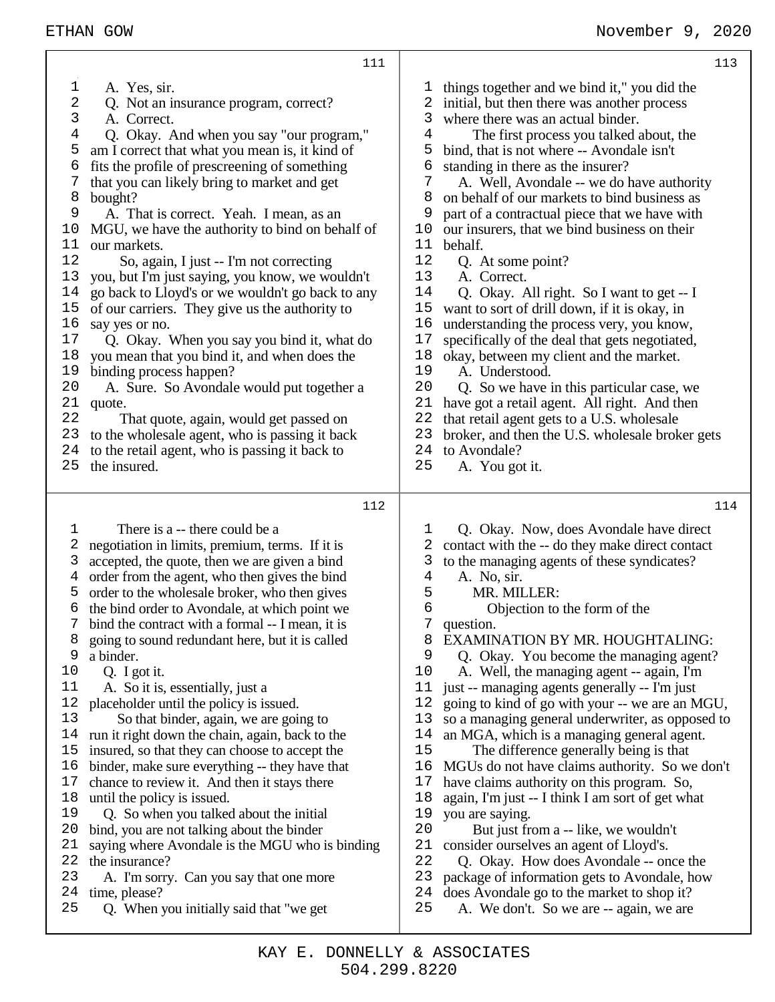| 111                                                                                                                                                                                                                                                                                                                                                                                                                                                                                                                                                                                                                                                                                                                                                                                                                                                                                                                                                                                                                                                                                                                                                                                                                     | 113                                                                                                                                                                                                                                                                                                                                                                                                                                                                                                                                                                                                                                                                                                                                                                                                                                                                                                                                                                                                                                                                                                                                                                                              |
|-------------------------------------------------------------------------------------------------------------------------------------------------------------------------------------------------------------------------------------------------------------------------------------------------------------------------------------------------------------------------------------------------------------------------------------------------------------------------------------------------------------------------------------------------------------------------------------------------------------------------------------------------------------------------------------------------------------------------------------------------------------------------------------------------------------------------------------------------------------------------------------------------------------------------------------------------------------------------------------------------------------------------------------------------------------------------------------------------------------------------------------------------------------------------------------------------------------------------|--------------------------------------------------------------------------------------------------------------------------------------------------------------------------------------------------------------------------------------------------------------------------------------------------------------------------------------------------------------------------------------------------------------------------------------------------------------------------------------------------------------------------------------------------------------------------------------------------------------------------------------------------------------------------------------------------------------------------------------------------------------------------------------------------------------------------------------------------------------------------------------------------------------------------------------------------------------------------------------------------------------------------------------------------------------------------------------------------------------------------------------------------------------------------------------------------|
| 1<br>A. Yes, sir.<br>2<br>Q. Not an insurance program, correct?<br>3<br>A. Correct.<br>4<br>Q. Okay. And when you say "our program,"<br>5<br>am I correct that what you mean is, it kind of<br>6<br>fits the profile of prescreening of something<br>7<br>that you can likely bring to market and get<br>8<br>bought?<br>9<br>A. That is correct. Yeah. I mean, as an<br>MGU, we have the authority to bind on behalf of<br>10<br>our markets.<br>11<br>12<br>So, again, I just -- I'm not correcting<br>13<br>you, but I'm just saying, you know, we wouldn't<br>14<br>go back to Lloyd's or we wouldn't go back to any<br>15<br>of our carriers. They give us the authority to<br>16<br>say yes or no.<br>17<br>Q. Okay. When you say you bind it, what do<br>18<br>you mean that you bind it, and when does the<br>19<br>binding process happen?<br>20<br>A. Sure. So Avondale would put together a<br>21<br>quote.<br>22<br>That quote, again, would get passed on<br>23<br>to the wholesale agent, who is passing it back<br>to the retail agent, who is passing it back to<br>24<br>25<br>the insured.                                                                                                            | things together and we bind it," you did the<br>T.<br>2<br>initial, but then there was another process<br>3<br>where there was an actual binder.<br>4<br>The first process you talked about, the<br>5<br>bind, that is not where -- Avondale isn't<br>6<br>standing in there as the insurer?<br>7<br>A. Well, Avondale -- we do have authority<br>8<br>on behalf of our markets to bind business as<br>9<br>part of a contractual piece that we have with<br>our insurers, that we bind business on their<br>10<br>11<br>behalf.<br>12<br>Q. At some point?<br>13<br>A. Correct.<br>14<br>Q. Okay. All right. So I want to get -- I<br>15<br>want to sort of drill down, if it is okay, in<br>16<br>understanding the process very, you know,<br>17<br>specifically of the deal that gets negotiated,<br>18<br>okay, between my client and the market.<br>19<br>A. Understood.<br>20<br>Q. So we have in this particular case, we<br>21<br>have got a retail agent. All right. And then<br>22<br>that retail agent gets to a U.S. wholesale<br>23<br>broker, and then the U.S. wholesale broker gets<br>24<br>to Avondale?<br>25<br>A. You got it.                                               |
| 112<br>There is a -- there could be a<br>$\mathbf{1}$<br>2<br>negotiation in limits, premium, terms. If it is<br>3<br>accepted, the quote, then we are given a bind<br>order from the agent, who then gives the bind<br>4<br>order to the wholesale broker, who then gives<br>5<br>the bind order to Avondale, at which point we<br>6<br>bind the contract with a formal -- I mean, it is<br>going to sound redundant here, but it is called<br>8<br>9<br>a binder.<br>10<br>Q. I got it.<br>A. So it is, essentially, just a<br>11<br>placeholder until the policy is issued.<br>12<br>13<br>So that binder, again, we are going to<br>14<br>run it right down the chain, again, back to the<br>insured, so that they can choose to accept the<br>15<br>binder, make sure everything -- they have that<br>16<br>17<br>chance to review it. And then it stays there<br>18<br>until the policy is issued.<br>Q. So when you talked about the initial<br>19<br>20<br>bind, you are not talking about the binder<br>21<br>saying where Avondale is the MGU who is binding<br>22<br>the insurance?<br>23<br>A. I'm sorry. Can you say that one more<br>24<br>time, please?<br>25<br>Q. When you initially said that "we get | 114<br>Q. Okay. Now, does Avondale have direct<br>ı<br>contact with the -- do they make direct contact<br>2<br>3<br>to the managing agents of these syndicates?<br>4<br>A. No, sir.<br>MR. MILLER:<br>5<br>б<br>Objection to the form of the<br>7<br>question.<br>EXAMINATION BY MR. HOUGHTALING:<br>8<br>9<br>Q. Okay. You become the managing agent?<br>10<br>A. Well, the managing agent -- again, I'm<br>11<br>just -- managing agents generally -- I'm just<br>12<br>going to kind of go with your -- we are an MGU,<br>13<br>so a managing general underwriter, as opposed to<br>14<br>an MGA, which is a managing general agent.<br>15<br>The difference generally being is that<br>MGUs do not have claims authority. So we don't<br>16<br>have claims authority on this program. So,<br>17<br>again, I'm just -- I think I am sort of get what<br>18<br>19<br>you are saying.<br>20<br>But just from a -- like, we wouldn't<br>21<br>consider ourselves an agent of Lloyd's.<br>22<br>Q. Okay. How does Avondale -- once the<br>23<br>package of information gets to Avondale, how<br>24<br>does Avondale go to the market to shop it?<br>25<br>A. We don't. So we are -- again, we are |

Т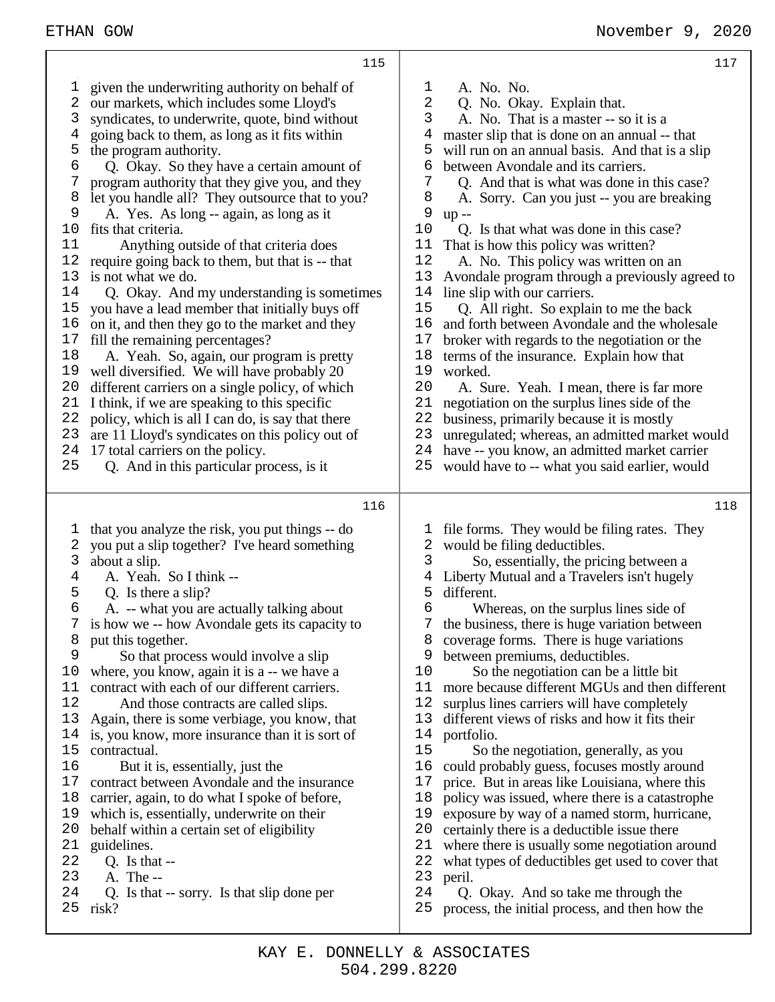| 1<br>2<br>3<br>4 | given the underwriting authority on behalf of<br>our markets, which includes some Lloyd's<br>syndicates, to underwrite, quote, bind without<br>going back to them, as long as it fits within | $\mathbf 1$<br>A. No. No.<br>2<br>Q. No. Okay. Explain that.<br>3<br>A. No. That is a master -- so it is a<br>master slip that is done on an annual -- that<br>4 |
|------------------|----------------------------------------------------------------------------------------------------------------------------------------------------------------------------------------------|------------------------------------------------------------------------------------------------------------------------------------------------------------------|
| 5                | the program authority.                                                                                                                                                                       | 5<br>will run on an annual basis. And that is a slip                                                                                                             |
| 6                | Q. Okay. So they have a certain amount of                                                                                                                                                    | 6<br>between Avondale and its carriers.                                                                                                                          |
| 7                | program authority that they give you, and they                                                                                                                                               | 7<br>Q. And that is what was done in this case?                                                                                                                  |
| 8                | let you handle all? They outsource that to you?                                                                                                                                              | 8<br>A. Sorry. Can you just -- you are breaking<br>9                                                                                                             |
| 9<br>10          | A. Yes. As long -- again, as long as it<br>fits that criteria.                                                                                                                               | $up -$<br>10<br>Q. Is that what was done in this case?                                                                                                           |
| 11               | Anything outside of that criteria does                                                                                                                                                       | That is how this policy was written?<br>11                                                                                                                       |
| 12               | require going back to them, but that is -- that                                                                                                                                              | 12<br>A. No. This policy was written on an                                                                                                                       |
| 13               | is not what we do.                                                                                                                                                                           | 13<br>Avondale program through a previously agreed to                                                                                                            |
| 14               | Q. Okay. And my understanding is sometimes                                                                                                                                                   | line slip with our carriers.<br>14                                                                                                                               |
| 15               | you have a lead member that initially buys off                                                                                                                                               | 15<br>Q. All right. So explain to me the back                                                                                                                    |
| 16               | on it, and then they go to the market and they                                                                                                                                               | 16<br>and forth between Avondale and the wholesale                                                                                                               |
| 17               | fill the remaining percentages?                                                                                                                                                              | 17<br>broker with regards to the negotiation or the                                                                                                              |
| 18               | A. Yeah. So, again, our program is pretty                                                                                                                                                    | 18<br>terms of the insurance. Explain how that                                                                                                                   |
| 19               | well diversified. We will have probably 20                                                                                                                                                   | 19<br>worked.                                                                                                                                                    |
| 20<br>21         | different carriers on a single policy, of which                                                                                                                                              | 20<br>A. Sure. Yeah. I mean, there is far more<br>21                                                                                                             |
| 22               | I think, if we are speaking to this specific<br>policy, which is all I can do, is say that there                                                                                             | negotiation on the surplus lines side of the<br>22<br>business, primarily because it is mostly                                                                   |
| 23               | are 11 Lloyd's syndicates on this policy out of                                                                                                                                              | 23<br>unregulated; whereas, an admitted market would                                                                                                             |
| 24               | 17 total carriers on the policy.                                                                                                                                                             | have -- you know, an admitted market carrier<br>24                                                                                                               |
| 25               | Q. And in this particular process, is it                                                                                                                                                     | would have to -- what you said earlier, would<br>25                                                                                                              |
|                  |                                                                                                                                                                                              |                                                                                                                                                                  |
|                  |                                                                                                                                                                                              |                                                                                                                                                                  |
|                  | 116                                                                                                                                                                                          | 118                                                                                                                                                              |
|                  |                                                                                                                                                                                              | T                                                                                                                                                                |
| 1<br>2           | that you analyze the risk, you put things -- do                                                                                                                                              | file forms. They would be filing rates. They<br>2                                                                                                                |
| 3                | you put a slip together? I've heard something<br>about a slip.                                                                                                                               | would be filing deductibles.<br>3<br>So, essentially, the pricing between a                                                                                      |
| 4                | A. Yeah. So I think --                                                                                                                                                                       | Liberty Mutual and a Travelers isn't hugely<br>4                                                                                                                 |
| 5                | Q. Is there a slip?                                                                                                                                                                          | 5<br>different.                                                                                                                                                  |
| 6                | A. -- what you are actually talking about                                                                                                                                                    | 6<br>Whereas, on the surplus lines side of                                                                                                                       |
| 7                | is how we -- how Avondale gets its capacity to                                                                                                                                               | 7<br>the business, there is huge variation between                                                                                                               |
| 8                | put this together.                                                                                                                                                                           | coverage forms. There is huge variations<br>୪                                                                                                                    |
| 9                | So that process would involve a slip                                                                                                                                                         | between premiums, deductibles.<br>9                                                                                                                              |
| 10               | where, you know, again it is a -- we have a                                                                                                                                                  | 10<br>So the negotiation can be a little bit                                                                                                                     |
| 11               | contract with each of our different carriers.                                                                                                                                                | more because different MGUs and then different<br>11                                                                                                             |
| 12<br>13         | And those contracts are called slips.                                                                                                                                                        | 12<br>surplus lines carriers will have completely<br>13<br>different views of risks and how it fits their                                                        |
| 14               | Again, there is some verbiage, you know, that<br>is, you know, more insurance than it is sort of                                                                                             | portfolio.<br>14                                                                                                                                                 |
| 15               | contractual.                                                                                                                                                                                 | 15<br>So the negotiation, generally, as you                                                                                                                      |
| 16               | But it is, essentially, just the                                                                                                                                                             | 16<br>could probably guess, focuses mostly around                                                                                                                |
| 17               | contract between Avondale and the insurance                                                                                                                                                  | 17<br>price. But in areas like Louisiana, where this                                                                                                             |
| 18               | carrier, again, to do what I spoke of before,                                                                                                                                                | 18<br>policy was issued, where there is a catastrophe                                                                                                            |
| 19               | which is, essentially, underwrite on their                                                                                                                                                   | exposure by way of a named storm, hurricane,<br>19                                                                                                               |
| 20               | behalf within a certain set of eligibility                                                                                                                                                   | 20<br>certainly there is a deductible issue there                                                                                                                |
| 21               | guidelines.                                                                                                                                                                                  | 21<br>where there is usually some negotiation around                                                                                                             |
| 22<br>23         | Q. Is that $-$                                                                                                                                                                               | 22<br>what types of deductibles get used to cover that                                                                                                           |
| 24               | A. The --<br>Q. Is that -- sorry. Is that slip done per                                                                                                                                      | 23<br>peril.<br>24<br>Q. Okay. And so take me through the                                                                                                        |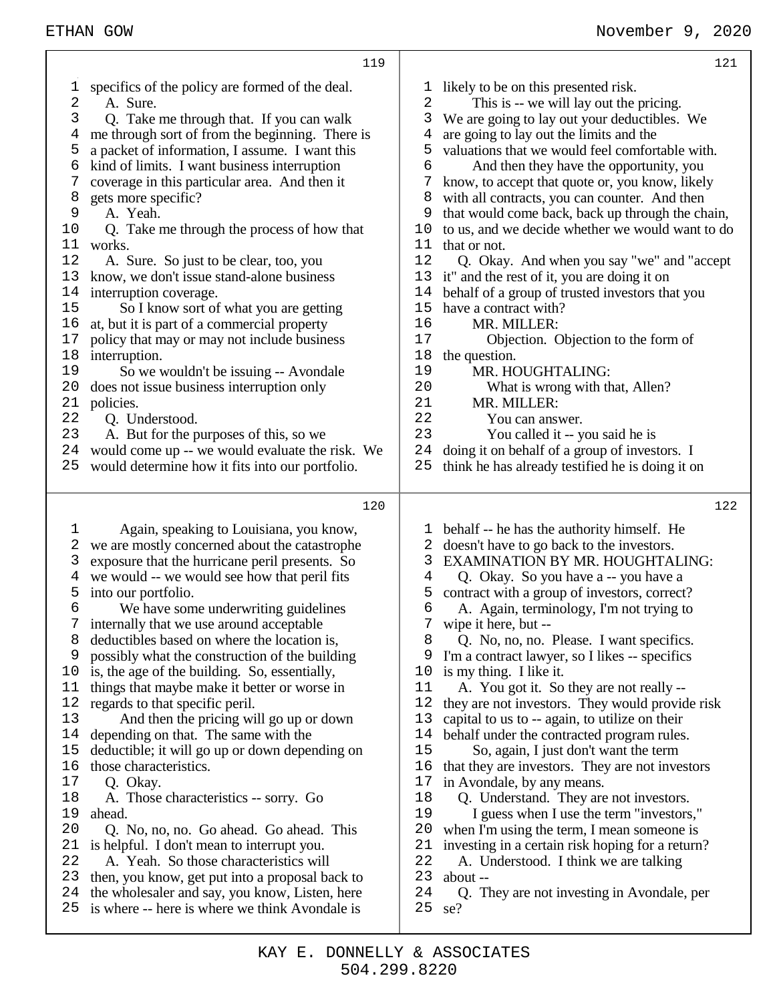|                                                                                                                         |                                                                                                                                                                                                                                                                                                                                                                                                                                                                                                                                                                                                                                                                                                                                                                                                                     |                                                                                                                         | 121                                                                                                                                                                                                                                                                                                                                                                                                                                                                                                                                                                                                                                                                                                                                                                                                                                                                                                                                     |
|-------------------------------------------------------------------------------------------------------------------------|---------------------------------------------------------------------------------------------------------------------------------------------------------------------------------------------------------------------------------------------------------------------------------------------------------------------------------------------------------------------------------------------------------------------------------------------------------------------------------------------------------------------------------------------------------------------------------------------------------------------------------------------------------------------------------------------------------------------------------------------------------------------------------------------------------------------|-------------------------------------------------------------------------------------------------------------------------|-----------------------------------------------------------------------------------------------------------------------------------------------------------------------------------------------------------------------------------------------------------------------------------------------------------------------------------------------------------------------------------------------------------------------------------------------------------------------------------------------------------------------------------------------------------------------------------------------------------------------------------------------------------------------------------------------------------------------------------------------------------------------------------------------------------------------------------------------------------------------------------------------------------------------------------------|
| 1<br>2<br>3<br>4<br>5<br>6<br>7<br>8<br>9<br>10<br>11<br>12<br>13<br>14<br>15<br>16<br>17<br>18<br>19<br>20<br>21<br>22 | 119<br>specifics of the policy are formed of the deal.<br>A. Sure.<br>Q. Take me through that. If you can walk<br>me through sort of from the beginning. There is<br>a packet of information, I assume. I want this<br>kind of limits. I want business interruption<br>coverage in this particular area. And then it<br>gets more specific?<br>A. Yeah.<br>Q. Take me through the process of how that<br>works.<br>A. Sure. So just to be clear, too, you<br>know, we don't issue stand-alone business<br>interruption coverage.<br>So I know sort of what you are getting<br>at, but it is part of a commercial property<br>policy that may or may not include business<br>interruption.<br>So we wouldn't be issuing -- Avondale<br>does not issue business interruption only<br>policies.<br>Q. Understood.      | ı<br>2<br>3<br>4<br>5<br>6<br>7<br>8<br>9<br>10<br>11<br>12<br>13<br>14<br>15<br>16<br>17<br>18<br>19<br>20<br>21<br>22 | likely to be on this presented risk.<br>This is -- we will lay out the pricing.<br>We are going to lay out your deductibles. We<br>are going to lay out the limits and the<br>valuations that we would feel comfortable with.<br>And then they have the opportunity, you<br>know, to accept that quote or, you know, likely<br>with all contracts, you can counter. And then<br>that would come back, back up through the chain,<br>to us, and we decide whether we would want to do<br>that or not.<br>Q. Okay. And when you say "we" and "accept"<br>it" and the rest of it, you are doing it on<br>behalf of a group of trusted investors that you<br>have a contract with?<br>MR. MILLER:<br>Objection. Objection to the form of<br>the question.<br>MR. HOUGHTALING:<br>What is wrong with that, Allen?<br>MR. MILLER:<br>You can answer.                                                                                          |
| 23                                                                                                                      | A. But for the purposes of this, so we                                                                                                                                                                                                                                                                                                                                                                                                                                                                                                                                                                                                                                                                                                                                                                              | 23                                                                                                                      | You called it -- you said he is                                                                                                                                                                                                                                                                                                                                                                                                                                                                                                                                                                                                                                                                                                                                                                                                                                                                                                         |
| 24                                                                                                                      | would come up -- we would evaluate the risk. We                                                                                                                                                                                                                                                                                                                                                                                                                                                                                                                                                                                                                                                                                                                                                                     | 24                                                                                                                      | doing it on behalf of a group of investors. I                                                                                                                                                                                                                                                                                                                                                                                                                                                                                                                                                                                                                                                                                                                                                                                                                                                                                           |
| 25                                                                                                                      | would determine how it fits into our portfolio.                                                                                                                                                                                                                                                                                                                                                                                                                                                                                                                                                                                                                                                                                                                                                                     | 25                                                                                                                      | think he has already testified he is doing it on                                                                                                                                                                                                                                                                                                                                                                                                                                                                                                                                                                                                                                                                                                                                                                                                                                                                                        |
|                                                                                                                         |                                                                                                                                                                                                                                                                                                                                                                                                                                                                                                                                                                                                                                                                                                                                                                                                                     |                                                                                                                         |                                                                                                                                                                                                                                                                                                                                                                                                                                                                                                                                                                                                                                                                                                                                                                                                                                                                                                                                         |
|                                                                                                                         | 120                                                                                                                                                                                                                                                                                                                                                                                                                                                                                                                                                                                                                                                                                                                                                                                                                 |                                                                                                                         | 122                                                                                                                                                                                                                                                                                                                                                                                                                                                                                                                                                                                                                                                                                                                                                                                                                                                                                                                                     |
| 1<br>2<br>3<br>4<br>5<br>6<br>7<br>8<br>9<br>10<br>11<br>12<br>13<br>14<br>15<br>16<br>17<br>18<br>19<br>20<br>21       | Again, speaking to Louisiana, you know,<br>we are mostly concerned about the catastrophe<br>exposure that the hurricane peril presents. So<br>we would -- we would see how that peril fits<br>into our portfolio.<br>We have some underwriting guidelines<br>internally that we use around acceptable<br>deductibles based on where the location is,<br>possibly what the construction of the building<br>is, the age of the building. So, essentially,<br>things that maybe make it better or worse in<br>regards to that specific peril.<br>And then the pricing will go up or down<br>depending on that. The same with the<br>deductible; it will go up or down depending on<br>those characteristics.<br>Q. Okay.<br>A. Those characteristics -- sorry. Go<br>ahead.<br>Q. No, no, no. Go ahead. Go ahead. This | T<br>2<br>3<br>4<br>5<br>6<br>8<br>9<br>10<br>11<br>12<br>13<br>14<br>15<br>16<br>17<br>18<br>19<br>20<br>21            | behalf -- he has the authority himself. He<br>doesn't have to go back to the investors.<br><b>EXAMINATION BY MR. HOUGHTALING:</b><br>Q. Okay. So you have a -- you have a<br>contract with a group of investors, correct?<br>A. Again, terminology, I'm not trying to<br>wipe it here, but --<br>Q. No, no, no. Please. I want specifics.<br>I'm a contract lawyer, so I likes -- specifics<br>is my thing. I like it.<br>A. You got it. So they are not really --<br>they are not investors. They would provide risk<br>capital to us to -- again, to utilize on their<br>behalf under the contracted program rules.<br>So, again, I just don't want the term<br>that they are investors. They are not investors<br>in Avondale, by any means.<br>Q. Understand. They are not investors.<br>I guess when I use the term "investors,"<br>when I'm using the term, I mean someone is<br>investing in a certain risk hoping for a return? |
| 22<br>23<br>24                                                                                                          | is helpful. I don't mean to interrupt you.<br>A. Yeah. So those characteristics will<br>then, you know, get put into a proposal back to                                                                                                                                                                                                                                                                                                                                                                                                                                                                                                                                                                                                                                                                             | 22<br>23                                                                                                                | A. Understood. I think we are talking<br>about --                                                                                                                                                                                                                                                                                                                                                                                                                                                                                                                                                                                                                                                                                                                                                                                                                                                                                       |

Т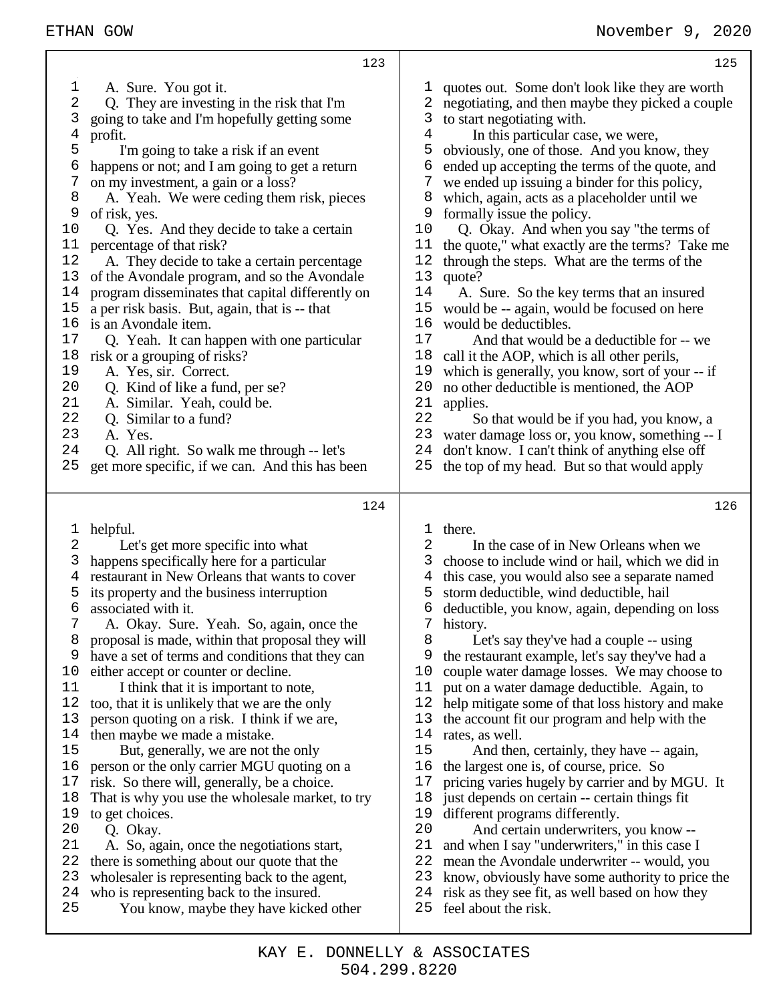| 123                                              | 125                                              |
|--------------------------------------------------|--------------------------------------------------|
| 1                                                | 1                                                |
| A. Sure. You got it.                             | quotes out. Some don't look like they are worth  |
| 2                                                | 2                                                |
| Q. They are investing in the risk that I'm       | negotiating, and then maybe they picked a couple |
| 3                                                | 3                                                |
| going to take and I'm hopefully getting some     | to start negotiating with.                       |
| 4                                                | $\overline{4}$                                   |
| profit.                                          | In this particular case, we were,                |
| 5                                                | 5                                                |
| I'm going to take a risk if an event             | obviously, one of those. And you know, they      |
| 6                                                | 6                                                |
| happens or not; and I am going to get a return   | ended up accepting the terms of the quote, and   |
| 7                                                | 7                                                |
| on my investment, a gain or a loss?              | we ended up issuing a binder for this policy,    |
| 8                                                | 8                                                |
| A. Yeah. We were ceding them risk, pieces        | which, again, acts as a placeholder until we     |
| 9                                                | 9                                                |
| of risk, yes.                                    | formally issue the policy.                       |
| 10                                               | Q. Okay. And when you say "the terms of          |
| Q. Yes. And they decide to take a certain        | 10                                               |
| 11                                               | the quote," what exactly are the terms? Take me  |
| percentage of that risk?                         | 11                                               |
| 12                                               | 12                                               |
| A. They decide to take a certain percentage      | through the steps. What are the terms of the     |
| 13                                               | 13                                               |
| of the Avondale program, and so the Avondale     | quote?                                           |
| program disseminates that capital differently on | 14                                               |
| 14                                               | A. Sure. So the key terms that an insured        |
| $15$                                             | 15                                               |
| a per risk basis. But, again, that is -- that    | would be -- again, would be focused on here      |
| 16                                               | 16                                               |
| is an Avondale item.                             | would be deductibles.                            |
| 17                                               | 17                                               |
| Q. Yeah. It can happen with one particular       | And that would be a deductible for -- we         |
| 18                                               | 18                                               |
| risk or a grouping of risks?                     | call it the AOP, which is all other perils,      |
| 19                                               | 19                                               |
| A. Yes, sir. Correct.                            | which is generally, you know, sort of your -- if |
| 20                                               | 20                                               |
| Q. Kind of like a fund, per se?                  | no other deductible is mentioned, the AOP        |
| 21                                               | 21                                               |
| A. Similar. Yeah, could be.                      | applies.                                         |
| 22                                               | 22                                               |
| Q. Similar to a fund?                            | So that would be if you had, you know, a         |
| 23                                               | 23                                               |
| A. Yes.                                          | water damage loss or, you know, something -- I   |
| 24                                               | 24                                               |
| Q. All right. So walk me through -- let's        | don't know. I can't think of anything else off   |
| 25                                               | 25                                               |
| get more specific, if we can. And this has been  | the top of my head. But so that would apply      |
| 124                                              | 126                                              |
| helpful.                                         | 1                                                |
| 1                                                | there.                                           |
| 2                                                | 2                                                |
| Let's get more specific into what                | In the case of in New Orleans when we            |
| happens specifically here for a particular       | 3                                                |
| 3                                                | choose to include wind or hail, which we did in  |
| restaurant in New Orleans that wants to cover    | this case, you would also see a separate named   |
| 4                                                | 4                                                |
| its property and the business interruption       | storm deductible, wind deductible, hail          |
| 5                                                | 5                                                |
| 6                                                | 6                                                |
| associated with it.                              | deductible, you know, again, depending on loss   |
| A. Okay. Sure. Yeah. So, again, once the         | 7                                                |
| 7                                                | history.                                         |
| proposal is made, within that proposal they will | 8                                                |
| 8                                                | Let's say they've had a couple -- using          |
| 9                                                | 9                                                |
| have a set of terms and conditions that they can | the restaurant example, let's say they've had a  |
| 10                                               | 10                                               |
| either accept or counter or decline.             | couple water damage losses. We may choose to     |
| 11                                               | 11                                               |
| I think that it is important to note,            | put on a water damage deductible. Again, to      |
| too, that it is unlikely that we are the only    | 12                                               |
| 12                                               | help mitigate some of that loss history and make |
| 13                                               | 13                                               |
| person quoting on a risk. I think if we are,     | the account fit our program and help with the    |
| then maybe we made a mistake.                    | 14                                               |
| 14                                               | rates, as well.                                  |
| 15                                               | 15                                               |
| But, generally, we are not the only              | And then, certainly, they have -- again,         |
| 16                                               | 16                                               |
| person or the only carrier MGU quoting on a      | the largest one is, of course, price. So         |
| risk. So there will, generally, be a choice.     | 17                                               |
| 17                                               | pricing varies hugely by carrier and by MGU. It  |
| That is why you use the wholesale market, to try | just depends on certain -- certain things fit    |
| 18                                               | 18                                               |
| to get choices.                                  | different programs differently.                  |
| 19                                               | 19                                               |
| 20                                               | 20                                               |
| Q. Okay.                                         | And certain underwriters, you know --            |
| 21                                               | 21                                               |
| A. So, again, once the negotiations start,       | and when I say "underwriters," in this case I    |
| 22                                               | 22                                               |
| there is something about our quote that the      | mean the Avondale underwriter -- would, you      |
| 23                                               | 23                                               |
| wholesaler is representing back to the agent,    | know, obviously have some authority to price the |
| 24                                               | 24                                               |
| who is representing back to the insured.         | risk as they see fit, as well based on how they  |
| 25                                               | 25                                               |
| You know, maybe they have kicked other           | feel about the risk.                             |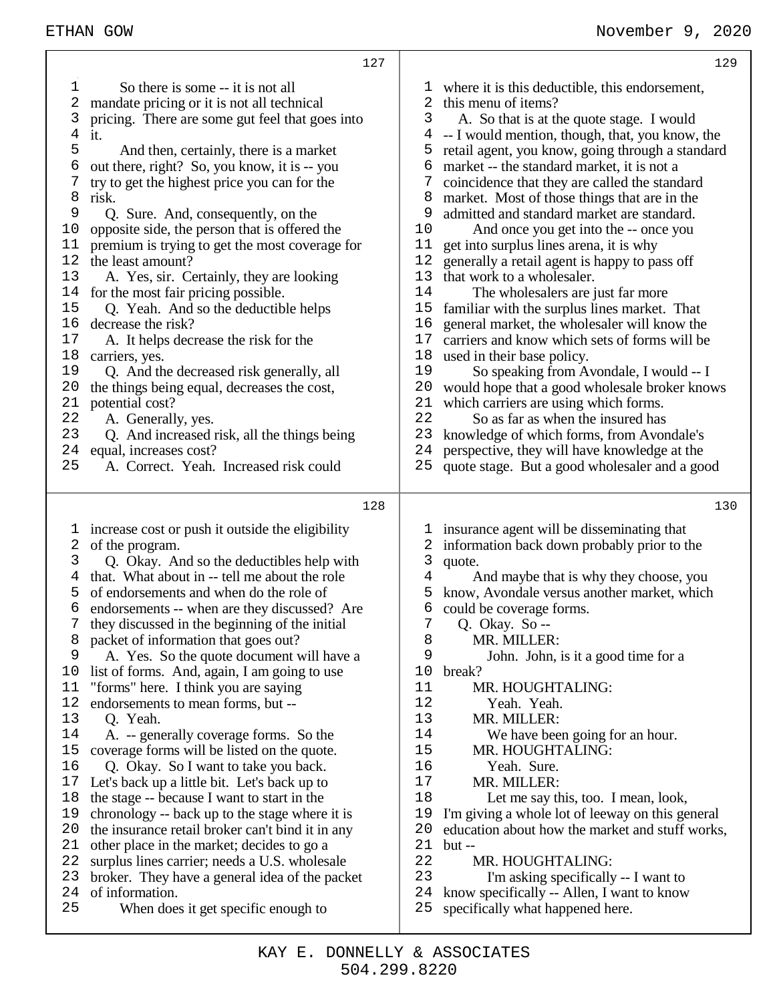|    | 127                                              |      | 129                                              |
|----|--------------------------------------------------|------|--------------------------------------------------|
| ı  | So there is some -- it is not all                |      | 1 where it is this deductible, this endorsement, |
| 2  | mandate pricing or it is not all technical       | 2    | this menu of items?                              |
| 3  | pricing. There are some gut feel that goes into  | 3    | A. So that is at the quote stage. I would        |
| 4  | it.                                              | 4    | -- I would mention, though, that, you know, the  |
| 5  | And then, certainly, there is a market           | 5    | retail agent, you know, going through a standard |
| 6  | out there, right? So, you know, it is -- you     | 6    | market -- the standard market, it is not a       |
| 7  | try to get the highest price you can for the     |      | coincidence that they are called the standard    |
| 8  | risk.                                            | 8    | market. Most of those things that are in the     |
| 9  | Q. Sure. And, consequently, on the               | 9    | admitted and standard market are standard.       |
| 10 | opposite side, the person that is offered the    | 10   | And once you get into the -- once you            |
| 11 | premium is trying to get the most coverage for   | 11   | get into surplus lines arena, it is why          |
| 12 | the least amount?                                | 12   | generally a retail agent is happy to pass off    |
| 13 | A. Yes, sir. Certainly, they are looking         | 13   | that work to a wholesaler.                       |
| 14 | for the most fair pricing possible.              | 14   | The wholesalers are just far more                |
| 15 | Q. Yeah. And so the deductible helps             | 15   | familiar with the surplus lines market. That     |
| 16 | decrease the risk?                               | 16   | general market, the wholesaler will know the     |
| 17 | A. It helps decrease the risk for the            | $17$ | carriers and know which sets of forms will be    |
| 18 | carriers, yes.                                   | 18   | used in their base policy.                       |
| 19 | Q. And the decreased risk generally, all         | 19   | So speaking from Avondale, I would -- I          |
| 20 | the things being equal, decreases the cost,      | 20   | would hope that a good wholesale broker knows    |
| 21 | potential cost?                                  | 21   | which carriers are using which forms.            |
| 22 | A. Generally, yes.                               | 22   | So as far as when the insured has                |
| 23 | Q. And increased risk, all the things being      | 23   | knowledge of which forms, from Avondale's        |
| 24 | equal, increases cost?                           | 24   | perspective, they will have knowledge at the     |
| 25 | A. Correct. Yeah. Increased risk could           | 25   | quote stage. But a good wholesaler and a good    |
|    | 128                                              |      | 130                                              |
| T  | increase cost or push it outside the eligibility |      | 1 insurance agent will be disseminating that     |
| 2  | of the program.                                  |      | information back down probably prior to the      |
| 3  | Q. Okay. And so the deductibles help with        | 3    | quote.                                           |
| 4  | that. What about in -- tell me about the role    | 4    | And maybe that is why they choose, you           |
| 5  | of endorsements and when do the role of          | 5    | know, Avondale versus another market, which      |
| 6  | endorsements -- when are they discussed? Are     | 6    | could be coverage forms.                         |
| 7  | they discussed in the beginning of the initial   | 7    | Q. Okay. So --                                   |
| 8  | packet of information that goes out?             | 8    | MR. MILLER:                                      |
| 9  | A. Yes. So the quote document will have a        | 9    | John. John, is it a good time for a              |
| 10 | list of forms. And, again, I am going to use     | 10   | break?                                           |
| 11 | "forms" here. I think you are saying             | 11   | MR. HOUGHTALING:                                 |
| 12 | endorsements to mean forms, but --               | 12   | Yeah. Yeah.                                      |
| 13 | Q. Yeah.                                         | 13   | MR. MILLER:                                      |
| 14 | A. -- generally coverage forms. So the           | 14   | We have been going for an hour.                  |
| 15 | coverage forms will be listed on the quote.      | 15   | MR. HOUGHTALING:                                 |
| 16 | Q. Okay. So I want to take you back.             | 16   | Yeah. Sure.                                      |
| 17 | Let's back up a little bit. Let's back up to     | 17   | MR. MILLER:                                      |
| 18 | the stage -- because I want to start in the      | 18   | Let me say this, too. I mean, look,              |
| 19 | chronology -- back up to the stage where it is   | 19   | I'm giving a whole lot of leeway on this general |

- I'm giving a whole lot of leeway on this general education about how the market and stuff works,
- but --
	-
- 22 MR. HOUGHTALING:<br>23 I'm asking specifically I'm asking specifically -- I want to
- know specifically -- Allen, I want to know
- specifically what happened here.

 the insurance retail broker can't bind it in any other place in the market; decides to go a surplus lines carrier; needs a U.S. wholesale broker. They have a general idea of the packet

When does it get specific enough to

of information.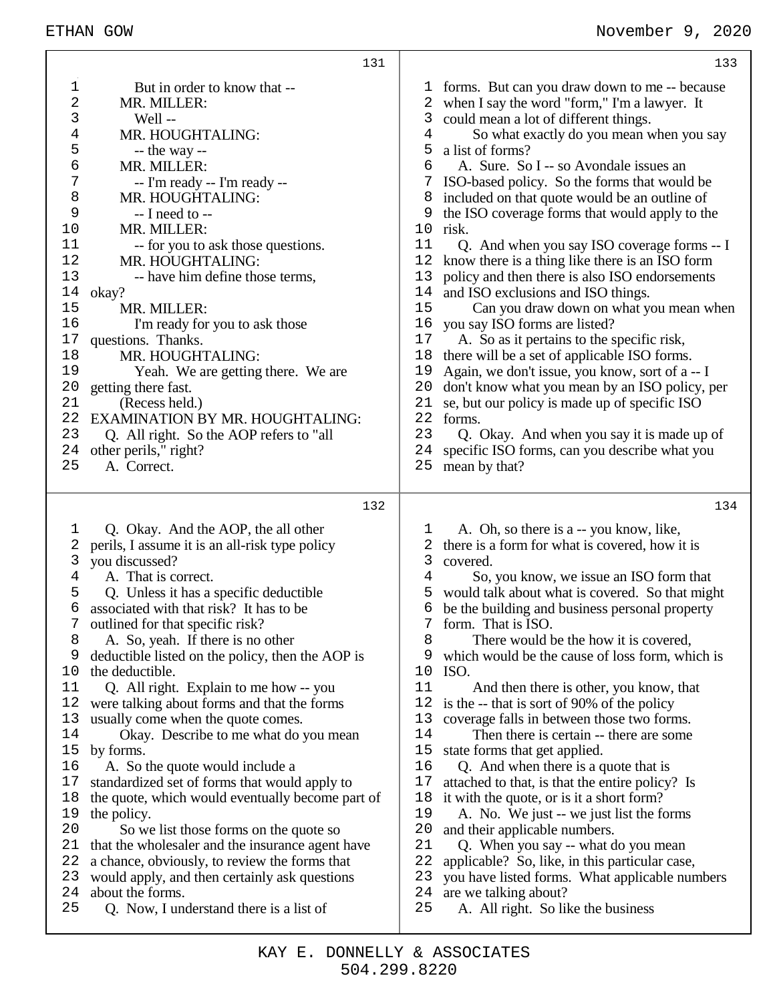|                                                                                                                                           | 131                                                                                                                                                                                                                                                                                                                                                                                                                                                                                                                                                                                                                                                                                                                                                                                                                                                                                                                                                                            | 133                                                                                                                                                                                                                                                                                                                                                                                                                                                                                                                                                                                                                                                                                                                                                                                                                                                                                                                                                                                                                                                                                                                                                                        |
|-------------------------------------------------------------------------------------------------------------------------------------------|--------------------------------------------------------------------------------------------------------------------------------------------------------------------------------------------------------------------------------------------------------------------------------------------------------------------------------------------------------------------------------------------------------------------------------------------------------------------------------------------------------------------------------------------------------------------------------------------------------------------------------------------------------------------------------------------------------------------------------------------------------------------------------------------------------------------------------------------------------------------------------------------------------------------------------------------------------------------------------|----------------------------------------------------------------------------------------------------------------------------------------------------------------------------------------------------------------------------------------------------------------------------------------------------------------------------------------------------------------------------------------------------------------------------------------------------------------------------------------------------------------------------------------------------------------------------------------------------------------------------------------------------------------------------------------------------------------------------------------------------------------------------------------------------------------------------------------------------------------------------------------------------------------------------------------------------------------------------------------------------------------------------------------------------------------------------------------------------------------------------------------------------------------------------|
| 1<br>2<br>3<br>4<br>5<br>6<br>7<br>8<br>9<br>10<br>11<br>12<br>13<br>14<br>15<br>16<br>17<br>18<br>19<br>20<br>21<br>22<br>23             | But in order to know that --<br>MR. MILLER:<br>Well --<br>MR. HOUGHTALING:<br>$-$ the way $-$<br>MR. MILLER:<br>-- I'm ready -- I'm ready --<br>MR. HOUGHTALING:<br>-- I need to --<br>MR. MILLER:<br>-- for you to ask those questions.<br>MR. HOUGHTALING:<br>-- have him define those terms,<br>okay?<br>MR. MILLER:<br>I'm ready for you to ask those<br>questions. Thanks.<br>MR. HOUGHTALING:<br>Yeah. We are getting there. We are<br>getting there fast.<br>(Recess held.)<br><b>EXAMINATION BY MR. HOUGHTALING:</b><br>Q. All right. So the AOP refers to "all                                                                                                                                                                                                                                                                                                                                                                                                        | 1 forms. But can you draw down to me -- because<br>when I say the word "form," I'm a lawyer. It<br>2<br>could mean a lot of different things.<br>3<br>So what exactly do you mean when you say<br>4<br>a list of forms?<br>5<br>A. Sure. So I -- so Avondale issues an<br>6<br>ISO-based policy. So the forms that would be<br>8<br>included on that quote would be an outline of<br>the ISO coverage forms that would apply to the<br>9<br>10<br>risk.<br>11<br>Q. And when you say ISO coverage forms -- I<br>12<br>know there is a thing like there is an ISO form<br>13<br>policy and then there is also ISO endorsements<br>and ISO exclusions and ISO things.<br>14<br>15<br>Can you draw down on what you mean when<br>you say ISO forms are listed?<br>16<br>A. So as it pertains to the specific risk,<br>17<br>there will be a set of applicable ISO forms.<br>18<br>Again, we don't issue, you know, sort of a -- I<br>19<br>20<br>don't know what you mean by an ISO policy, per<br>21<br>se, but our policy is made up of specific ISO<br>22<br>forms.<br>23<br>Q. Okay. And when you say it is made up of                                                    |
| 24<br>25                                                                                                                                  | other perils," right?<br>A. Correct.                                                                                                                                                                                                                                                                                                                                                                                                                                                                                                                                                                                                                                                                                                                                                                                                                                                                                                                                           | 24<br>specific ISO forms, can you describe what you<br>25<br>mean by that?                                                                                                                                                                                                                                                                                                                                                                                                                                                                                                                                                                                                                                                                                                                                                                                                                                                                                                                                                                                                                                                                                                 |
|                                                                                                                                           | 132                                                                                                                                                                                                                                                                                                                                                                                                                                                                                                                                                                                                                                                                                                                                                                                                                                                                                                                                                                            | 134                                                                                                                                                                                                                                                                                                                                                                                                                                                                                                                                                                                                                                                                                                                                                                                                                                                                                                                                                                                                                                                                                                                                                                        |
| 1<br>2<br>3<br>4<br>5<br>6<br>7<br>8<br>9<br>10<br>11<br>12<br>13<br>14<br>15<br>16<br>17<br>18<br>19<br>20<br>21<br>22<br>23<br>24<br>25 | Q. Okay. And the AOP, the all other<br>perils, I assume it is an all-risk type policy<br>you discussed?<br>A. That is correct.<br>Q. Unless it has a specific deductible<br>associated with that risk? It has to be<br>outlined for that specific risk?<br>A. So, yeah. If there is no other<br>deductible listed on the policy, then the AOP is<br>the deductible.<br>Q. All right. Explain to me how -- you<br>were talking about forms and that the forms<br>usually come when the quote comes.<br>Okay. Describe to me what do you mean<br>by forms.<br>A. So the quote would include a<br>standardized set of forms that would apply to<br>the quote, which would eventually become part of<br>the policy.<br>So we list those forms on the quote so<br>that the wholesaler and the insurance agent have<br>a chance, obviously, to review the forms that<br>would apply, and then certainly ask questions<br>about the forms.<br>Q. Now, I understand there is a list of | A. Oh, so there is a -- you know, like,<br>T<br>there is a form for what is covered, how it is<br>2<br>3<br>covered.<br>4<br>So, you know, we issue an ISO form that<br>would talk about what is covered. So that might<br>5<br>be the building and business personal property<br>6<br>form. That is ISO.<br>8<br>There would be the how it is covered,<br>which would be the cause of loss form, which is<br>9<br>10<br>ISO.<br>11<br>And then there is other, you know, that<br>12<br>is the -- that is sort of 90% of the policy<br>13<br>coverage falls in between those two forms.<br>14<br>Then there is certain -- there are some<br>15<br>state forms that get applied.<br>16<br>Q. And when there is a quote that is<br>17<br>attached to that, is that the entire policy? Is<br>18<br>it with the quote, or is it a short form?<br>19<br>A. No. We just -- we just list the forms<br>20<br>and their applicable numbers.<br>21<br>Q. When you say -- what do you mean<br>22<br>applicable? So, like, in this particular case,<br>23<br>you have listed forms. What applicable numbers<br>are we talking about?<br>24<br>25<br>A. All right. So like the business |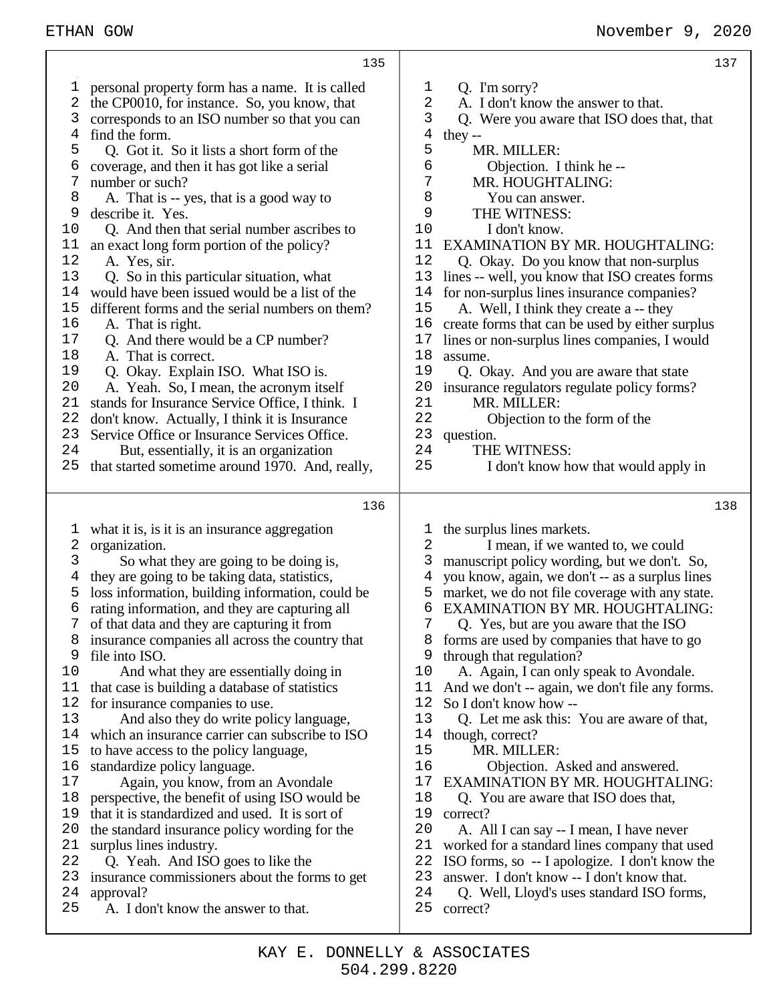|                                                                                                                                             | 135                                                                                                                                                                                                                                                                                                                                                                                                                                                                                                                                                                                                                                                                                                                                                                                                                                                                                                                                                                                                                                |                                                                                                                                           | 137                                                                                                                                                                                                                                                                                                                                                                                                                                                                                                                                                                                                                                                                                                                                                                                |
|---------------------------------------------------------------------------------------------------------------------------------------------|------------------------------------------------------------------------------------------------------------------------------------------------------------------------------------------------------------------------------------------------------------------------------------------------------------------------------------------------------------------------------------------------------------------------------------------------------------------------------------------------------------------------------------------------------------------------------------------------------------------------------------------------------------------------------------------------------------------------------------------------------------------------------------------------------------------------------------------------------------------------------------------------------------------------------------------------------------------------------------------------------------------------------------|-------------------------------------------------------------------------------------------------------------------------------------------|------------------------------------------------------------------------------------------------------------------------------------------------------------------------------------------------------------------------------------------------------------------------------------------------------------------------------------------------------------------------------------------------------------------------------------------------------------------------------------------------------------------------------------------------------------------------------------------------------------------------------------------------------------------------------------------------------------------------------------------------------------------------------------|
| T<br>2<br>3<br>4<br>5<br>6<br>7<br>8<br>9<br>$10$<br>11<br>12<br>13<br>14<br>15<br>16<br>17<br>18<br>19<br>20<br>21<br>22<br>23<br>24<br>25 | personal property form has a name. It is called<br>the CP0010, for instance. So, you know, that<br>corresponds to an ISO number so that you can<br>find the form.<br>Q. Got it. So it lists a short form of the<br>coverage, and then it has got like a serial<br>number or such?<br>A. That is -- yes, that is a good way to<br>describe it. Yes.<br>Q. And then that serial number ascribes to<br>an exact long form portion of the policy?<br>A. Yes, sir.<br>Q. So in this particular situation, what<br>would have been issued would be a list of the<br>different forms and the serial numbers on them?<br>A. That is right.<br>Q. And there would be a CP number?<br>A. That is correct.<br>Q. Okay. Explain ISO. What ISO is.<br>A. Yeah. So, I mean, the acronym itself<br>stands for Insurance Service Office, I think. I<br>don't know. Actually, I think it is Insurance<br>Service Office or Insurance Services Office.<br>But, essentially, it is an organization<br>that started sometime around 1970. And, really, | T<br>2<br>3<br>4<br>5<br>6<br>7<br>8<br>9<br>10<br>11<br>12<br>13<br>14<br>15<br>16<br>17<br>18<br>19<br>20<br>21<br>22<br>23<br>24<br>25 | Q. I'm sorry?<br>A. I don't know the answer to that.<br>Q. Were you aware that ISO does that, that<br>they $-$<br>MR. MILLER:<br>Objection. I think he --<br>MR. HOUGHTALING:<br>You can answer.<br>THE WITNESS:<br>I don't know.<br>EXAMINATION BY MR. HOUGHTALING:<br>Q. Okay. Do you know that non-surplus<br>lines -- well, you know that ISO creates forms<br>for non-surplus lines insurance companies?<br>A. Well, I think they create a -- they<br>create forms that can be used by either surplus<br>lines or non-surplus lines companies, I would<br>assume.<br>Q. Okay. And you are aware that state<br>insurance regulators regulate policy forms?<br>MR. MILLER:<br>Objection to the form of the<br>question.<br>THE WITNESS:<br>I don't know how that would apply in |
|                                                                                                                                             | 136                                                                                                                                                                                                                                                                                                                                                                                                                                                                                                                                                                                                                                                                                                                                                                                                                                                                                                                                                                                                                                |                                                                                                                                           | 138                                                                                                                                                                                                                                                                                                                                                                                                                                                                                                                                                                                                                                                                                                                                                                                |
|                                                                                                                                             |                                                                                                                                                                                                                                                                                                                                                                                                                                                                                                                                                                                                                                                                                                                                                                                                                                                                                                                                                                                                                                    |                                                                                                                                           |                                                                                                                                                                                                                                                                                                                                                                                                                                                                                                                                                                                                                                                                                                                                                                                    |
| T<br>2<br>3<br>4<br>5<br>6<br>8<br>9<br>10<br>11<br>12<br>13<br>14<br>15<br>16<br>17<br>18                                                  | what it is, is it is an insurance aggregation<br>organization.<br>So what they are going to be doing is,<br>they are going to be taking data, statistics,<br>loss information, building information, could be<br>rating information, and they are capturing all<br>of that data and they are capturing it from<br>insurance companies all across the country that<br>file into ISO.<br>And what they are essentially doing in<br>that case is building a database of statistics<br>for insurance companies to use.<br>And also they do write policy language,<br>which an insurance carrier can subscribe to ISO<br>to have access to the policy language,<br>standardize policy language.<br>Again, you know, from an Avondale<br>perspective, the benefit of using ISO would be                                                                                                                                                                                                                                                  | T<br>2<br>3<br>4<br>5<br>6<br>7<br>8<br>9<br>10<br>11<br>12<br>13<br>14<br>15<br>16<br>17<br>18                                           | the surplus lines markets.<br>I mean, if we wanted to, we could<br>manuscript policy wording, but we don't. So,<br>you know, again, we don't -- as a surplus lines<br>market, we do not file coverage with any state.<br>EXAMINATION BY MR. HOUGHTALING:<br>Q. Yes, but are you aware that the ISO<br>forms are used by companies that have to go<br>through that regulation?<br>A. Again, I can only speak to Avondale.<br>And we don't -- again, we don't file any forms.<br>So I don't know how --<br>Q. Let me ask this: You are aware of that,<br>though, correct?<br>MR. MILLER:<br>Objection. Asked and answered.<br>EXAMINATION BY MR. HOUGHTALING:<br>Q. You are aware that ISO does that,                                                                                |
| 19<br>20<br>21<br>22<br>23<br>24<br>25                                                                                                      | that it is standardized and used. It is sort of<br>the standard insurance policy wording for the<br>surplus lines industry.<br>Q. Yeah. And ISO goes to like the<br>insurance commissioners about the forms to get<br>approval?<br>A. I don't know the answer to that.                                                                                                                                                                                                                                                                                                                                                                                                                                                                                                                                                                                                                                                                                                                                                             | 19<br>20<br>21<br>22<br>23<br>24<br>25                                                                                                    | correct?<br>A. All I can say -- I mean, I have never<br>worked for a standard lines company that used<br>ISO forms, so -- I apologize. I don't know the<br>answer. I don't know -- I don't know that.<br>Q. Well, Lloyd's uses standard ISO forms,<br>correct?                                                                                                                                                                                                                                                                                                                                                                                                                                                                                                                     |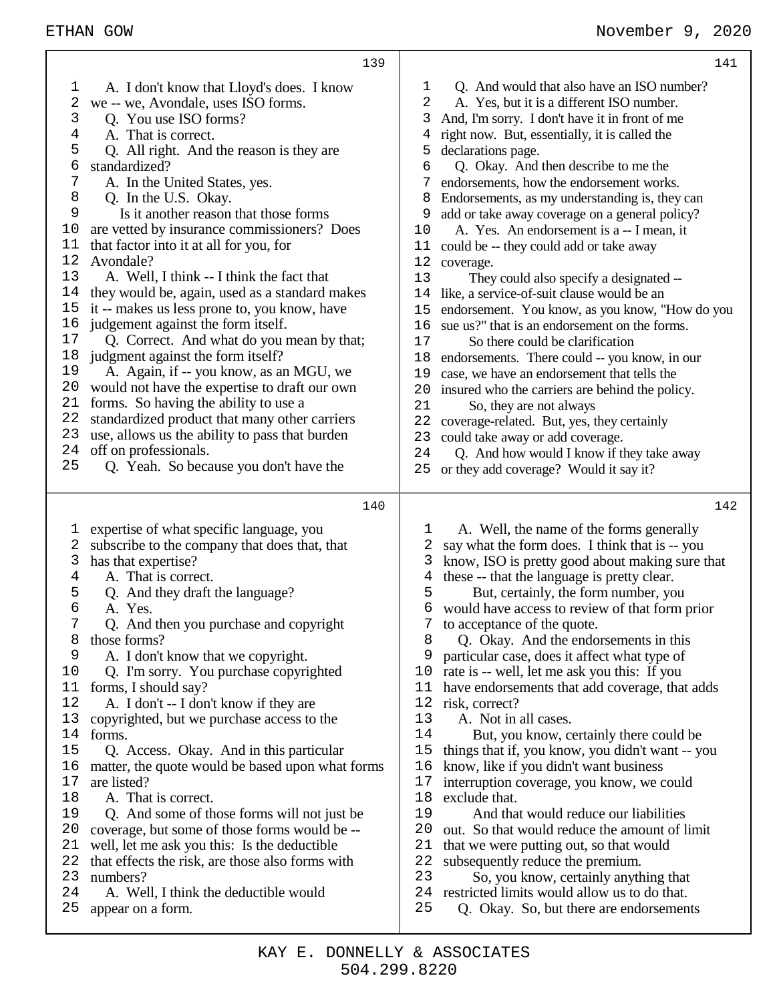|                | 139                                                        |          | 141                                                                                     |
|----------------|------------------------------------------------------------|----------|-----------------------------------------------------------------------------------------|
| 1              | A. I don't know that Lloyd's does. I know                  | 1        | Q. And would that also have an ISO number?                                              |
| 2              | we -- we, Avondale, uses ISO forms.                        | 2        | A. Yes, but it is a different ISO number.                                               |
| 3              | Q. You use ISO forms?                                      | 3        | And, I'm sorry. I don't have it in front of me                                          |
| $\overline{4}$ | A. That is correct.                                        | 4        | right now. But, essentially, it is called the                                           |
| 5              | Q. All right. And the reason is they are                   | 5        | declarations page.                                                                      |
| 6              | standardized?                                              | 6        | Q. Okay. And then describe to me the                                                    |
| 7              | A. In the United States, yes.                              |          | endorsements, how the endorsement works.                                                |
| 8              | Q. In the U.S. Okay.                                       | 8        | Endorsements, as my understanding is, they can                                          |
| 9              | Is it another reason that those forms                      | 9        | add or take away coverage on a general policy?                                          |
| 10             | are vetted by insurance commissioners? Does                | 10       | A. Yes. An endorsement is a -- I mean, it                                               |
| 11             | that factor into it at all for you, for                    | 11       | could be -- they could add or take away                                                 |
| 12             | Avondale?                                                  | 12       | coverage.                                                                               |
| 13             | A. Well, I think -- I think the fact that                  | 13       | They could also specify a designated --                                                 |
| 14             | they would be, again, used as a standard makes             | 14       | like, a service-of-suit clause would be an                                              |
| 15             | it -- makes us less prone to, you know, have               | 15       | endorsement. You know, as you know, "How do you                                         |
| 16             | judgement against the form itself.                         | 16       | sue us?" that is an endorsement on the forms.                                           |
| 17             | Q. Correct. And what do you mean by that;                  | 17       | So there could be clarification                                                         |
| 18             | judgment against the form itself?                          | 18       | endorsements. There could -- you know, in our                                           |
| 19             | A. Again, if -- you know, as an MGU, we                    | 19       | case, we have an endorsement that tells the                                             |
| 20             | would not have the expertise to draft our own              | 20       | insured who the carriers are behind the policy.                                         |
| 21             | forms. So having the ability to use a                      | 21       | So, they are not always                                                                 |
| 22             | standardized product that many other carriers              | 22       | coverage-related. But, yes, they certainly                                              |
| 23             | use, allows us the ability to pass that burden             | 23       | could take away or add coverage.                                                        |
| 24             | off on professionals.                                      | 24       | Q. And how would I know if they take away                                               |
| 25             | Q. Yeah. So because you don't have the                     | 25       | or they add coverage? Would it say it?                                                  |
|                |                                                            |          |                                                                                         |
|                |                                                            |          |                                                                                         |
|                |                                                            |          |                                                                                         |
|                | 140                                                        |          | 142                                                                                     |
| I,             | expertise of what specific language, you                   | ı        | A. Well, the name of the forms generally                                                |
| 2              | subscribe to the company that does that, that              | 2        | say what the form does. I think that is -- you                                          |
| 3              | has that expertise?                                        | 3        | know, ISO is pretty good about making sure that                                         |
| 4              | A. That is correct.                                        | 4        | these -- that the language is pretty clear.                                             |
| 5              | Q. And they draft the language?                            | 5        | But, certainly, the form number, you                                                    |
| 6              | A. Yes.                                                    | 6        | would have access to review of that form prior                                          |
| 7              | Q. And then you purchase and copyright                     | 7        | to acceptance of the quote.                                                             |
| 8              | those forms?                                               | 8        | Q. Okay. And the endorsements in this                                                   |
| 9              | A. I don't know that we copyright.                         | 9        | particular case, does it affect what type of                                            |
| 10             | Q. I'm sorry. You purchase copyrighted                     | 10       | rate is -- well, let me ask you this: If you                                            |
| 11             | forms, I should say?                                       | 11       | have endorsements that add coverage, that adds                                          |
| 12             | A. I don't -- I don't know if they are                     | 12       | risk, correct?                                                                          |
| 13             | copyrighted, but we purchase access to the                 | 13       | A. Not in all cases.                                                                    |
| 14             | forms.                                                     | 14       | But, you know, certainly there could be                                                 |
| 15             | Q. Access. Okay. And in this particular                    | 15       | things that if, you know, you didn't want -- you                                        |
| 16             | matter, the quote would be based upon what forms           | 16       | know, like if you didn't want business                                                  |
| 17             | are listed?                                                | 17       | interruption coverage, you know, we could                                               |
| 18             | A. That is correct.                                        | 18       | exclude that.                                                                           |
| 19             | Q. And some of those forms will not just be                | 19       | And that would reduce our liabilities                                                   |
| 20             | coverage, but some of those forms would be --              | 20       | out. So that would reduce the amount of limit                                           |
| 21             | well, let me ask you this: Is the deductible               | 21       | that we were putting out, so that would                                                 |
| 22             | that effects the risk, are those also forms with           | 22       | subsequently reduce the premium.                                                        |
| 23             | numbers?                                                   | 23       | So, you know, certainly anything that                                                   |
| 24<br>25       | A. Well, I think the deductible would<br>appear on a form. | 24<br>25 | restricted limits would allow us to do that.<br>Q. Okay. So, but there are endorsements |

т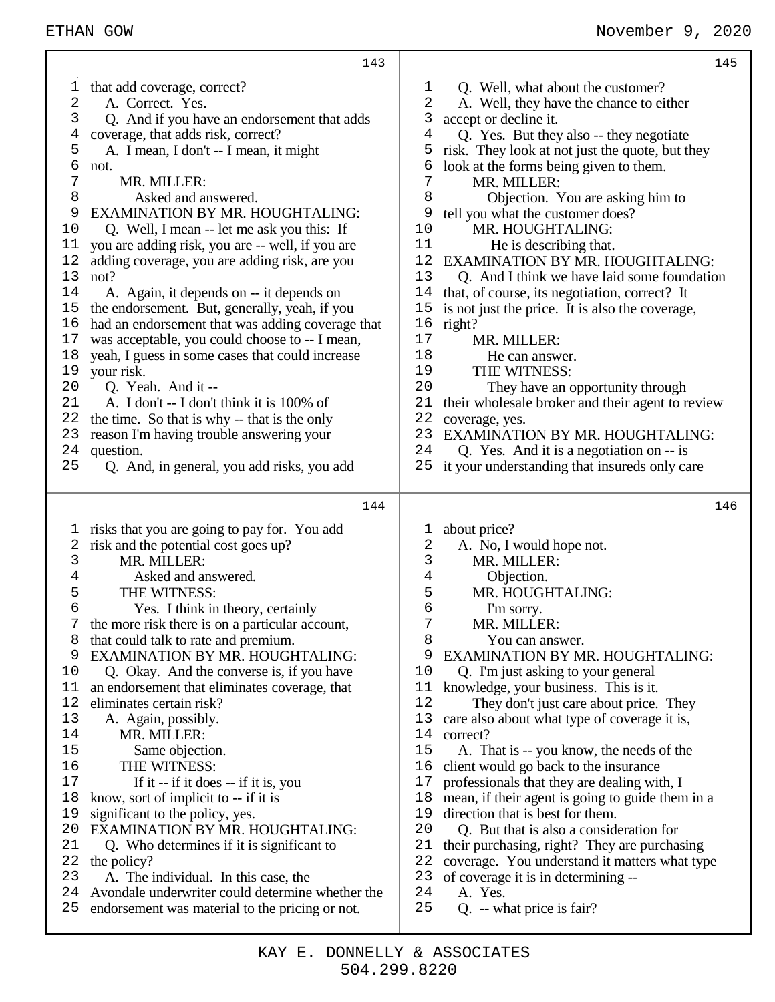|          | 143                                                           |             | 145                                              |
|----------|---------------------------------------------------------------|-------------|--------------------------------------------------|
| ı        | that add coverage, correct?                                   | $\mathbf 1$ | Q. Well, what about the customer?                |
| 2        | A. Correct. Yes.                                              | 2           | A. Well, they have the chance to either          |
| 3        | Q. And if you have an endorsement that adds                   | 3           | accept or decline it.                            |
| 4        | coverage, that adds risk, correct?                            | 4           | Q. Yes. But they also -- they negotiate          |
| 5        | A. I mean, I don't -- I mean, it might                        | 5           | risk. They look at not just the quote, but they  |
| 6        | not.                                                          | 6           | look at the forms being given to them.           |
| 7        | MR. MILLER:                                                   | 7           | MR. MILLER:                                      |
| 8        | Asked and answered.                                           | 8           | Objection. You are asking him to                 |
| 9        | <b>EXAMINATION BY MR. HOUGHTALING:</b>                        | 9           | tell you what the customer does?                 |
| 10       | Q. Well, I mean -- let me ask you this: If                    | 10          | MR. HOUGHTALING:                                 |
| 11       | you are adding risk, you are -- well, if you are              | 11          | He is describing that.                           |
| 12       | adding coverage, you are adding risk, are you                 | 12          | <b>EXAMINATION BY MR. HOUGHTALING:</b>           |
| 13       | not?                                                          | 13          | Q. And I think we have laid some foundation      |
| 14       | A. Again, it depends on -- it depends on                      | 14          | that, of course, its negotiation, correct? It    |
| 15       | the endorsement. But, generally, yeah, if you                 | 15          | is not just the price. It is also the coverage,  |
| 16<br>17 | had an endorsement that was adding coverage that              | 16<br>17    | right?<br>MR. MILLER:                            |
| 18       | was acceptable, you could choose to -- I mean,                | 18          | He can answer.                                   |
| 19       | yeah, I guess in some cases that could increase<br>your risk. | 19          | THE WITNESS:                                     |
| 20       | Q. Yeah. And it --                                            | 20          | They have an opportunity through                 |
| 21       | A. I don't -- I don't think it is 100% of                     | 21          | their wholesale broker and their agent to review |
| 22       | the time. So that is why -- that is the only                  | 22          | coverage, yes.                                   |
| 23       | reason I'm having trouble answering your                      | 23          | <b>EXAMINATION BY MR. HOUGHTALING:</b>           |
| 24       | question.                                                     | 24          | Q. Yes. And it is a negotiation on -- is         |
| 25       | Q. And, in general, you add risks, you add                    | 25          | it your understanding that insureds only care    |
|          |                                                               |             |                                                  |
|          | 144                                                           |             | 146                                              |
| T.       | risks that you are going to pay for. You add                  | 1           | about price?                                     |
| 2        | risk and the potential cost goes up?                          | 2           | A. No, I would hope not.                         |
| 3        | MR. MILLER:                                                   | 3           | MR. MILLER:                                      |
| 4        | Asked and answered.                                           | 4           | Objection.                                       |
| 5        | THE WITNESS:                                                  | 5           | MR. HOUGHTALING:                                 |
| 6        | Yes. I think in theory, certainly                             | 6           | I'm sorry.                                       |
| 7        | the more risk there is on a particular account,               | 7           | MR. MILLER:                                      |
| 8        | that could talk to rate and premium.                          | 8           | You can answer.                                  |
| 9        | <b>EXAMINATION BY MR. HOUGHTALING:</b>                        | 9           | EXAMINATION BY MR. HOUGHTALING:                  |
| 10       | Q. Okay. And the converse is, if you have                     | 10          | Q. I'm just asking to your general               |
| 11       | an endorsement that eliminates coverage, that                 | 11          | knowledge, your business. This is it.            |
| 12       | eliminates certain risk?                                      | 12          | They don't just care about price. They           |
| 13       | A. Again, possibly.                                           | 13          | care also about what type of coverage it is,     |
| 14       | MR. MILLER:                                                   | 14          | correct?                                         |
| 15       | Same objection.                                               | 15          | A. That is -- you know, the needs of the         |
| 16       | THE WITNESS:                                                  | 16          | client would go back to the insurance            |
| 17       | If it -- if it does -- if it is, you                          | 17          | professionals that they are dealing with, I      |
| 18       | know, sort of implicit to -- if it is                         | 18          | mean, if their agent is going to guide them in a |
| 19       | significant to the policy, yes.                               | 19          | direction that is best for them.                 |
| 20       | <b>EXAMINATION BY MR. HOUGHTALING:</b>                        | 20          | Q. But that is also a consideration for          |
| 21       | Q. Who determines if it is significant to                     | 21          | their purchasing, right? They are purchasing     |
| 22       | the policy?                                                   | 22          | coverage. You understand it matters what type    |
| 23       | A. The individual. In this case, the                          | 23          | of coverage it is in determining --              |
| 24       | Avondale underwriter could determine whether the              | 24          | A. Yes.                                          |

- endorsement was material to the pricing or not.
- Q. -- what price is fair?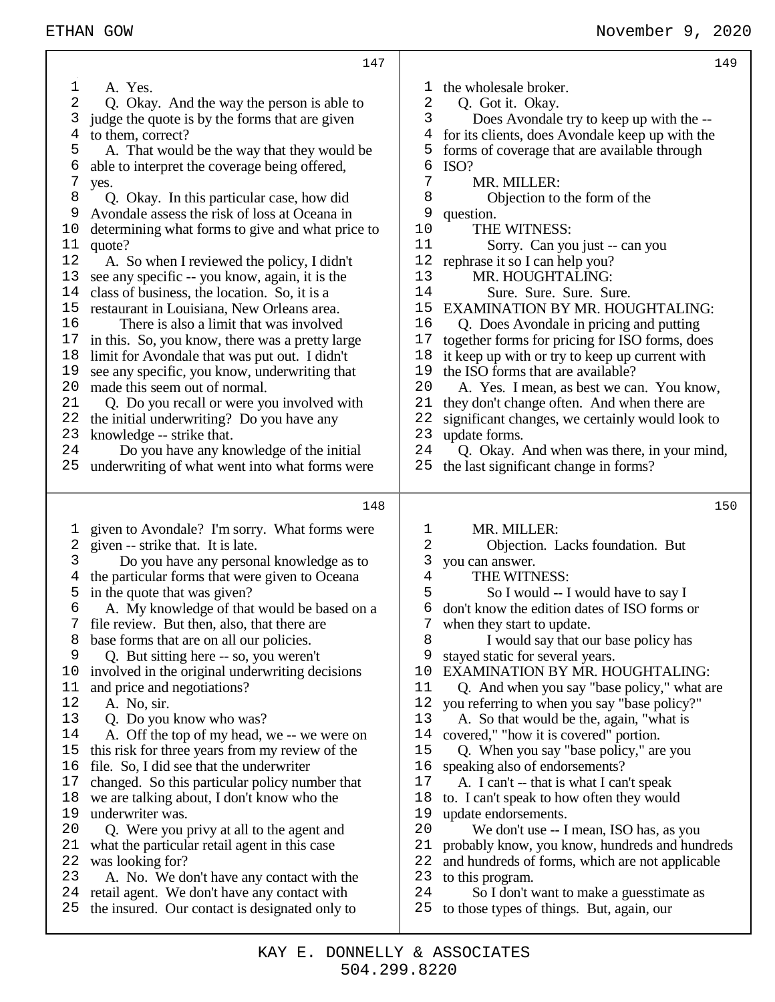|    | 147                                                                                            |        | 149                                                                                   |
|----|------------------------------------------------------------------------------------------------|--------|---------------------------------------------------------------------------------------|
| 1  | A. Yes.                                                                                        | T      | the wholesale broker.                                                                 |
| 2  | Q. Okay. And the way the person is able to                                                     | 2      | Q. Got it. Okay.                                                                      |
| 3  | judge the quote is by the forms that are given                                                 | 3      | Does Avondale try to keep up with the --                                              |
| 4  | to them, correct?                                                                              | 4      | for its clients, does Avondale keep up with the                                       |
| 5  | A. That would be the way that they would be                                                    | 5      | forms of coverage that are available through                                          |
| 6  | able to interpret the coverage being offered,                                                  | 6      | ISO?                                                                                  |
| 7  | yes.                                                                                           | 7      | MR. MILLER:                                                                           |
| 8  | Q. Okay. In this particular case, how did                                                      | 8      | Objection to the form of the                                                          |
| 9  | Avondale assess the risk of loss at Oceana in                                                  | 9      | question.                                                                             |
| 10 | determining what forms to give and what price to                                               | 10     | THE WITNESS:                                                                          |
| 11 | quote?                                                                                         | 11     | Sorry. Can you just -- can you                                                        |
| 12 | A. So when I reviewed the policy, I didn't                                                     | 12     | rephrase it so I can help you?                                                        |
| 13 | see any specific -- you know, again, it is the                                                 | 13     | MR. HOUGHTALING:                                                                      |
| 14 | class of business, the location. So, it is a                                                   | 14     | Sure. Sure. Sure. Sure.                                                               |
| 15 | restaurant in Louisiana, New Orleans area.                                                     | 15     | <b>EXAMINATION BY MR. HOUGHTALING:</b>                                                |
| 16 | There is also a limit that was involved                                                        | 16     | Q. Does Avondale in pricing and putting                                               |
| 17 | in this. So, you know, there was a pretty large                                                | 17     | together forms for pricing for ISO forms, does                                        |
| 18 | limit for Avondale that was put out. I didn't                                                  | 18     | it keep up with or try to keep up current with                                        |
| 19 | see any specific, you know, underwriting that                                                  | 19     | the ISO forms that are available?                                                     |
| 20 | made this seem out of normal.                                                                  | 20     | A. Yes. I mean, as best we can. You know,                                             |
| 21 | Q. Do you recall or were you involved with                                                     | 21     | they don't change often. And when there are                                           |
| 22 | the initial underwriting? Do you have any                                                      | 22     | significant changes, we certainly would look to                                       |
| 23 | knowledge -- strike that.                                                                      | 23     | update forms.                                                                         |
| 24 | Do you have any knowledge of the initial                                                       | 24     | Q. Okay. And when was there, in your mind,                                            |
| 25 | underwriting of what went into what forms were                                                 | 25     | the last significant change in forms?                                                 |
|    |                                                                                                |        |                                                                                       |
|    |                                                                                                |        |                                                                                       |
|    | 148                                                                                            |        | 150                                                                                   |
|    |                                                                                                |        |                                                                                       |
| ı  | given to Avondale? I'm sorry. What forms were                                                  | T      | MR. MILLER:                                                                           |
| 2  | given -- strike that. It is late.                                                              | 2      | Objection. Lacks foundation. But                                                      |
| 3  | Do you have any personal knowledge as to                                                       | 3<br>4 | you can answer.                                                                       |
| 4  | the particular forms that were given to Oceana                                                 |        | THE WITNESS:                                                                          |
| 5  | in the quote that was given?                                                                   | 5<br>6 | So I would -- I would have to say I                                                   |
| 6  | A. My knowledge of that would be based on a                                                    |        | don't know the edition dates of ISO forms or                                          |
| 8  | file review. But then, also, that there are                                                    | 8      | when they start to update.                                                            |
| 9  | base forms that are on all our policies.                                                       | 9      | I would say that our base policy has                                                  |
| 10 | Q. But sitting here -- so, you weren't                                                         | 10     | stayed static for several years.<br><b>EXAMINATION BY MR. HOUGHTALING:</b>            |
| 11 | involved in the original underwriting decisions                                                | 11     | Q. And when you say "base policy," what are                                           |
| 12 | and price and negotiations?<br>A. No, sir.                                                     | 12     |                                                                                       |
| 13 |                                                                                                | 13     | you referring to when you say "base policy?"                                          |
| 14 | Q. Do you know who was?                                                                        | 14     | A. So that would be the, again, "what is                                              |
| 15 | A. Off the top of my head, we -- we were on<br>this risk for three years from my review of the | 15     | covered," "how it is covered" portion.                                                |
| 16 | file. So, I did see that the underwriter                                                       | 16     | Q. When you say "base policy," are you<br>speaking also of endorsements?              |
| 17 | changed. So this particular policy number that                                                 | 17     | A. I can't -- that is what I can't speak                                              |
| 18 | we are talking about, I don't know who the                                                     | 18     | to. I can't speak to how often they would                                             |
| 19 | underwriter was.                                                                               | 19     | update endorsements.                                                                  |
| 20 | Q. Were you privy at all to the agent and                                                      | 20     | We don't use -- I mean, ISO has, as you                                               |
| 21 | what the particular retail agent in this case                                                  | 21     | probably know, you know, hundreds and hundreds                                        |
| 22 | was looking for?                                                                               | 22     | and hundreds of forms, which are not applicable                                       |
| 23 | A. No. We don't have any contact with the                                                      | 23     | to this program.                                                                      |
| 24 | retail agent. We don't have any contact with                                                   | 24     | So I don't want to make a guesstimate as<br>to those types of things. But, again, our |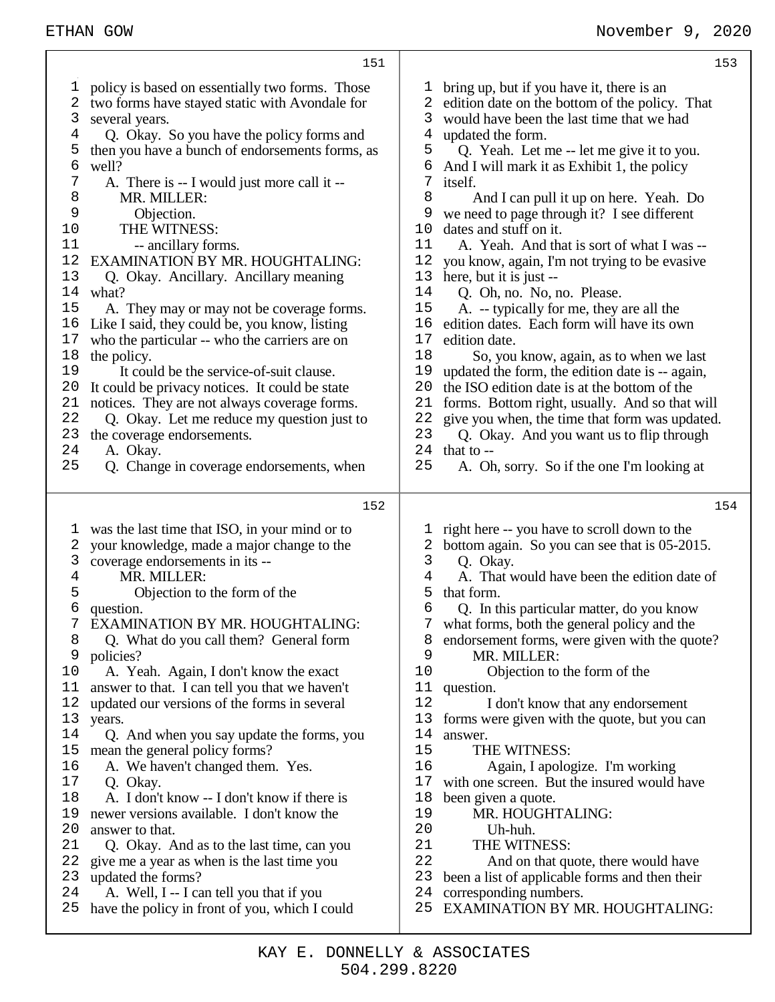|                                                                                                                                           | 151                                                                                                                                                                                                                                                                                                                                                                                                                                                                                                                                                                                                                                                                                                                                                                                                                                                                                 |                                                                                                                                            | 153                                                                                                                                                                                                                                                                                                                                                                                                                                                                                                                                                                                                                                                                                                                                                                                                                                                                                                                                                                                                                   |
|-------------------------------------------------------------------------------------------------------------------------------------------|-------------------------------------------------------------------------------------------------------------------------------------------------------------------------------------------------------------------------------------------------------------------------------------------------------------------------------------------------------------------------------------------------------------------------------------------------------------------------------------------------------------------------------------------------------------------------------------------------------------------------------------------------------------------------------------------------------------------------------------------------------------------------------------------------------------------------------------------------------------------------------------|--------------------------------------------------------------------------------------------------------------------------------------------|-----------------------------------------------------------------------------------------------------------------------------------------------------------------------------------------------------------------------------------------------------------------------------------------------------------------------------------------------------------------------------------------------------------------------------------------------------------------------------------------------------------------------------------------------------------------------------------------------------------------------------------------------------------------------------------------------------------------------------------------------------------------------------------------------------------------------------------------------------------------------------------------------------------------------------------------------------------------------------------------------------------------------|
| T<br>2<br>3<br>4<br>5<br>6<br>7<br>8<br>9<br>10<br>11<br>12<br>13<br>14<br>15<br>16<br>17<br>18<br>19<br>20<br>21<br>22<br>23<br>24<br>25 | policy is based on essentially two forms. Those<br>two forms have stayed static with Avondale for<br>several years.<br>Q. Okay. So you have the policy forms and<br>then you have a bunch of endorsements forms, as<br>well?<br>A. There is -- I would just more call it --<br>MR. MILLER:<br>Objection.<br>THE WITNESS:<br>-- ancillary forms.<br>EXAMINATION BY MR. HOUGHTALING:<br>Q. Okay. Ancillary. Ancillary meaning<br>what?<br>A. They may or may not be coverage forms.<br>Like I said, they could be, you know, listing<br>who the particular -- who the carriers are on<br>the policy.<br>It could be the service-of-suit clause.<br>It could be privacy notices. It could be state<br>notices. They are not always coverage forms.<br>Q. Okay. Let me reduce my question just to<br>the coverage endorsements.<br>A. Okay.<br>Q. Change in coverage endorsements, when | T,<br>2<br>3<br>4<br>5<br>6<br>7<br>8<br>9<br>10<br>11<br>12<br>13<br>14<br>15<br>16<br>17<br>18<br>19<br>20<br>21<br>22<br>23<br>24<br>25 | bring up, but if you have it, there is an<br>edition date on the bottom of the policy. That<br>would have been the last time that we had<br>updated the form.<br>Q. Yeah. Let me -- let me give it to you.<br>And I will mark it as Exhibit 1, the policy<br>itself.<br>And I can pull it up on here. Yeah. Do<br>we need to page through it? I see different<br>dates and stuff on it.<br>A. Yeah. And that is sort of what I was --<br>you know, again, I'm not trying to be evasive<br>here, but it is just --<br>Q. Oh, no. No, no. Please.<br>A. -- typically for me, they are all the<br>edition dates. Each form will have its own<br>edition date.<br>So, you know, again, as to when we last<br>updated the form, the edition date is -- again,<br>the ISO edition date is at the bottom of the<br>forms. Bottom right, usually. And so that will<br>give you when, the time that form was updated.<br>Q. Okay. And you want us to flip through<br>that to $-$<br>A. Oh, sorry. So if the one I'm looking at |
|                                                                                                                                           |                                                                                                                                                                                                                                                                                                                                                                                                                                                                                                                                                                                                                                                                                                                                                                                                                                                                                     |                                                                                                                                            |                                                                                                                                                                                                                                                                                                                                                                                                                                                                                                                                                                                                                                                                                                                                                                                                                                                                                                                                                                                                                       |
|                                                                                                                                           | 152                                                                                                                                                                                                                                                                                                                                                                                                                                                                                                                                                                                                                                                                                                                                                                                                                                                                                 |                                                                                                                                            | 154                                                                                                                                                                                                                                                                                                                                                                                                                                                                                                                                                                                                                                                                                                                                                                                                                                                                                                                                                                                                                   |
| T<br>2<br>3<br>4<br>5<br>6<br>8<br>9<br>10<br>11<br>12<br>13<br>14<br>15<br>16<br>17<br>18<br>19<br>20<br>21<br>22<br>23                  | was the last time that ISO, in your mind or to<br>your knowledge, made a major change to the<br>coverage endorsements in its --<br>MR. MILLER:<br>Objection to the form of the<br>question.<br>EXAMINATION BY MR. HOUGHTALING:<br>Q. What do you call them? General form<br>policies?<br>A. Yeah. Again, I don't know the exact<br>answer to that. I can tell you that we haven't<br>updated our versions of the forms in several<br>years.<br>Q. And when you say update the forms, you<br>mean the general policy forms?<br>A. We haven't changed them. Yes.<br>Q. Okay.<br>A. I don't know -- I don't know if there is<br>newer versions available. I don't know the<br>answer to that.<br>Q. Okay. And as to the last time, can you<br>give me a year as when is the last time you<br>updated the forms?                                                                        | ı<br>2<br>$\mathsf{3}$<br>4<br>5<br>6<br>7<br>8<br>9<br>10<br>11<br>12<br>13<br>14<br>15<br>16<br>17<br>18<br>19<br>20<br>21<br>22<br>23   | right here -- you have to scroll down to the<br>bottom again. So you can see that is 05-2015.<br>Q. Okay.<br>A. That would have been the edition date of<br>that form.<br>Q. In this particular matter, do you know<br>what forms, both the general policy and the<br>endorsement forms, were given with the quote?<br>MR. MILLER:<br>Objection to the form of the<br>question.<br>I don't know that any endorsement<br>forms were given with the quote, but you can<br>answer.<br>THE WITNESS:<br>Again, I apologize. I'm working<br>with one screen. But the insured would have<br>been given a quote.<br>MR. HOUGHTALING:<br>Uh-huh.<br>THE WITNESS:<br>And on that quote, there would have<br>been a list of applicable forms and then their                                                                                                                                                                                                                                                                      |

⊤

## 504.299.8220 KAY E. DONNELLY & ASSOCIATES

 $3<sup>5</sup>$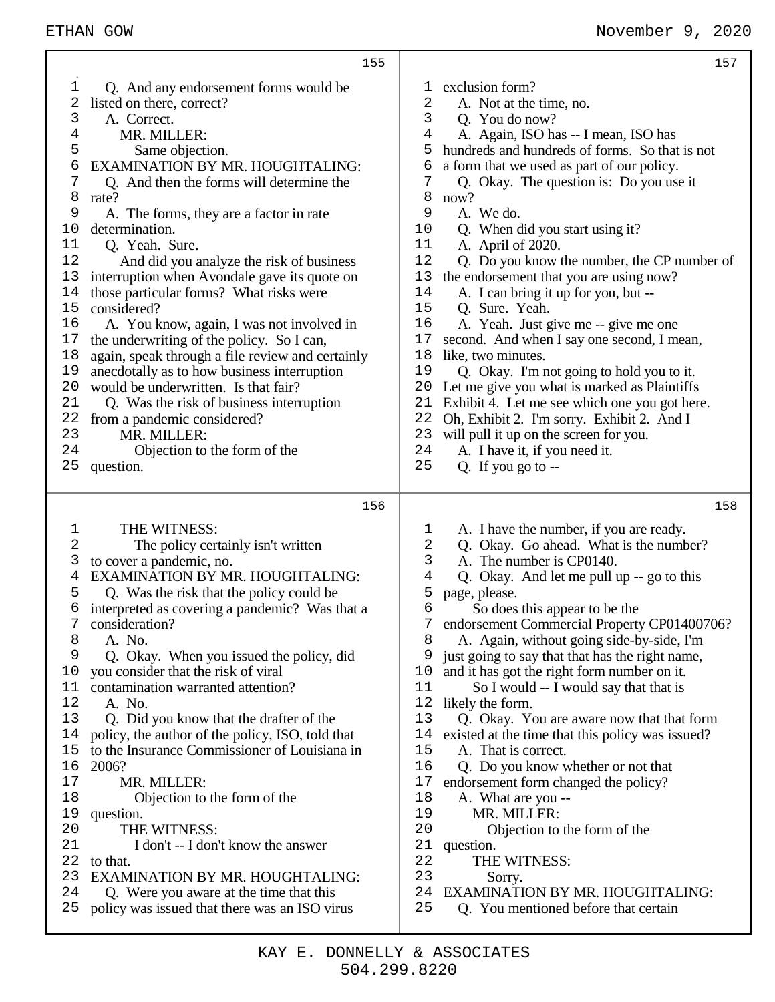|                                                                                                                                           | 155                                                                                                                                                                                                                                                                                                                                                                                                                                                                                                                                                                                                                                                                                                                                                                                                                          |                                                                                                                                            | 157                                                                                                                                                                                                                                                                                                                                                                                                                                                                                                                                                                                                                                                                                                                                                                                                                                                                                        |
|-------------------------------------------------------------------------------------------------------------------------------------------|------------------------------------------------------------------------------------------------------------------------------------------------------------------------------------------------------------------------------------------------------------------------------------------------------------------------------------------------------------------------------------------------------------------------------------------------------------------------------------------------------------------------------------------------------------------------------------------------------------------------------------------------------------------------------------------------------------------------------------------------------------------------------------------------------------------------------|--------------------------------------------------------------------------------------------------------------------------------------------|--------------------------------------------------------------------------------------------------------------------------------------------------------------------------------------------------------------------------------------------------------------------------------------------------------------------------------------------------------------------------------------------------------------------------------------------------------------------------------------------------------------------------------------------------------------------------------------------------------------------------------------------------------------------------------------------------------------------------------------------------------------------------------------------------------------------------------------------------------------------------------------------|
| 1<br>2<br>3<br>4<br>5<br>б<br>7<br>8<br>9<br>10<br>11<br>12<br>13<br>14<br>15<br>16<br>17<br>18<br>19<br>20<br>21<br>22<br>23<br>24<br>25 | Q. And any endorsement forms would be<br>listed on there, correct?<br>A. Correct.<br>MR. MILLER:<br>Same objection.<br>EXAMINATION BY MR. HOUGHTALING:<br>Q. And then the forms will determine the<br>rate?<br>A. The forms, they are a factor in rate<br>determination.<br>Q. Yeah. Sure.<br>And did you analyze the risk of business<br>interruption when Avondale gave its quote on<br>those particular forms? What risks were<br>considered?<br>A. You know, again, I was not involved in<br>the underwriting of the policy. So I can,<br>again, speak through a file review and certainly<br>anecdotally as to how business interruption<br>would be underwritten. Is that fair?<br>Q. Was the risk of business interruption<br>from a pandemic considered?<br>MR. MILLER:<br>Objection to the form of the<br>question. | ı.<br>2<br>3<br>4<br>5<br>6<br>7<br>8<br>9<br>10<br>11<br>12<br>13<br>14<br>15<br>16<br>17<br>18<br>19<br>20<br>21<br>22<br>23<br>24<br>25 | exclusion form?<br>A. Not at the time, no.<br>Q. You do now?<br>A. Again, ISO has -- I mean, ISO has<br>hundreds and hundreds of forms. So that is not<br>a form that we used as part of our policy.<br>Q. Okay. The question is: Do you use it<br>now?<br>A. We do.<br>Q. When did you start using it?<br>A. April of 2020.<br>Q. Do you know the number, the CP number of<br>the endorsement that you are using now?<br>A. I can bring it up for you, but --<br>Q. Sure. Yeah.<br>A. Yeah. Just give me -- give me one<br>second. And when I say one second, I mean,<br>like, two minutes.<br>Q. Okay. I'm not going to hold you to it.<br>Let me give you what is marked as Plaintiffs<br>Exhibit 4. Let me see which one you got here.<br>Oh, Exhibit 2. I'm sorry. Exhibit 2. And I<br>will pull it up on the screen for you.<br>A. I have it, if you need it.<br>Q. If you go to $-$ |
|                                                                                                                                           |                                                                                                                                                                                                                                                                                                                                                                                                                                                                                                                                                                                                                                                                                                                                                                                                                              |                                                                                                                                            |                                                                                                                                                                                                                                                                                                                                                                                                                                                                                                                                                                                                                                                                                                                                                                                                                                                                                            |
|                                                                                                                                           | 156                                                                                                                                                                                                                                                                                                                                                                                                                                                                                                                                                                                                                                                                                                                                                                                                                          |                                                                                                                                            |                                                                                                                                                                                                                                                                                                                                                                                                                                                                                                                                                                                                                                                                                                                                                                                                                                                                                            |
|                                                                                                                                           |                                                                                                                                                                                                                                                                                                                                                                                                                                                                                                                                                                                                                                                                                                                                                                                                                              |                                                                                                                                            | 158                                                                                                                                                                                                                                                                                                                                                                                                                                                                                                                                                                                                                                                                                                                                                                                                                                                                                        |
| 1                                                                                                                                         | THE WITNESS:                                                                                                                                                                                                                                                                                                                                                                                                                                                                                                                                                                                                                                                                                                                                                                                                                 | ı                                                                                                                                          | A. I have the number, if you are ready.                                                                                                                                                                                                                                                                                                                                                                                                                                                                                                                                                                                                                                                                                                                                                                                                                                                    |
| 2                                                                                                                                         | The policy certainly isn't written                                                                                                                                                                                                                                                                                                                                                                                                                                                                                                                                                                                                                                                                                                                                                                                           | 2                                                                                                                                          | Q. Okay. Go ahead. What is the number?                                                                                                                                                                                                                                                                                                                                                                                                                                                                                                                                                                                                                                                                                                                                                                                                                                                     |
| 3                                                                                                                                         | to cover a pandemic, no.                                                                                                                                                                                                                                                                                                                                                                                                                                                                                                                                                                                                                                                                                                                                                                                                     | 3                                                                                                                                          | A. The number is CP0140.                                                                                                                                                                                                                                                                                                                                                                                                                                                                                                                                                                                                                                                                                                                                                                                                                                                                   |
| 4                                                                                                                                         | EXAMINATION BY MR. HOUGHTALING:                                                                                                                                                                                                                                                                                                                                                                                                                                                                                                                                                                                                                                                                                                                                                                                              | 4                                                                                                                                          | Q. Okay. And let me pull up -- go to this                                                                                                                                                                                                                                                                                                                                                                                                                                                                                                                                                                                                                                                                                                                                                                                                                                                  |
| 5                                                                                                                                         | Q. Was the risk that the policy could be                                                                                                                                                                                                                                                                                                                                                                                                                                                                                                                                                                                                                                                                                                                                                                                     | 5                                                                                                                                          | page, please.                                                                                                                                                                                                                                                                                                                                                                                                                                                                                                                                                                                                                                                                                                                                                                                                                                                                              |
| б                                                                                                                                         | interpreted as covering a pandemic? Was that a                                                                                                                                                                                                                                                                                                                                                                                                                                                                                                                                                                                                                                                                                                                                                                               | 6                                                                                                                                          | So does this appear to be the                                                                                                                                                                                                                                                                                                                                                                                                                                                                                                                                                                                                                                                                                                                                                                                                                                                              |
| 7                                                                                                                                         | consideration?                                                                                                                                                                                                                                                                                                                                                                                                                                                                                                                                                                                                                                                                                                                                                                                                               |                                                                                                                                            | endorsement Commercial Property CP01400706?                                                                                                                                                                                                                                                                                                                                                                                                                                                                                                                                                                                                                                                                                                                                                                                                                                                |
| 8<br>9                                                                                                                                    | A. No.                                                                                                                                                                                                                                                                                                                                                                                                                                                                                                                                                                                                                                                                                                                                                                                                                       | 8                                                                                                                                          | A. Again, without going side-by-side, I'm                                                                                                                                                                                                                                                                                                                                                                                                                                                                                                                                                                                                                                                                                                                                                                                                                                                  |
| 10                                                                                                                                        | Q. Okay. When you issued the policy, did<br>you consider that the risk of viral                                                                                                                                                                                                                                                                                                                                                                                                                                                                                                                                                                                                                                                                                                                                              | 10                                                                                                                                         | just going to say that that has the right name,<br>and it has got the right form number on it.                                                                                                                                                                                                                                                                                                                                                                                                                                                                                                                                                                                                                                                                                                                                                                                             |
| 11                                                                                                                                        | contamination warranted attention?                                                                                                                                                                                                                                                                                                                                                                                                                                                                                                                                                                                                                                                                                                                                                                                           | 11                                                                                                                                         | So I would -- I would say that that is                                                                                                                                                                                                                                                                                                                                                                                                                                                                                                                                                                                                                                                                                                                                                                                                                                                     |
| 12                                                                                                                                        | A. No.                                                                                                                                                                                                                                                                                                                                                                                                                                                                                                                                                                                                                                                                                                                                                                                                                       | 12                                                                                                                                         | likely the form.                                                                                                                                                                                                                                                                                                                                                                                                                                                                                                                                                                                                                                                                                                                                                                                                                                                                           |
| 13                                                                                                                                        | Q. Did you know that the drafter of the                                                                                                                                                                                                                                                                                                                                                                                                                                                                                                                                                                                                                                                                                                                                                                                      | 13                                                                                                                                         | Q. Okay. You are aware now that that form                                                                                                                                                                                                                                                                                                                                                                                                                                                                                                                                                                                                                                                                                                                                                                                                                                                  |
| 14                                                                                                                                        | policy, the author of the policy, ISO, told that                                                                                                                                                                                                                                                                                                                                                                                                                                                                                                                                                                                                                                                                                                                                                                             | 14                                                                                                                                         | existed at the time that this policy was issued?                                                                                                                                                                                                                                                                                                                                                                                                                                                                                                                                                                                                                                                                                                                                                                                                                                           |
| 15                                                                                                                                        | to the Insurance Commissioner of Louisiana in                                                                                                                                                                                                                                                                                                                                                                                                                                                                                                                                                                                                                                                                                                                                                                                | 15                                                                                                                                         | A. That is correct.                                                                                                                                                                                                                                                                                                                                                                                                                                                                                                                                                                                                                                                                                                                                                                                                                                                                        |
| 16                                                                                                                                        | 2006?                                                                                                                                                                                                                                                                                                                                                                                                                                                                                                                                                                                                                                                                                                                                                                                                                        | 16                                                                                                                                         | Q. Do you know whether or not that                                                                                                                                                                                                                                                                                                                                                                                                                                                                                                                                                                                                                                                                                                                                                                                                                                                         |
| 17                                                                                                                                        | MR. MILLER:                                                                                                                                                                                                                                                                                                                                                                                                                                                                                                                                                                                                                                                                                                                                                                                                                  | 17                                                                                                                                         | endorsement form changed the policy?                                                                                                                                                                                                                                                                                                                                                                                                                                                                                                                                                                                                                                                                                                                                                                                                                                                       |
| 18                                                                                                                                        | Objection to the form of the                                                                                                                                                                                                                                                                                                                                                                                                                                                                                                                                                                                                                                                                                                                                                                                                 | 18                                                                                                                                         | A. What are you --                                                                                                                                                                                                                                                                                                                                                                                                                                                                                                                                                                                                                                                                                                                                                                                                                                                                         |
| 19                                                                                                                                        | question.                                                                                                                                                                                                                                                                                                                                                                                                                                                                                                                                                                                                                                                                                                                                                                                                                    | 19                                                                                                                                         | MR. MILLER:                                                                                                                                                                                                                                                                                                                                                                                                                                                                                                                                                                                                                                                                                                                                                                                                                                                                                |
| 20                                                                                                                                        | THE WITNESS:                                                                                                                                                                                                                                                                                                                                                                                                                                                                                                                                                                                                                                                                                                                                                                                                                 | 20                                                                                                                                         | Objection to the form of the                                                                                                                                                                                                                                                                                                                                                                                                                                                                                                                                                                                                                                                                                                                                                                                                                                                               |
| 21                                                                                                                                        | I don't -- I don't know the answer                                                                                                                                                                                                                                                                                                                                                                                                                                                                                                                                                                                                                                                                                                                                                                                           | 21                                                                                                                                         | question.                                                                                                                                                                                                                                                                                                                                                                                                                                                                                                                                                                                                                                                                                                                                                                                                                                                                                  |
| 22<br>23                                                                                                                                  | to that.                                                                                                                                                                                                                                                                                                                                                                                                                                                                                                                                                                                                                                                                                                                                                                                                                     | 22<br>23                                                                                                                                   | THE WITNESS:                                                                                                                                                                                                                                                                                                                                                                                                                                                                                                                                                                                                                                                                                                                                                                                                                                                                               |
| 24                                                                                                                                        | <b>EXAMINATION BY MR. HOUGHTALING:</b><br>Q. Were you aware at the time that this                                                                                                                                                                                                                                                                                                                                                                                                                                                                                                                                                                                                                                                                                                                                            | 24                                                                                                                                         | Sorry.<br>EXAMINATION BY MR. HOUGHTALING:                                                                                                                                                                                                                                                                                                                                                                                                                                                                                                                                                                                                                                                                                                                                                                                                                                                  |

т

- 
- policy was issued that there was an ISO virus 25 Q. You mentioned before that certain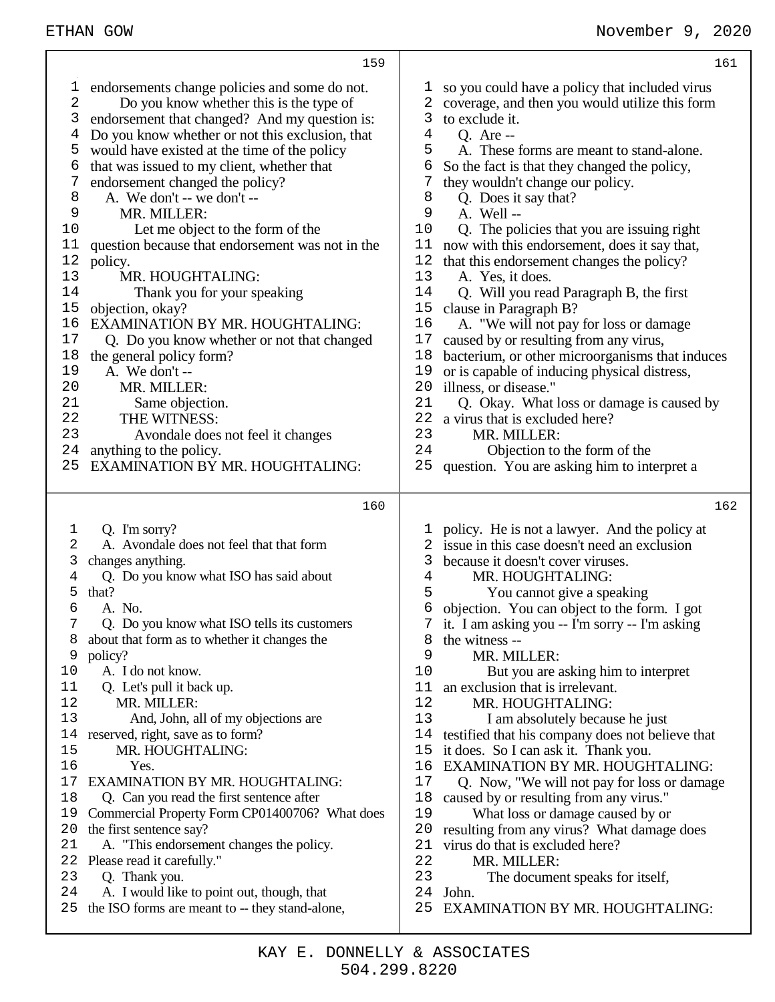| 159                                                                                                                                                                                                                                                                                                                                                                                                                                                                                                                                                                                                                                                                                                                                                                                                                                                                                                                                                                                   | 161                                                                                                                                                                                                                                                                                                                                                                                                                                                                                                                                                                                                                                                                                                                                                                                                                                                                                                                                                                                                                                                                                   |
|---------------------------------------------------------------------------------------------------------------------------------------------------------------------------------------------------------------------------------------------------------------------------------------------------------------------------------------------------------------------------------------------------------------------------------------------------------------------------------------------------------------------------------------------------------------------------------------------------------------------------------------------------------------------------------------------------------------------------------------------------------------------------------------------------------------------------------------------------------------------------------------------------------------------------------------------------------------------------------------|---------------------------------------------------------------------------------------------------------------------------------------------------------------------------------------------------------------------------------------------------------------------------------------------------------------------------------------------------------------------------------------------------------------------------------------------------------------------------------------------------------------------------------------------------------------------------------------------------------------------------------------------------------------------------------------------------------------------------------------------------------------------------------------------------------------------------------------------------------------------------------------------------------------------------------------------------------------------------------------------------------------------------------------------------------------------------------------|
| endorsements change policies and some do not.<br>T<br>2<br>Do you know whether this is the type of<br>3<br>endorsement that changed? And my question is:<br>Do you know whether or not this exclusion, that<br>4<br>would have existed at the time of the policy<br>5<br>6<br>that was issued to my client, whether that<br>endorsement changed the policy?<br>7<br>8<br>A. We don't -- we don't --<br>9<br>MR. MILLER:<br>10<br>Let me object to the form of the<br>question because that endorsement was not in the<br>11<br>12<br>policy.<br>13<br>MR. HOUGHTALING:<br>14<br>Thank you for your speaking<br>15<br>objection, okay?<br>16<br>EXAMINATION BY MR. HOUGHTALING:<br>17<br>Q. Do you know whether or not that changed<br>18<br>the general policy form?<br>19<br>A. We don't --<br>20<br>MR. MILLER:<br>21<br>Same objection.<br>22<br>THE WITNESS:<br>23<br>Avondale does not feel it changes<br>24<br>anything to the policy.<br>EXAMINATION BY MR. HOUGHTALING:<br>25 | so you could have a policy that included virus<br>T<br>coverage, and then you would utilize this form<br>2<br>3<br>to exclude it.<br>4<br><b>Q.</b> Are --<br>5<br>A. These forms are meant to stand-alone.<br>6<br>So the fact is that they changed the policy,<br>7<br>they wouldn't change our policy.<br>8<br>Q. Does it say that?<br>9<br>A. Well-<br>10<br>Q. The policies that you are issuing right<br>now with this endorsement, does it say that,<br>11<br>12<br>that this endorsement changes the policy?<br>13<br>A. Yes, it does.<br>14<br>Q. Will you read Paragraph B, the first<br>15<br>clause in Paragraph B?<br>16<br>A. "We will not pay for loss or damage<br>17<br>caused by or resulting from any virus,<br>bacterium, or other microorganisms that induces<br>18<br>or is capable of inducing physical distress,<br>19<br>20<br>illness, or disease."<br>21<br>Q. Okay. What loss or damage is caused by<br>22 a virus that is excluded here?<br>23<br>MR. MILLER:<br>24<br>Objection to the form of the<br>question. You are asking him to interpret a<br>25 |
| 160                                                                                                                                                                                                                                                                                                                                                                                                                                                                                                                                                                                                                                                                                                                                                                                                                                                                                                                                                                                   | 162                                                                                                                                                                                                                                                                                                                                                                                                                                                                                                                                                                                                                                                                                                                                                                                                                                                                                                                                                                                                                                                                                   |
| Q. I'm sorry?<br>1<br>A. Avondale does not feel that that form<br>2<br>changes anything.<br>3<br>Q. Do you know what ISO has said about<br>4<br>that?<br>5<br>6<br>A. No.<br>Q. Do you know what ISO tells its customers<br>about that form as to whether it changes the<br>8<br>9<br>policy?<br>10<br>A. I do not know.<br>Q. Let's pull it back up.<br>11<br>12<br>MR. MILLER:<br>13<br>And, John, all of my objections are<br>14<br>reserved, right, save as to form?<br>MR. HOUGHTALING:<br>15<br>Yes.<br>16<br><b>EXAMINATION BY MR. HOUGHTALING:</b><br>17<br>18<br>Q. Can you read the first sentence after<br>Commercial Property Form CP01400706? What does<br>19<br>the first sentence say?<br>20<br>21<br>A. "This endorsement changes the policy.<br>22<br>Please read it carefully."<br>23<br>Q. Thank you.<br>A. I would like to point out, though, that<br>24<br>the ISO forms are meant to -- they stand-alone,<br>25                                                 | policy. He is not a lawyer. And the policy at<br>issue in this case doesn't need an exclusion<br>3<br>because it doesn't cover viruses.<br>MR. HOUGHTALING:<br>4<br>5<br>You cannot give a speaking<br>objection. You can object to the form. I got<br>6<br>7 it. I am asking you -- I'm sorry -- I'm asking<br>8<br>the witness --<br>9<br>MR. MILLER:<br>10<br>But you are asking him to interpret<br>an exclusion that is irrelevant.<br>11<br>12<br>MR. HOUGHTALING:<br>13<br>I am absolutely because he just<br>14<br>testified that his company does not believe that<br>15<br>it does. So I can ask it. Thank you.<br><b>EXAMINATION BY MR. HOUGHTALING:</b><br>16<br>17<br>Q. Now, "We will not pay for loss or damage<br>18<br>caused by or resulting from any virus."<br>19<br>What loss or damage caused by or<br>20<br>resulting from any virus? What damage does<br>21<br>virus do that is excluded here?<br>22<br>MR. MILLER:<br>23<br>The document speaks for itself,<br>24<br>John.<br>25<br>EXAMINATION BY MR. HOUGHTALING:                                          |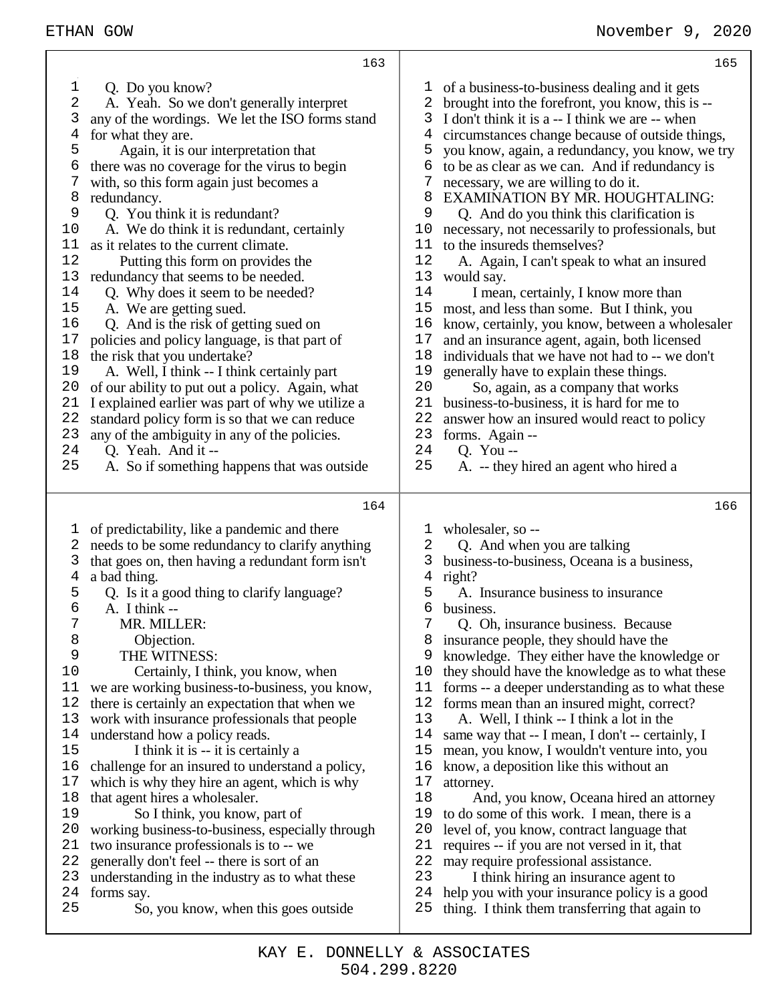| 165                                                                                                                                                                                                                                                                                                                                                                                                                                                                                                                                                                                                                                                                                                                                                                                                                                                                                                                                                                                                                                                                                                                                                             |
|-----------------------------------------------------------------------------------------------------------------------------------------------------------------------------------------------------------------------------------------------------------------------------------------------------------------------------------------------------------------------------------------------------------------------------------------------------------------------------------------------------------------------------------------------------------------------------------------------------------------------------------------------------------------------------------------------------------------------------------------------------------------------------------------------------------------------------------------------------------------------------------------------------------------------------------------------------------------------------------------------------------------------------------------------------------------------------------------------------------------------------------------------------------------|
| of a business-to-business dealing and it gets<br>T<br>2<br>brought into the forefront, you know, this is --<br>I don't think it is a -- I think we are -- when<br>3<br>circumstances change because of outside things,<br>4<br>you know, again, a redundancy, you know, we try<br>5<br>6<br>to be as clear as we can. And if redundancy is<br>7<br>necessary, we are willing to do it.<br>8<br>EXAMINATION BY MR. HOUGHTALING:<br>9<br>Q. And do you think this clarification is<br>necessary, not necessarily to professionals, but<br>10<br>to the insureds themselves?<br>11<br>12<br>A. Again, I can't speak to what an insured<br>13<br>would say.<br>14<br>I mean, certainly, I know more than<br>15<br>most, and less than some. But I think, you<br>16<br>know, certainly, you know, between a wholesaler<br>17<br>and an insurance agent, again, both licensed<br>individuals that we have not had to -- we don't<br>18<br>19<br>generally have to explain these things.<br>20<br>So, again, as a company that works<br>21<br>business-to-business, it is hard for me to<br>22<br>answer how an insured would react to policy<br>23<br>forms. Again -- |
| 24<br>O. You --                                                                                                                                                                                                                                                                                                                                                                                                                                                                                                                                                                                                                                                                                                                                                                                                                                                                                                                                                                                                                                                                                                                                                 |
| 25<br>A. -- they hired an agent who hired a                                                                                                                                                                                                                                                                                                                                                                                                                                                                                                                                                                                                                                                                                                                                                                                                                                                                                                                                                                                                                                                                                                                     |
| 166                                                                                                                                                                                                                                                                                                                                                                                                                                                                                                                                                                                                                                                                                                                                                                                                                                                                                                                                                                                                                                                                                                                                                             |
| wholesaler, so --<br>1<br>2<br>Q. And when you are talking<br>business-to-business, Oceana is a business,<br>3<br>4<br>right?<br>5<br>A. Insurance business to insurance<br>6<br>business.<br>7<br>Q. Oh, insurance business. Because<br>insurance people, they should have the<br>8<br>knowledge. They either have the knowledge or<br>9<br>10<br>they should have the knowledge as to what these<br>forms -- a deeper understanding as to what these<br>11<br>12<br>forms mean than an insured might, correct?<br>13<br>A. Well, I think -- I think a lot in the<br>14<br>same way that -- I mean, I don't -- certainly, I<br>15<br>mean, you know, I wouldn't venture into, you<br>16<br>know, a deposition like this without an<br>17<br>attorney.<br>18<br>And, you know, Oceana hired an attorney<br>19<br>to do some of this work. I mean, there is a<br>20<br>level of, you know, contract language that<br>21<br>requires -- if you are not versed in it, that<br>22<br>may require professional assistance.<br>23<br>I think hiring an insurance agent to<br>help you with your insurance policy is a good<br>24                                      |
|                                                                                                                                                                                                                                                                                                                                                                                                                                                                                                                                                                                                                                                                                                                                                                                                                                                                                                                                                                                                                                                                                                                                                                 |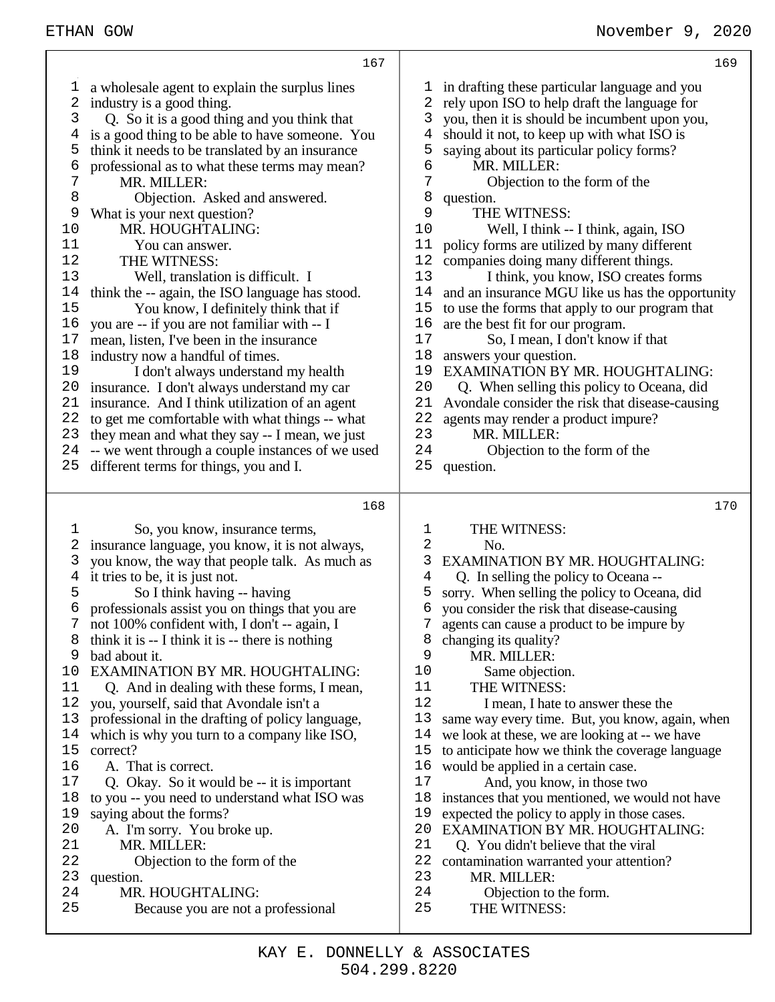|          | 167                                                                 |          | 169                                              |
|----------|---------------------------------------------------------------------|----------|--------------------------------------------------|
| ı,       | a wholesale agent to explain the surplus lines                      | ı        | in drafting these particular language and you    |
| 2        | industry is a good thing.                                           | 2        | rely upon ISO to help draft the language for     |
| 3        | Q. So it is a good thing and you think that                         | 3        | you, then it is should be incumbent upon you,    |
| 4        | is a good thing to be able to have someone. You                     | 4        | should it not, to keep up with what ISO is       |
| 5        | think it needs to be translated by an insurance                     | 5        | saying about its particular policy forms?        |
| 6        | professional as to what these terms may mean?                       | 6        | MR. MILLER:                                      |
| 7        | MR. MILLER:                                                         | 7        | Objection to the form of the                     |
| 8        | Objection. Asked and answered.                                      | 8        | question.                                        |
| 9        | What is your next question?                                         | 9        | THE WITNESS:                                     |
| 10       | MR. HOUGHTALING:                                                    | 10       | Well, I think -- I think, again, ISO             |
| 11       | You can answer.                                                     | 11       | policy forms are utilized by many different      |
| 12       | THE WITNESS:                                                        | 12       | companies doing many different things.           |
| 13       | Well, translation is difficult. I                                   | 13       | I think, you know, ISO creates forms             |
| 14       | think the -- again, the ISO language has stood.                     | 14       | and an insurance MGU like us has the opportunity |
| 15       | You know, I definitely think that if                                | 15       | to use the forms that apply to our program that  |
| 16       | you are -- if you are not familiar with -- I                        | 16       | are the best fit for our program.                |
| 17       | mean, listen, I've been in the insurance                            | 17       | So, I mean, I don't know if that                 |
| 18       | industry now a handful of times.                                    | 18       | answers your question.                           |
| 19       | I don't always understand my health                                 | 19       | EXAMINATION BY MR. HOUGHTALING:                  |
| 20       | insurance. I don't always understand my car                         | 20       | Q. When selling this policy to Oceana, did       |
| 21       | insurance. And I think utilization of an agent                      | 21       | Avondale consider the risk that disease-causing  |
| 22       | to get me comfortable with what things -- what                      | 22       | agents may render a product impure?              |
| 23       | they mean and what they say -- I mean, we just                      | 23       | MR. MILLER:                                      |
| 24       | -- we went through a couple instances of we used                    | 24       | Objection to the form of the                     |
| 25       | different terms for things, you and I.                              | 25       | question.                                        |
|          |                                                                     |          |                                                  |
|          |                                                                     |          |                                                  |
|          | 168                                                                 |          | 170                                              |
|          |                                                                     |          |                                                  |
| 1        | So, you know, insurance terms,                                      | 1        | THE WITNESS:                                     |
| 2        | insurance language, you know, it is not always,                     | 2<br>3   | No.                                              |
| 3        | you know, the way that people talk. As much as                      | 4        | <b>EXAMINATION BY MR. HOUGHTALING:</b>           |
| 4        | it tries to be, it is just not.                                     | 5        | Q. In selling the policy to Oceana --            |
| 5<br>6   | So I think having -- having                                         | 6        | sorry. When selling the policy to Oceana, did    |
|          | professionals assist you on things that you are                     | 7        | you consider the risk that disease-causing       |
| 8        | not 100% confident with, I don't -- again, I                        | 8        | agents can cause a product to be impure by       |
| 9        | think it is $-$ I think it is $-$ there is nothing<br>bad about it. | 9        | changing its quality?<br>MR. MILLER:             |
| 10       | <b>EXAMINATION BY MR. HOUGHTALING:</b>                              | 10       |                                                  |
| 11       | Q. And in dealing with these forms, I mean,                         | 11       | Same objection.<br>THE WITNESS:                  |
| 12       | you, yourself, said that Avondale isn't a                           | 12       | I mean, I hate to answer these the               |
| 13       | professional in the drafting of policy language,                    | 13       | same way every time. But, you know, again, when  |
| 14       | which is why you turn to a company like ISO,                        | 14       | we look at these, we are looking at -- we have   |
| 15       | correct?                                                            | 15       | to anticipate how we think the coverage language |
| 16       | A. That is correct.                                                 | 16       | would be applied in a certain case.              |
| 17       | Q. Okay. So it would be -- it is important                          | 17       | And, you know, in those two                      |
| 18       | to you -- you need to understand what ISO was                       | 18       | instances that you mentioned, we would not have  |
| 19       | saying about the forms?                                             | 19       | expected the policy to apply in those cases.     |
| 20       | A. I'm sorry. You broke up.                                         | 20       | <b>EXAMINATION BY MR. HOUGHTALING:</b>           |
| 21       | MR. MILLER:                                                         | 21       | Q. You didn't believe that the viral             |
| 22       | Objection to the form of the                                        | 22       | contamination warranted your attention?          |
| 23       | question.                                                           | 23       | MR. MILLER:                                      |
| 24<br>25 | MR. HOUGHTALING:<br>Because you are not a professional              | 24<br>25 | Objection to the form.<br>THE WITNESS:           |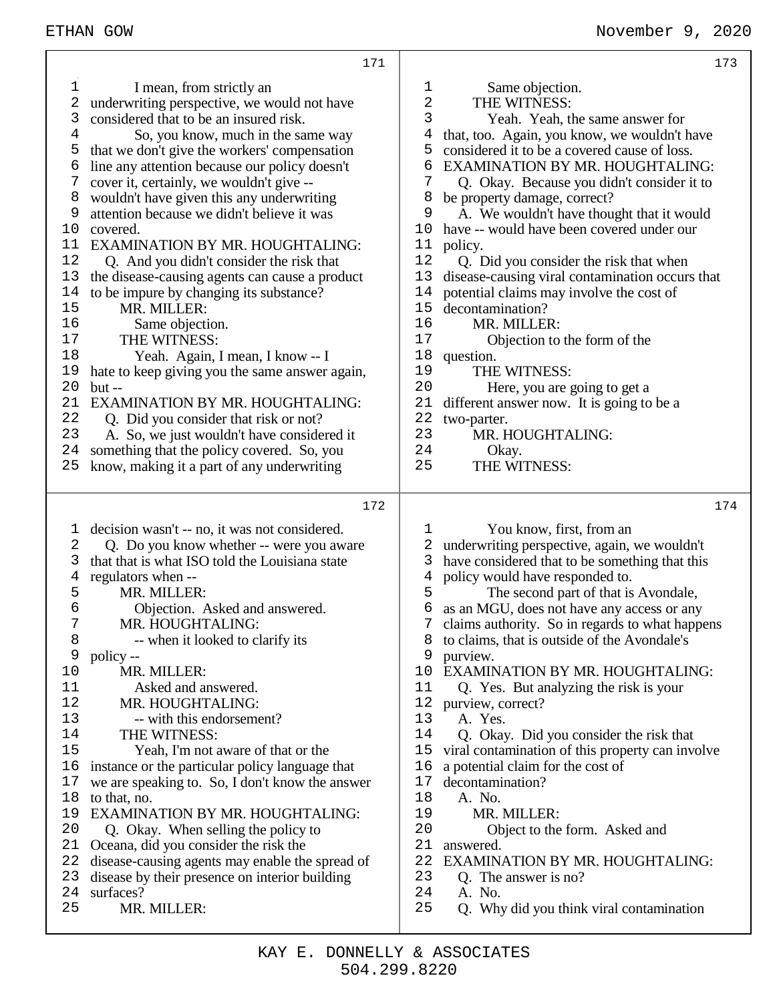171 1 I mean, from strictly an<br>2 underwriting perspective, we w underwriting perspective, we would not have 3 considered that to be an insured risk. 4 So, you know, much in the same way 5 that we don't give the workers' compensation  $6$  line any attention because our policy doesn't  $7$  cover it, certainly, we wouldn't give cover it, certainly, we wouldn't give --8 wouldn't have given this any underwriting 9 attention because we didn't believe it was 10 covered. 11 EXAMINATION BY MR. HOUGHTALING: 12 Q. And you didn't consider the risk that 13 the disease-causing agents can cause a product 14 to be impure by changing its substance?<br>15 MR. MILLER: MR. MILLER: 16 Same objection.<br>17 THE WITNESS 17 THE WITNESS:<br>18 Yeah Again Yeah. Again, I mean, I know -- I 19 hate to keep giving you the same answer again, 20 but -- 21 EXAMINATION BY MR. HOUGHTALING: 22 Q. Did you consider that risk or not? 23 A. So, we just wouldn't have considered it 24 something that the policy covered. So, you 25 know, making it a part of any underwriting 172 1 decision wasn't -- no, it was not considered. 2 Q. Do you know whether -- were you aware 3 that that is what ISO told the Louisiana state<br>4 regulators when -regulators when --5 MR. MILLER: 6 Objection. Asked and answered.<br>7 MR. HOUGHTALING: MR. HOUGHTALING: 8  $-$  when it looked to clarify its<br>9  $\frac{1}{2}$  policy -policy --10 MR. MILLER: 11 Asked and answered.<br>12 MR HOUGHTALING: MR. HOUGHTALING: 13 -- with this endorsement? 14 THE WITNESS:<br>15 Yeah. I'm not a Yeah, I'm not aware of that or the 16 instance or the particular policy language that 17 we are speaking to. So, I don't know the answer 18 to that, no. 19 EXAMINATION BY MR. HOUGHTALING:<br>20 O Okay When selling the policy to 20 Q. Okay. When selling the policy to 21 Oceana, did you consider the risk the 22 disease-causing agents may enable the spread of 23 disease by their presence on interior building 24 surfaces? 25 MR. MILLER: 173 1 Same objection.<br>2 THE WITNESS: 2 THE WITNESS:<br>3 Yeah Yeah tl 3 Yeah. Yeah, the same answer for that, too. Again, you know, we wouldn't have 5 considered it to be a covered cause of loss. 6 EXAMINATION BY MR. HOUGHTALING:<br>7 O. Okay. Because you didn't consider it to 7 Q. Okay. Because you didn't consider it to 8 be property damage, correct? 9 A. We wouldn't have thought that it would 10 have -- would have been covered under our 11 policy. 12 Q. Did you consider the risk that when 13 disease-causing viral contamination occurs that<br>14 potential claims may involve the cost of 14 potential claims may involve the cost of 15 decontamination? decontamination? 16 MR. MILLER:<br>17 Objection to 17 Objection to the form of the 18 question. question. 19 THE WITNESS:<br>20 Here, you are s 20 Here, you are going to get a<br>21 different answer now. It is going to 21 different answer now. It is going to be a<br>22 two-parter. 22 two-parter.<br>23 MR F 23 MR. HOUGHTALING:<br>24 Okay. 24 Okay.<br>25 THE WI THE WITNESS: 174 1 You know, first, from an 2 underwriting perspective, again, we wouldn't 3 have considered that to be something that this 4 policy would have responded to. 5 The second part of that is Avondale, 6 as an MGU, does not have any access or any 7 claims authority. So in regards to what happens 8 to claims, that is outside of the Avondale's 9 purview. 10 EXAMINATION BY MR. HOUGHTALING: 11 Q. Yes. But analyzing the risk is your 12 purview, correct? 13 A. Yes. 14 Q. Okay. Did you consider the risk that 15 viral contamination of this property can invest viral contamination of this property can involve 16 a potential claim for the cost of 17 decontamination? 18 A. No.<br>19 MR. 19 MR. MILLER:<br>20 Object to the Object to the form. Asked and 21 answered. 22 EXAMINATION BY MR. HOUGHTALING:<br>23 O The answer is no? O. The answer is no? 24 A. No. 25 Q. Why did you think viral contamination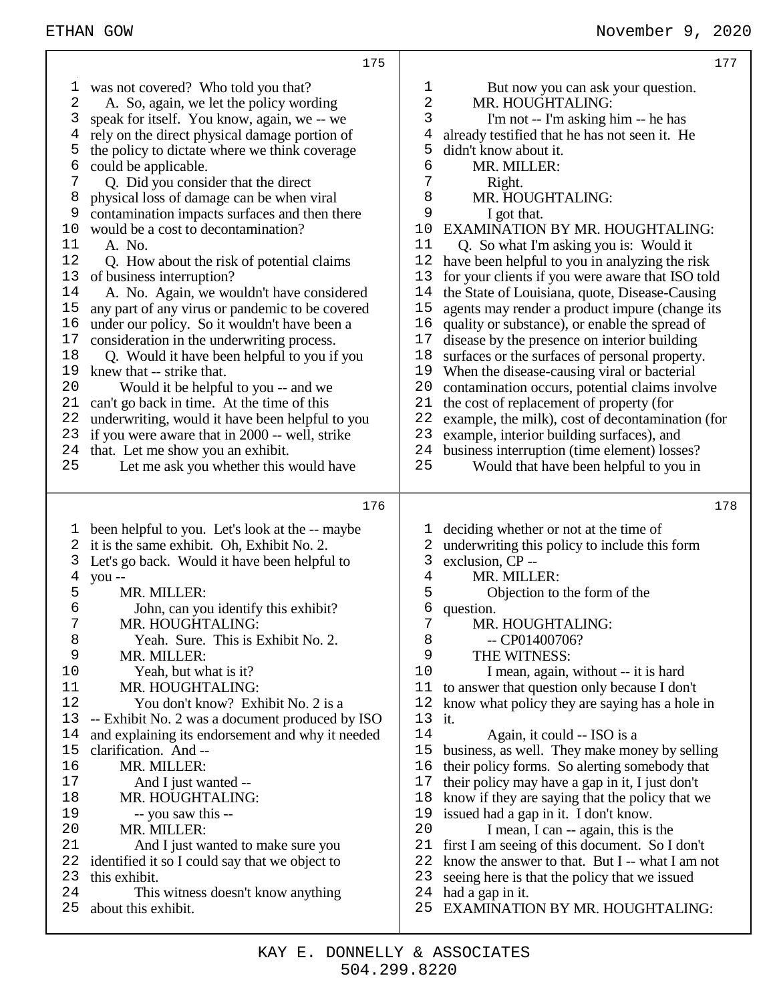| 177                                                                                                                                                                                                                                                                                                                                                                                                                                                                                                                                                                                                                                                                                                                                                                                                                                                                                                                                                                                                                                                                                                                                                                                   |
|---------------------------------------------------------------------------------------------------------------------------------------------------------------------------------------------------------------------------------------------------------------------------------------------------------------------------------------------------------------------------------------------------------------------------------------------------------------------------------------------------------------------------------------------------------------------------------------------------------------------------------------------------------------------------------------------------------------------------------------------------------------------------------------------------------------------------------------------------------------------------------------------------------------------------------------------------------------------------------------------------------------------------------------------------------------------------------------------------------------------------------------------------------------------------------------|
| 1<br>But now you can ask your question.<br>$\mathbf{2}$<br>MR. HOUGHTALING:<br>3<br>I'm not -- I'm asking him -- he has<br>already testified that he has not seen it. He<br>4<br>5<br>didn't know about it.<br>6<br>MR. MILLER:<br>7<br>Right.<br>MR. HOUGHTALING:<br>8<br>9<br>I got that.<br><b>EXAMINATION BY MR. HOUGHTALING:</b><br>10<br>11<br>Q. So what I'm asking you is: Would it<br>12<br>have been helpful to you in analyzing the risk<br>13<br>for your clients if you were aware that ISO told<br>14<br>the State of Louisiana, quote, Disease-Causing<br>15<br>agents may render a product impure (change its<br>16<br>quality or substance), or enable the spread of<br>17<br>disease by the presence on interior building<br>18<br>surfaces or the surfaces of personal property.<br>19<br>When the disease-causing viral or bacterial<br>20<br>contamination occurs, potential claims involve<br>21<br>the cost of replacement of property (for<br>22<br>example, the milk), cost of decontamination (for<br>23<br>example, interior building surfaces), and<br>24<br>business interruption (time element) losses?<br>25<br>Would that have been helpful to you in |
|                                                                                                                                                                                                                                                                                                                                                                                                                                                                                                                                                                                                                                                                                                                                                                                                                                                                                                                                                                                                                                                                                                                                                                                       |
| 178<br>deciding whether or not at the time of<br>ı<br>underwriting this policy to include this form<br>2<br>3<br>exclusion, CP --<br>MR. MILLER:<br>4<br>5<br>Objection to the form of the<br>б<br>question.<br>7<br>MR. HOUGHTALING:<br>8<br>$-$ CP01400706?<br>9<br>THE WITNESS:<br>10<br>I mean, again, without -- it is hard<br>11<br>to answer that question only because I don't<br>12<br>know what policy they are saying has a hole in<br>13 it.<br>14<br>Again, it could -- ISO is a<br>15<br>business, as well. They make money by selling<br>16<br>their policy forms. So alerting somebody that<br>17<br>their policy may have a gap in it, I just don't<br>18<br>know if they are saying that the policy that we<br>issued had a gap in it. I don't know.<br>19<br>20<br>I mean, I can -- again, this is the<br>21<br>first I am seeing of this document. So I don't<br>22<br>know the answer to that. But I -- what I am not<br>23<br>seeing here is that the policy that we issued<br>24<br>had a gap in it.<br>25<br>EXAMINATION BY MR. HOUGHTALING:                                                                                                                  |
|                                                                                                                                                                                                                                                                                                                                                                                                                                                                                                                                                                                                                                                                                                                                                                                                                                                                                                                                                                                                                                                                                                                                                                                       |

Т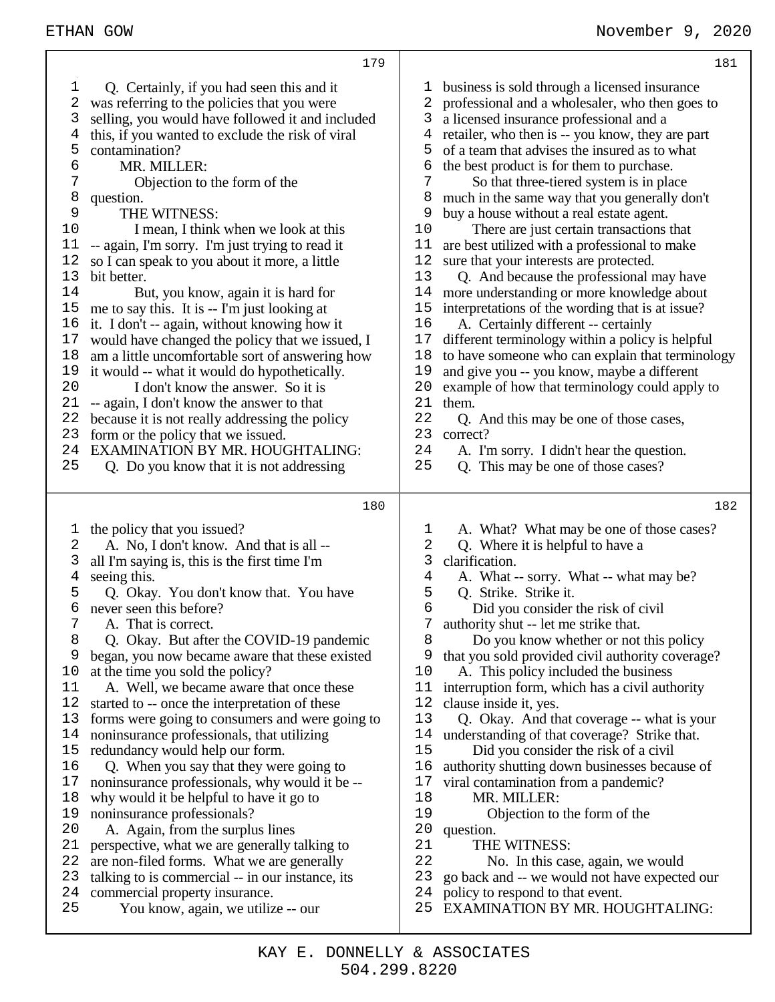| 179                                              | 181                                              |
|--------------------------------------------------|--------------------------------------------------|
| Q. Certainly, if you had seen this and it        | business is sold through a licensed insurance    |
| ı                                                | 1                                                |
| 2                                                | 2                                                |
| was referring to the policies that you were      | professional and a wholesaler, who then goes to  |
| selling, you would have followed it and included | a licensed insurance professional and a          |
| 3                                                | 3                                                |
| this, if you wanted to exclude the risk of viral | retailer, who then is -- you know, they are part |
| 4                                                | 4                                                |
| 5                                                | of a team that advises the insured as to what    |
| contamination?                                   | 5                                                |
| 6                                                | the best product is for them to purchase.        |
| MR. MILLER:                                      | 6                                                |
| 7                                                | 7                                                |
| Objection to the form of the                     | So that three-tiered system is in place          |
| 8                                                | 8                                                |
| question.                                        | much in the same way that you generally don't    |
| 9                                                | 9                                                |
| THE WITNESS:                                     | buy a house without a real estate agent.         |
| 10                                               | 10                                               |
| I mean, I think when we look at this             | There are just certain transactions that         |
| 11                                               | are best utilized with a professional to make    |
| -- again, I'm sorry. I'm just trying to read it  | 11                                               |
| 12                                               | 12                                               |
| so I can speak to you about it more, a little    | sure that your interests are protected.          |
| 13                                               | 13                                               |
| bit better.                                      | Q. And because the professional may have         |
| 14                                               | more understanding or more knowledge about       |
| But, you know, again it is hard for              | 14                                               |
| 15                                               | interpretations of the wording that is at issue? |
| me to say this. It is -- I'm just looking at     | 15                                               |
| 16                                               | 16                                               |
| it. I don't -- again, without knowing how it     | A. Certainly different -- certainly              |
| $17$                                             | different terminology within a policy is helpful |
| would have changed the policy that we issued, I  | 17                                               |
| am a little uncomfortable sort of answering how  | to have someone who can explain that terminology |
| 18                                               | 18                                               |
| 19                                               | and give you -- you know, maybe a different      |
| it would -- what it would do hypothetically.     | 19                                               |
| 20                                               | 20                                               |
| I don't know the answer. So it is                | example of how that terminology could apply to   |
| -- again, I don't know the answer to that        | 21                                               |
| 21                                               | them.                                            |
| 22                                               | 22                                               |
| because it is not really addressing the policy   | Q. And this may be one of those cases,           |
| 23                                               | 23                                               |
| form or the policy that we issued.               | correct?                                         |
| EXAMINATION BY MR. HOUGHTALING:                  | 24                                               |
| 24                                               | A. I'm sorry. I didn't hear the question.        |
| 25                                               | 25                                               |
| Q. Do you know that it is not addressing         | Q. This may be one of those cases?               |
|                                                  |                                                  |
| 180                                              | 182                                              |
| the policy that you issued?                      | A. What? What may be one of those cases?         |
| 1                                                | T                                                |
| A. No, I don't know. And that is all --          | 2                                                |
| 2                                                | Q. Where it is helpful to have a                 |
| 3                                                | 3                                                |
| all I'm saying is, this is the first time I'm    | clarification.                                   |
| 4                                                | 4                                                |
| seeing this.                                     | A. What -- sorry. What -- what may be?           |
| 5                                                | 5                                                |
| Q. Okay. You don't know that. You have           | Q. Strike. Strike it.                            |
| 6                                                | $\epsilon$                                       |
| never seen this before?                          | Did you consider the risk of civil               |
| 7                                                | 7                                                |
| A. That is correct.                              | authority shut -- let me strike that.            |
| 8                                                | 8                                                |
| Q. Okay. But after the COVID-19 pandemic         | Do you know whether or not this policy           |
| 9                                                | 9                                                |
| began, you now became aware that these existed   | that you sold provided civil authority coverage? |
| 10                                               | 10                                               |
| at the time you sold the policy?                 | A. This policy included the business             |
| 11                                               | 11                                               |
| A. Well, we became aware that once these         | interruption form, which has a civil authority   |
| started to -- once the interpretation of these   | 12                                               |
| 12                                               | clause inside it, yes.                           |
| forms were going to consumers and were going to  | 13                                               |
| 13                                               | Q. Okay. And that coverage -- what is your       |
| noninsurance professionals, that utilizing       | understanding of that coverage? Strike that.     |
| 14                                               | 14                                               |
| redundancy would help our form.                  | 15                                               |
| 15                                               | Did you consider the risk of a civil             |
| 16                                               | 16                                               |
| Q. When you say that they were going to          | authority shutting down businesses because of    |
| noninsurance professionals, why would it be --   | 17                                               |
| 17                                               | viral contamination from a pandemic?             |
| 18                                               | 18                                               |
| why would it be helpful to have it go to         | MR. MILLER:                                      |
| noninsurance professionals?                      | 19                                               |
| 19                                               | Objection to the form of the                     |
| 20                                               | 20                                               |
| A. Again, from the surplus lines                 | question.                                        |
| perspective, what we are generally talking to    | 21                                               |
| 21                                               | THE WITNESS:                                     |
| 22                                               | 22                                               |
| are non-filed forms. What we are generally       | No. In this case, again, we would                |
| talking to is commercial -- in our instance, its | 23                                               |
| 23                                               | go back and -- we would not have expected our    |
| commercial property insurance.                   | policy to respond to that event.                 |
| 24                                               | 24                                               |
| 25                                               | EXAMINATION BY MR. HOUGHTALING:                  |
| You know, again, we utilize -- our               | 25                                               |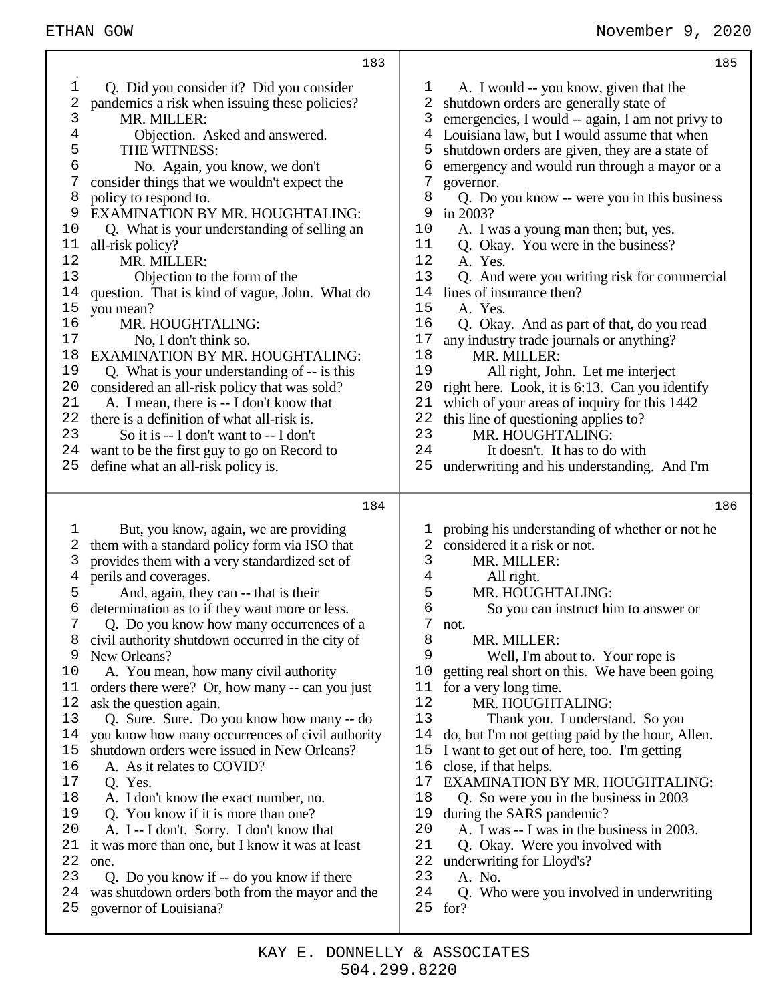| 183                                                                                                                                                                                                                                                                                                                                                                                                                                                                                                                                                                                                                                                                                                                                                                                                                                                                                                                                                                                                                                                                                                                                                             | 185                                                                                                                                                                                                                                                                                                                                                                                                                                                                                                                                                                                                                                                                                                                                                                                                                                                                                                                                                                                                                                                                                    |
|-----------------------------------------------------------------------------------------------------------------------------------------------------------------------------------------------------------------------------------------------------------------------------------------------------------------------------------------------------------------------------------------------------------------------------------------------------------------------------------------------------------------------------------------------------------------------------------------------------------------------------------------------------------------------------------------------------------------------------------------------------------------------------------------------------------------------------------------------------------------------------------------------------------------------------------------------------------------------------------------------------------------------------------------------------------------------------------------------------------------------------------------------------------------|----------------------------------------------------------------------------------------------------------------------------------------------------------------------------------------------------------------------------------------------------------------------------------------------------------------------------------------------------------------------------------------------------------------------------------------------------------------------------------------------------------------------------------------------------------------------------------------------------------------------------------------------------------------------------------------------------------------------------------------------------------------------------------------------------------------------------------------------------------------------------------------------------------------------------------------------------------------------------------------------------------------------------------------------------------------------------------------|
| Q. Did you consider it? Did you consider<br>I,<br>$\overline{\mathbf{c}}$<br>pandemics a risk when issuing these policies?<br>3<br>MR. MILLER:<br>4<br>Objection. Asked and answered.<br>5<br>THE WITNESS:<br>6<br>No. Again, you know, we don't<br>7<br>consider things that we wouldn't expect the<br>8<br>policy to respond to.<br>9<br>EXAMINATION BY MR. HOUGHTALING:<br>10<br>Q. What is your understanding of selling an<br>11<br>all-risk policy?<br>12<br>MR. MILLER:<br>13<br>Objection to the form of the<br>question. That is kind of vague, John. What do<br>14<br>15<br>you mean?<br>16<br>MR. HOUGHTALING:<br>17<br>No, I don't think so.<br><b>EXAMINATION BY MR. HOUGHTALING:</b><br>18<br>19<br>Q. What is your understanding of -- is this<br>20<br>considered an all-risk policy that was sold?<br>21<br>A. I mean, there is -- I don't know that<br>there is a definition of what all-risk is.<br>22<br>23<br>So it is -- I don't want to -- I don't<br>24<br>want to be the first guy to go on Record to<br>25<br>define what an all-risk policy is.                                                                                      | A. I would -- you know, given that the<br>ı<br>2<br>shutdown orders are generally state of<br>3<br>emergencies, I would -- again, I am not privy to<br>Louisiana law, but I would assume that when<br>4<br>5<br>shutdown orders are given, they are a state of<br>6<br>emergency and would run through a mayor or a<br>7<br>governor.<br>8<br>Q. Do you know -- were you in this business<br>9<br>in 2003?<br>10<br>A. I was a young man then; but, yes.<br>11<br>Q. Okay. You were in the business?<br>12<br>A. Yes.<br>13<br>Q. And were you writing risk for commercial<br>14<br>lines of insurance then?<br>15<br>A. Yes.<br>16<br>Q. Okay. And as part of that, do you read<br>$17$<br>any industry trade journals or anything?<br>18<br>MR. MILLER:<br>19<br>All right, John. Let me interject<br>20<br>right here. Look, it is 6:13. Can you identify<br>21<br>which of your areas of inquiry for this 1442<br>22<br>this line of questioning applies to?<br>23<br>MR. HOUGHTALING:<br>24<br>It doesn't. It has to do with<br>25<br>underwriting and his understanding. And I'm |
| 184<br>But, you know, again, we are providing<br>l,<br>them with a standard policy form via ISO that<br>2<br>3<br>provides them with a very standardized set of<br>perils and coverages.<br>4<br>5<br>And, again, they can -- that is their<br>determination as to if they want more or less.<br>6<br>Q. Do you know how many occurrences of a<br>8<br>civil authority shutdown occurred in the city of<br>New Orleans?<br>9<br>A. You mean, how many civil authority<br>10<br>orders there were? Or, how many -- can you just<br>11<br>ask the question again.<br>12<br>Q. Sure. Sure. Do you know how many -- do<br>13<br>you know how many occurrences of civil authority<br>14<br>shutdown orders were issued in New Orleans?<br>15<br>16<br>A. As it relates to COVID?<br>17<br>Q. Yes.<br>18<br>A. I don't know the exact number, no.<br>19<br>Q. You know if it is more than one?<br>20<br>A. I -- I don't. Sorry. I don't know that<br>21<br>it was more than one, but I know it was at least<br>22<br>one.<br>23<br>Q. Do you know if -- do you know if there<br>was shutdown orders both from the mayor and the<br>24<br>governor of Louisiana?<br>25 | 186<br>probing his understanding of whether or not he<br>l<br>considered it a risk or not.<br>2<br>3<br>MR. MILLER:<br>All right.<br>4<br>5<br>MR. HOUGHTALING:<br>б<br>So you can instruct him to answer or<br>7<br>not.<br>8<br>MR. MILLER:<br>9<br>Well, I'm about to. Your rope is<br>10<br>getting real short on this. We have been going<br>11<br>for a very long time.<br>12<br>MR. HOUGHTALING:<br>13<br>Thank you. I understand. So you<br>14<br>do, but I'm not getting paid by the hour, Allen.<br>15<br>I want to get out of here, too. I'm getting<br>16<br>close, if that helps.<br>17<br>EXAMINATION BY MR. HOUGHTALING:<br>18<br>Q. So were you in the business in 2003<br>19<br>during the SARS pandemic?<br>20<br>A. I was -- I was in the business in 2003.<br>21<br>Q. Okay. Were you involved with<br>22<br>underwriting for Lloyd's?<br>23<br>A. No.<br>24<br>Q. Who were you involved in underwriting<br>25<br>for?                                                                                                                                             |

⊤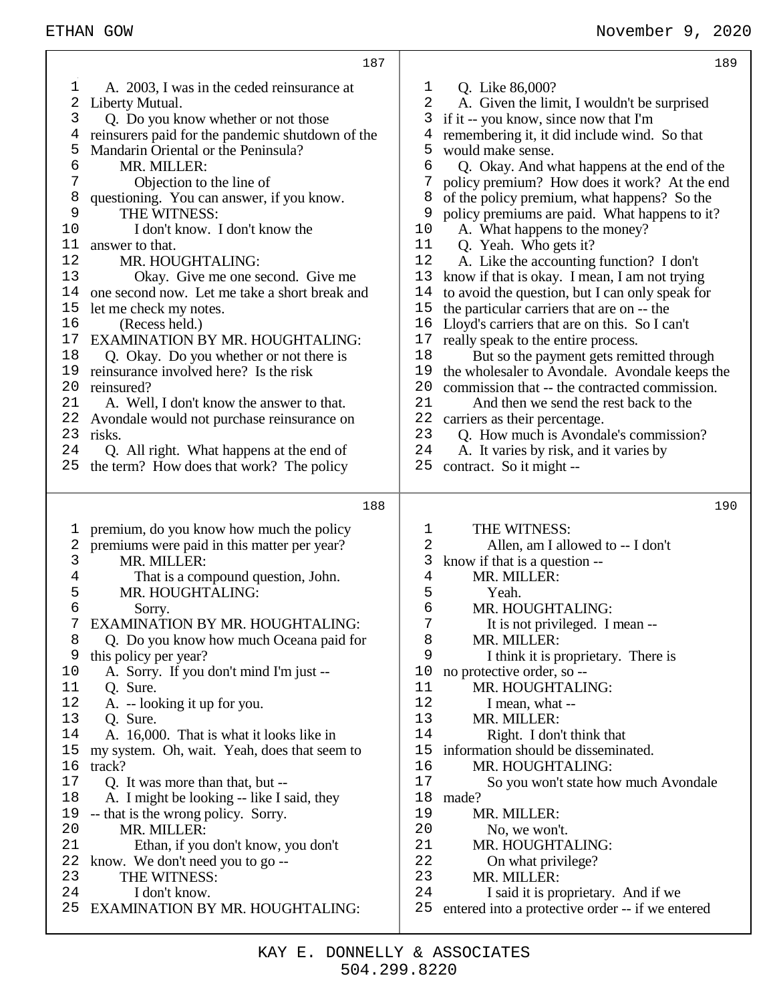# ETHAN GOW November 9, 2020

|    | 187                                              |                         | 189                                              |
|----|--------------------------------------------------|-------------------------|--------------------------------------------------|
| 1  | A. 2003, I was in the ceded reinsurance at       | 1                       | Q. Like 86,000?                                  |
| 2  | Liberty Mutual.                                  | $\overline{2}$          | A. Given the limit, I wouldn't be surprised      |
| 3  | Q. Do you know whether or not those              | 3                       | if it -- you know, since now that I'm            |
| 4  | reinsurers paid for the pandemic shutdown of the | 4                       | remembering it, it did include wind. So that     |
| 5  | Mandarin Oriental or the Peninsula?              | 5                       | would make sense.                                |
| 6  | MR. MILLER:                                      | 6                       | Q. Okay. And what happens at the end of the      |
| 7  | Objection to the line of                         | 7                       | policy premium? How does it work? At the end     |
| 8  | questioning. You can answer, if you know.        | 8                       | of the policy premium, what happens? So the      |
| 9  | THE WITNESS:                                     | 9                       | policy premiums are paid. What happens to it?    |
| 10 | I don't know. I don't know the                   | 10                      | A. What happens to the money?                    |
| 11 | answer to that.                                  | 11                      | Q. Yeah. Who gets it?                            |
| 12 | MR. HOUGHTALING:                                 | 12                      | A. Like the accounting function? I don't         |
| 13 | Okay. Give me one second. Give me                | 13                      | know if that is okay. I mean, I am not trying    |
| 14 | one second now. Let me take a short break and    | 14                      | to avoid the question, but I can only speak for  |
| 15 | let me check my notes.                           | 15                      | the particular carriers that are on -- the       |
| 16 |                                                  | 16                      | Lloyd's carriers that are on this. So I can't    |
| 17 | (Recess held.)                                   | 17                      |                                                  |
|    | EXAMINATION BY MR. HOUGHTALING:                  |                         | really speak to the entire process.              |
| 18 | Q. Okay. Do you whether or not there is          | 18                      | But so the payment gets remitted through         |
| 19 | reinsurance involved here? Is the risk           | 19                      | the wholesaler to Avondale. Avondale keeps the   |
| 20 | reinsured?                                       | 20                      | commission that -- the contracted commission.    |
| 21 | A. Well, I don't know the answer to that.        | 21                      | And then we send the rest back to the            |
| 22 | Avondale would not purchase reinsurance on       | 22                      | carriers as their percentage.                    |
| 23 | risks.                                           | 23                      | Q. How much is Avondale's commission?            |
| 24 | Q. All right. What happens at the end of         | 24                      | A. It varies by risk, and it varies by           |
| 25 | the term? How does that work? The policy         | 25                      | contract. So it might --                         |
|    |                                                  |                         |                                                  |
|    |                                                  |                         |                                                  |
|    | 188                                              |                         | 190                                              |
|    |                                                  |                         |                                                  |
| ı  | premium, do you know how much the policy         | 1                       | THE WITNESS:                                     |
| 2  | premiums were paid in this matter per year?      | $\overline{\mathbf{c}}$ | Allen, am I allowed to -- I don't                |
| 3  | MR. MILLER:                                      | 3                       | know if that is a question --                    |
| 4  | That is a compound question, John.               | $\overline{4}$          | MR. MILLER:                                      |
| 5  | MR. HOUGHTALING:                                 | 5                       | Yeah.                                            |
| б  | Sorry.                                           | б                       | MR. HOUGHTALING:                                 |
| 7  | EXAMINATION BY MR. HOUGHTALING:                  | 7                       | It is not privileged. I mean --                  |
| 8  | Q. Do you know how much Oceana paid for          | 8                       | MR. MILLER:                                      |
| 9  | this policy per year?                            | 9                       | I think it is proprietary. There is              |
| 10 | A. Sorry. If you don't mind I'm just --          | 10                      | no protective order, so --                       |
| 11 | Q. Sure.                                         | 11                      | MR. HOUGHTALING:                                 |
| 12 | A. -- looking it up for you.                     | 12                      | I mean, what --                                  |
| 13 | Q. Sure.                                         | 13                      | MR. MILLER:                                      |
| 14 | A. 16,000. That is what it looks like in         | 14                      | Right. I don't think that                        |
| 15 | my system. Oh, wait. Yeah, does that seem to     | 15                      | information should be disseminated.              |
| 16 | track?                                           | 16                      | MR. HOUGHTALING:                                 |
| 17 | Q. It was more than that, but --                 | 17                      | So you won't state how much Avondale             |
| 18 | A. I might be looking -- like I said, they       | 18                      | made?                                            |
| 19 | -- that is the wrong policy. Sorry.              | 19                      | MR. MILLER:                                      |
| 20 | MR. MILLER:                                      | 20                      | No, we won't.                                    |
| 21 | Ethan, if you don't know, you don't              | 21                      | MR. HOUGHTALING:                                 |
| 22 | know. We don't need you to go --                 | 22                      | On what privilege?                               |
| 23 | THE WITNESS:                                     | 23                      | MR. MILLER:                                      |
| 24 | I don't know.                                    | 24                      | I said it is proprietary. And if we              |
| 25 | <b>EXAMINATION BY MR. HOUGHTALING:</b>           | 25                      | entered into a protective order -- if we entered |

┯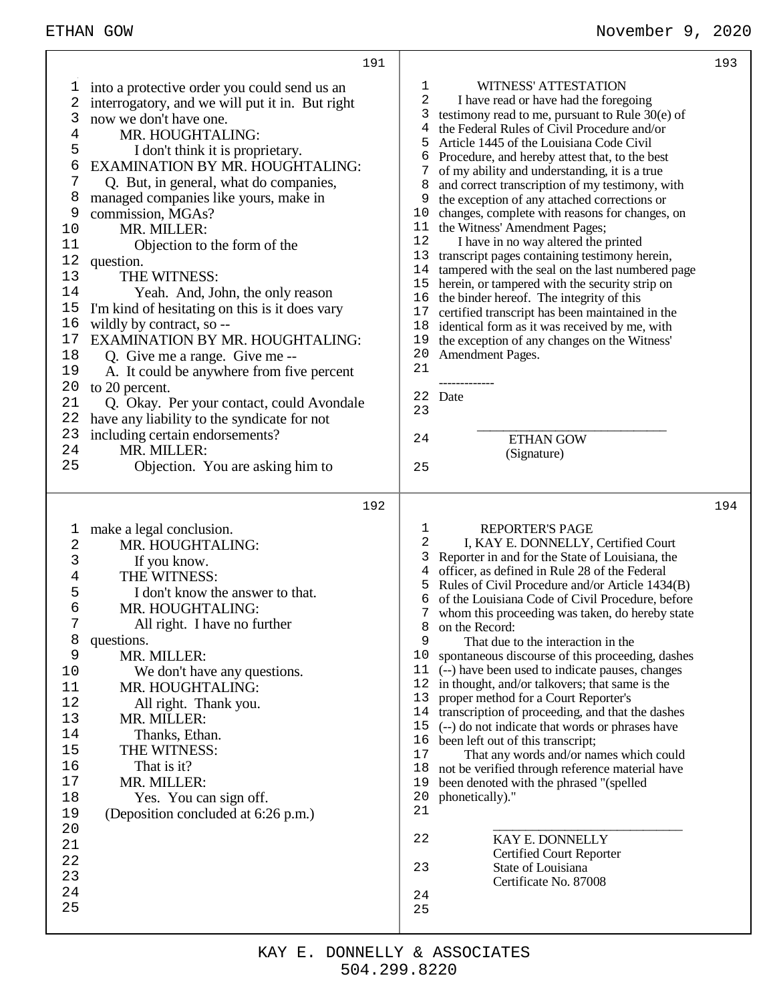|                                                                                                                                            | 191                                                                                                                                                                                                                                                                                                                                                                                                                                                                                                                                                                                                                                                                                                                                                                                                                                                      | 193                                                                                                                                                                                                                                                                                                                                                                                                                                                                                                                                                                                                                                                                                                                                                                                                                                                                                                                                                                                                                                                                                                             |  |
|--------------------------------------------------------------------------------------------------------------------------------------------|----------------------------------------------------------------------------------------------------------------------------------------------------------------------------------------------------------------------------------------------------------------------------------------------------------------------------------------------------------------------------------------------------------------------------------------------------------------------------------------------------------------------------------------------------------------------------------------------------------------------------------------------------------------------------------------------------------------------------------------------------------------------------------------------------------------------------------------------------------|-----------------------------------------------------------------------------------------------------------------------------------------------------------------------------------------------------------------------------------------------------------------------------------------------------------------------------------------------------------------------------------------------------------------------------------------------------------------------------------------------------------------------------------------------------------------------------------------------------------------------------------------------------------------------------------------------------------------------------------------------------------------------------------------------------------------------------------------------------------------------------------------------------------------------------------------------------------------------------------------------------------------------------------------------------------------------------------------------------------------|--|
| T<br>2<br>3<br>4<br>5<br>6<br>7<br>8<br>9<br>10<br>11<br>12<br>13<br>14<br>15<br>16<br>17<br>18<br>19<br>20<br>21<br>22<br>23<br>24<br>25  | into a protective order you could send us an<br>interrogatory, and we will put it in. But right<br>now we don't have one.<br>MR. HOUGHTALING:<br>I don't think it is proprietary.<br>EXAMINATION BY MR. HOUGHTALING:<br>Q. But, in general, what do companies,<br>managed companies like yours, make in<br>commission, MGAs?<br>MR. MILLER:<br>Objection to the form of the<br>question.<br>THE WITNESS:<br>Yeah. And, John, the only reason<br>I'm kind of hesitating on this is it does vary<br>wildly by contract, so --<br><b>EXAMINATION BY MR. HOUGHTALING:</b><br>Q. Give me a range. Give me --<br>A. It could be anywhere from five percent<br>to 20 percent.<br>Q. Okay. Per your contact, could Avondale<br>have any liability to the syndicate for not<br>including certain endorsements?<br>MR. MILLER:<br>Objection. You are asking him to | WITNESS' ATTESTATION<br>1<br>2<br>I have read or have had the foregoing<br>3<br>testimony read to me, pursuant to Rule $30(e)$ of<br>the Federal Rules of Civil Procedure and/or<br>4<br>Article 1445 of the Louisiana Code Civil<br>5<br>Procedure, and hereby attest that, to the best<br>6<br>7<br>of my ability and understanding, it is a true<br>8<br>and correct transcription of my testimony, with<br>the exception of any attached corrections or<br>9<br>changes, complete with reasons for changes, on<br>10<br>the Witness' Amendment Pages;<br>11<br>12<br>I have in no way altered the printed<br>13<br>transcript pages containing testimony herein,<br>tampered with the seal on the last numbered page<br>14<br>herein, or tampered with the security strip on<br>15<br>16<br>the binder hereof. The integrity of this<br>17<br>certified transcript has been maintained in the<br>18<br>identical form as it was received by me, with<br>19<br>the exception of any changes on the Witness'<br>Amendment Pages.<br>20<br>21<br>22 Date<br>23<br><b>ETHAN GOW</b><br>24<br>(Signature)<br>25  |  |
|                                                                                                                                            | 192                                                                                                                                                                                                                                                                                                                                                                                                                                                                                                                                                                                                                                                                                                                                                                                                                                                      | 194<br><b>REPORTER'S PAGE</b><br>1                                                                                                                                                                                                                                                                                                                                                                                                                                                                                                                                                                                                                                                                                                                                                                                                                                                                                                                                                                                                                                                                              |  |
| l,<br>2<br>3<br>4<br>5<br>б<br>7<br>8<br>9<br>10<br>11<br>12<br>13<br>14<br>15<br>16<br>17<br>18<br>19<br>20<br>21<br>22<br>23<br>24<br>25 | make a legal conclusion.<br>MR. HOUGHTALING:<br>If you know.<br>THE WITNESS:<br>I don't know the answer to that.<br>MR. HOUGHTALING:<br>All right. I have no further<br>questions.<br>MR. MILLER:<br>We don't have any questions.<br>MR. HOUGHTALING:<br>All right. Thank you.<br>MR. MILLER:<br>Thanks, Ethan.<br>THE WITNESS:<br>That is it?<br>MR. MILLER:<br>Yes. You can sign off.<br>(Deposition concluded at 6:26 p.m.)                                                                                                                                                                                                                                                                                                                                                                                                                           | 2<br>I, KAY E. DONNELLY, Certified Court<br>3<br>Reporter in and for the State of Louisiana, the<br>officer, as defined in Rule 28 of the Federal<br>4<br>5<br>Rules of Civil Procedure and/or Article 1434(B)<br>6<br>of the Louisiana Code of Civil Procedure, before<br>7<br>whom this proceeding was taken, do hereby state<br>8<br>on the Record:<br>9<br>That due to the interaction in the<br>10<br>spontaneous discourse of this proceeding, dashes<br>11<br>(--) have been used to indicate pauses, changes<br>12<br>in thought, and/or talkovers; that same is the<br>13<br>proper method for a Court Reporter's<br>14<br>transcription of proceeding, and that the dashes<br>(--) do not indicate that words or phrases have<br>15<br>16<br>been left out of this transcript;<br>17<br>That any words and/or names which could<br>18<br>not be verified through reference material have<br>19<br>been denoted with the phrased "(spelled<br>20<br>phonetically)."<br>21<br>22<br>KAY E. DONNELLY<br><b>Certified Court Reporter</b><br>23<br>State of Louisiana<br>Certificate No. 87008<br>24<br>25 |  |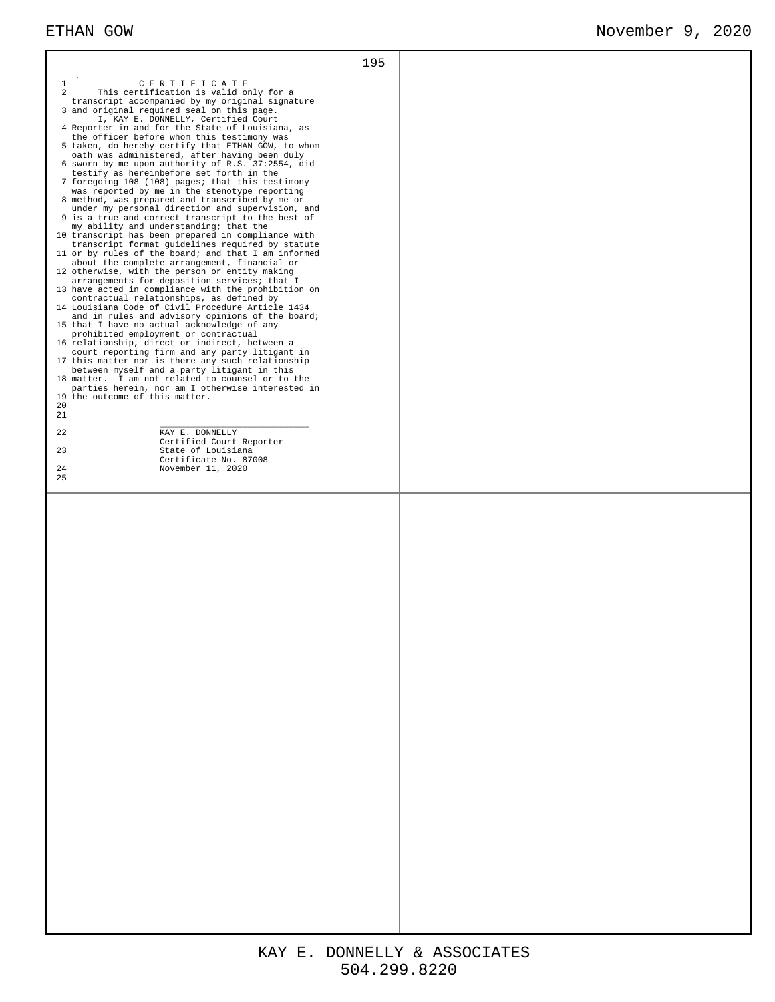| $\mathbf{1}$<br>CERTIFICATE<br>$\mathfrak{D}$<br>This certification is valid only for a<br>transcript accompanied by my original signature<br>3 and original required seal on this page.<br>I, KAY E. DONNELLY, Certified Court<br>4 Reporter in and for the State of Louisiana, as<br>the officer before whom this testimony was<br>5 taken, do hereby certify that ETHAN GOW, to whom<br>oath was administered, after having been duly<br>6 sworn by me upon authority of R.S. 37:2554, did<br>testify as hereinbefore set forth in the<br>7 foregoing 108 (108) pages; that this testimony<br>was reported by me in the stenotype reporting<br>8 method, was prepared and transcribed by me or<br>under my personal direction and supervision, and<br>9 is a true and correct transcript to the best of<br>my ability and understanding; that the<br>10 transcript has been prepared in compliance with<br>transcript format guidelines required by statute<br>11 or by rules of the board; and that I am informed<br>about the complete arrangement, financial or<br>12 otherwise, with the person or entity making<br>arrangements for deposition services; that I<br>13 have acted in compliance with the prohibition on<br>contractual relationships, as defined by<br>14 Louisiana Code of Civil Procedure Article 1434<br>and in rules and advisory opinions of the board;<br>15 that I have no actual acknowledge of any<br>prohibited employment or contractual<br>16 relationship, direct or indirect, between a<br>court reporting firm and any party litigant in<br>17 this matter nor is there any such relationship<br>between myself and a party litigant in this<br>18 matter. I am not related to counsel or to the<br>parties herein, nor am I otherwise interested in<br>19 the outcome of this matter.<br>20<br>21<br>22<br>KAY E. DONNELLY<br>Certified Court Reporter<br>23<br>State of Louisiana<br>Certificate No. 87008<br>24<br>November 11, 2020<br>25 | 195 |  |
|-------------------------------------------------------------------------------------------------------------------------------------------------------------------------------------------------------------------------------------------------------------------------------------------------------------------------------------------------------------------------------------------------------------------------------------------------------------------------------------------------------------------------------------------------------------------------------------------------------------------------------------------------------------------------------------------------------------------------------------------------------------------------------------------------------------------------------------------------------------------------------------------------------------------------------------------------------------------------------------------------------------------------------------------------------------------------------------------------------------------------------------------------------------------------------------------------------------------------------------------------------------------------------------------------------------------------------------------------------------------------------------------------------------------------------------------------------------------------------------------------------------------------------------------------------------------------------------------------------------------------------------------------------------------------------------------------------------------------------------------------------------------------------------------------------------------------------------------------------------------------------------------------------------------------------------------------------------------------------------|-----|--|
|                                                                                                                                                                                                                                                                                                                                                                                                                                                                                                                                                                                                                                                                                                                                                                                                                                                                                                                                                                                                                                                                                                                                                                                                                                                                                                                                                                                                                                                                                                                                                                                                                                                                                                                                                                                                                                                                                                                                                                                     |     |  |
|                                                                                                                                                                                                                                                                                                                                                                                                                                                                                                                                                                                                                                                                                                                                                                                                                                                                                                                                                                                                                                                                                                                                                                                                                                                                                                                                                                                                                                                                                                                                                                                                                                                                                                                                                                                                                                                                                                                                                                                     |     |  |
|                                                                                                                                                                                                                                                                                                                                                                                                                                                                                                                                                                                                                                                                                                                                                                                                                                                                                                                                                                                                                                                                                                                                                                                                                                                                                                                                                                                                                                                                                                                                                                                                                                                                                                                                                                                                                                                                                                                                                                                     |     |  |
|                                                                                                                                                                                                                                                                                                                                                                                                                                                                                                                                                                                                                                                                                                                                                                                                                                                                                                                                                                                                                                                                                                                                                                                                                                                                                                                                                                                                                                                                                                                                                                                                                                                                                                                                                                                                                                                                                                                                                                                     |     |  |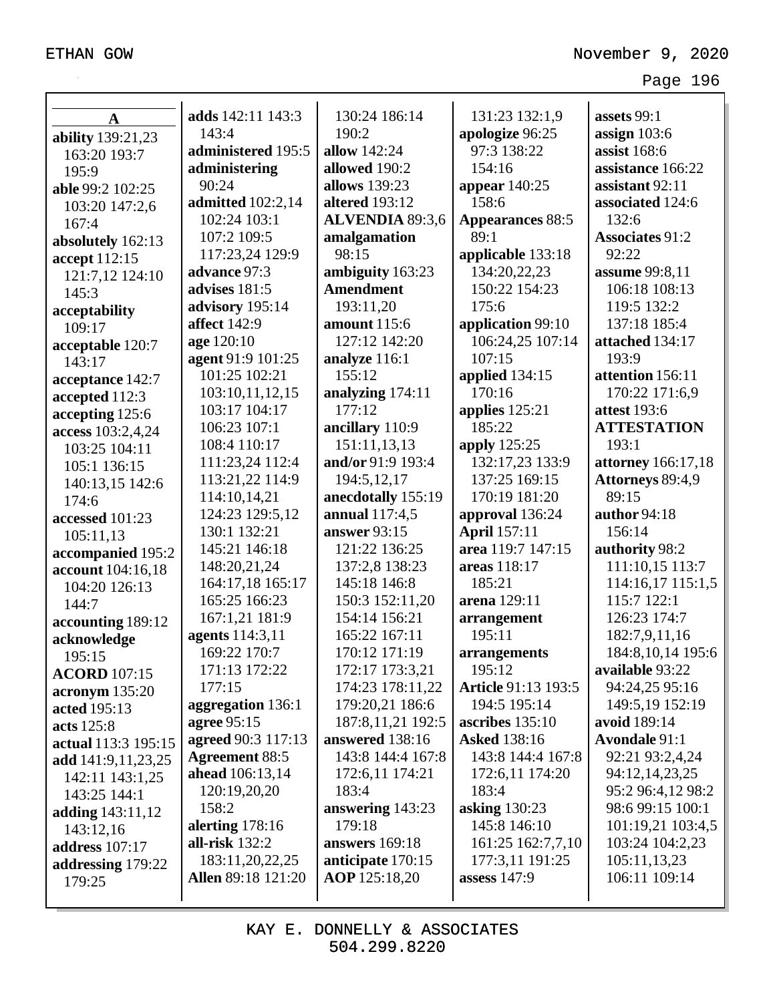|                                      | adds 142:11 143:3         | 130:24 186:14          | 131:23 132:1,9             | assets 99:1               |
|--------------------------------------|---------------------------|------------------------|----------------------------|---------------------------|
| $\mathbf A$                          | 143:4                     | 190:2                  | apologize 96:25            | assign $103:6$            |
| ability 139:21,23                    | administered 195:5        | allow 142:24           | 97:3 138:22                | assist $168:6$            |
| 163:20 193:7                         | administering             | allowed 190:2          | 154:16                     | assistance 166:22         |
| 195:9                                | 90:24                     | allows 139:23          | appear $140:25$            | assistant 92:11           |
| able 99:2 102:25                     | <b>admitted</b> 102:2,14  | <b>altered</b> 193:12  | 158:6                      | associated 124:6          |
| 103:20 147:2,6                       | 102:24 103:1              | <b>ALVENDIA 89:3,6</b> | <b>Appearances 88:5</b>    | 132:6                     |
| 167:4                                | 107:2 109:5               | amalgamation           | 89:1                       | <b>Associates 91:2</b>    |
| absolutely 162:13                    | 117:23,24 129:9           | 98:15                  | applicable 133:18          | 92:22                     |
| accept 112:15                        | advance 97:3              | ambiguity 163:23       | 134:20,22,23               | assume 99:8,11            |
| 121:7,12 124:10<br>145:3             | advises 181:5             | <b>Amendment</b>       | 150:22 154:23              | 106:18 108:13             |
|                                      | advisory 195:14           | 193:11,20              | 175:6                      | 119:5 132:2               |
| acceptability<br>109:17              | <b>affect</b> 142:9       | amount 115:6           | application 99:10          | 137:18 185:4              |
|                                      | age 120:10                | 127:12 142:20          | 106:24,25 107:14           | attached 134:17           |
| acceptable 120:7<br>143:17           | agent 91:9 101:25         | analyze 116:1          | 107:15                     | 193:9                     |
|                                      | 101:25 102:21             | 155:12                 | applied 134:15             | attention 156:11          |
| acceptance 142:7                     | 103:10,11,12,15           | analyzing 174:11       | 170:16                     | 170:22 171:6,9            |
| accepted 112:3                       | 103:17 104:17             | 177:12                 | applies $125:21$           | attest 193:6              |
| accepting 125:6<br>access 103:2,4,24 | 106:23 107:1              | ancillary 110:9        | 185:22                     | <b>ATTESTATION</b>        |
| 103:25 104:11                        | 108:4 110:17              | 151:11,13,13           | apply 125:25               | 193:1                     |
| 105:1 136:15                         | 111:23,24 112:4           | and/or 91:9 193:4      | 132:17,23 133:9            | <b>attorney</b> 166:17,18 |
| 140:13,15 142:6                      | 113:21,22 114:9           | 194:5,12,17            | 137:25 169:15              | Attorneys 89:4,9          |
| 174:6                                | 114:10,14,21              | anecdotally 155:19     | 170:19 181:20              | 89:15                     |
| accessed 101:23                      | 124:23 129:5,12           | annual 117:4,5         | approval 136:24            | author 94:18              |
| 105:11,13                            | 130:1 132:21              | answer 93:15           | <b>April</b> 157:11        | 156:14                    |
| accompanied 195:2                    | 145:21 146:18             | 121:22 136:25          | area 119:7 147:15          | authority 98:2            |
| account 104:16,18                    | 148:20,21,24              | 137:2,8 138:23         | areas 118:17               | 111:10,15 113:7           |
| 104:20 126:13                        | 164:17,18 165:17          | 145:18 146:8           | 185:21                     | 114:16,17 115:1,5         |
| 144:7                                | 165:25 166:23             | 150:3 152:11,20        | arena 129:11               | 115:7 122:1               |
| accounting 189:12                    | 167:1,21 181:9            | 154:14 156:21          | arrangement                | 126:23 174:7              |
| acknowledge                          | agents 114:3,11           | 165:22 167:11          | 195:11                     | 182:7,9,11,16             |
| 195:15                               | 169:22 170:7              | 170:12 171:19          | arrangements               | 184:8, 10, 14 195:6       |
| <b>ACORD</b> 107:15                  | 171:13 172:22             | 172:17 173:3,21        | 195:12                     | available 93:22           |
| acronym 135:20                       | 177:15                    | 174:23 178:11,22       | <b>Article 91:13 193:5</b> | 94:24,25 95:16            |
| acted 195:13                         | aggregation 136:1         | 179:20,21 186:6        | 194:5 195:14               | 149:5,19 152:19           |
| acts 125:8                           | agree 95:15               | 187:8,11,21 192:5      | ascribes $135:10$          | avoid 189:14              |
| actual 113:3 195:15                  | agreed 90:3 117:13        | answered 138:16        | <b>Asked</b> 138:16        | <b>Avondale 91:1</b>      |
| add 141:9,11,23,25                   | <b>Agreement 88:5</b>     | 143:8 144:4 167:8      | 143:8 144:4 167:8          | 92:21 93:2,4,24           |
| 142:11 143:1,25                      | ahead 106:13,14           | 172:6,11 174:21        | 172:6,11 174:20            | 94:12,14,23,25            |
| 143:25 144:1                         | 120:19,20,20              | 183:4                  | 183:4                      | 95:2 96:4,12 98:2         |
| adding 143:11,12                     | 158:2                     | answering 143:23       | <b>asking</b> 130:23       | 98:6 99:15 100:1          |
| 143:12,16                            | alerting $178:16$         | 179:18                 | 145:8 146:10               | 101:19,21 103:4,5         |
| address 107:17                       | all-risk $132:2$          | <b>answers</b> 169:18  | 161:25 162:7,7,10          | 103:24 104:2,23           |
| addressing 179:22                    | 183:11,20,22,25           | anticipate 170:15      | 177:3,11 191:25            | 105:11,13,23              |
| 179:25                               | <b>Allen</b> 89:18 121:20 | AOP 125:18,20          | assess $147:9$             | 106:11 109:14             |
|                                      |                           |                        |                            |                           |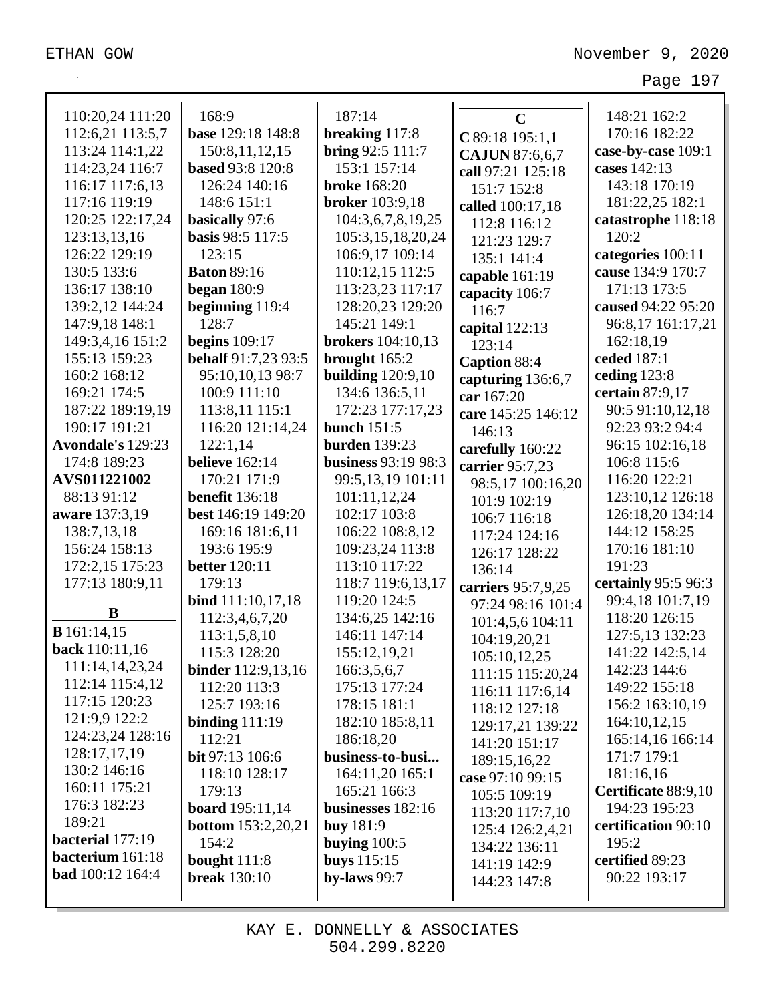| 110:20,24 111:20            | 168:9                     | 187:14                   | $\mathbf C$                  | 148:21 162:2        |
|-----------------------------|---------------------------|--------------------------|------------------------------|---------------------|
| 112:6,21 113:5,7            | base 129:18 148:8         | breaking 117:8           |                              | 170:16 182:22       |
| 113:24 114:1,22             | 150:8,11,12,15            | bring 92:5 111:7         | C 89:18 195:1,1              | case-by-case 109:1  |
| 114:23,24 116:7             | <b>based 93:8 120:8</b>   | 153:1 157:14             | CAJUN 87:6,6,7               | cases 142:13        |
| 116:17 117:6,13             | 126:24 140:16             | <b>broke</b> 168:20      | call 97:21 125:18            | 143:18 170:19       |
| 117:16 119:19               | 148:6 151:1               | <b>broker</b> 103:9,18   | 151:7 152:8                  | 181:22,25 182:1     |
| 120:25 122:17,24            | basically 97:6            | 104:3,6,7,8,19,25        | called 100:17,18             | catastrophe 118:18  |
| 123:13,13,16                | basis 98:5 117:5          | 105:3,15,18,20,24        | 112:8 116:12<br>121:23 129:7 | 120:2               |
| 126:22 129:19               | 123:15                    | 106:9,17 109:14          | 135:1 141:4                  | categories 100:11   |
| 130:5 133:6                 | <b>Baton 89:16</b>        | 110:12,15 112:5          | capable 161:19               | cause 134:9 170:7   |
| 136:17 138:10               | began $180:9$             | 113:23,23 117:17         |                              | 171:13 173:5        |
| 139:2,12 144:24             | beginning 119:4           | 128:20,23 129:20         | capacity 106:7<br>116:7      | caused 94:22 95:20  |
| 147:9,18 148:1              | 128:7                     | 145:21 149:1             |                              | 96:8,17 161:17,21   |
| 149:3,4,16 151:2            | <b>begins</b> 109:17      | <b>brokers</b> 104:10,13 | capital 122:13<br>123:14     | 162:18,19           |
| 155:13 159:23               | behalf 91:7,23 93:5       | brought 165:2            | Caption 88:4                 | ceded 187:1         |
| 160:2 168:12                | 95:10,10,13 98:7          | <b>building</b> 120:9,10 | capturing 136:6,7            | ceding 123:8        |
| 169:21 174:5                | 100:9 111:10              | 134:6 136:5,11           | car 167:20                   | certain 87:9,17     |
| 187:22 189:19,19            | 113:8,11 115:1            | 172:23 177:17,23         | care 145:25 146:12           | 90:5 91:10,12,18    |
| 190:17 191:21               | 116:20 121:14,24          | bunch $151:5$            | 146:13                       | 92:23 93:2 94:4     |
| Avondale's 129:23           | 122:1,14                  | <b>burden</b> 139:23     | carefully 160:22             | 96:15 102:16,18     |
| 174:8 189:23                | <b>believe</b> 162:14     | business 93:19 98:3      | carrier 95:7,23              | 106:8 115:6         |
| AVS011221002                | 170:21 171:9              | 99:5,13,19 101:11        | 98:5,17 100:16,20            | 116:20 122:21       |
| 88:13 91:12                 | <b>benefit</b> 136:18     | 101:11,12,24             | 101:9 102:19                 | 123:10,12 126:18    |
| aware 137:3,19              | best 146:19 149:20        | 102:17 103:8             | 106:7 116:18                 | 126:18,20 134:14    |
| 138:7,13,18                 | 169:16 181:6,11           | 106:22 108:8,12          | 117:24 124:16                | 144:12 158:25       |
| 156:24 158:13               | 193:6 195:9               | 109:23,24 113:8          | 126:17 128:22                | 170:16 181:10       |
| 172:2,15 175:23             | <b>better</b> 120:11      | 113:10 117:22            | 136:14                       | 191:23              |
| 177:13 180:9,11             | 179:13                    | 118:7 119:6,13,17        | carriers 95:7,9,25           | certainly 95:5 96:3 |
|                             | bind 111:10,17,18         | 119:20 124:5             | 97:24 98:16 101:4            | 99:4,18 101:7,19    |
| B                           | 112:3,4,6,7,20            | 134:6,25 142:16          | 101:4,5,6 104:11             | 118:20 126:15       |
| <b>B</b> 161:14,15          | 113:1,5,8,10              | 146:11 147:14            | 104:19,20,21                 | 127:5,13 132:23     |
| back 110:11,16              | 115:3 128:20              | 155:12,19,21             | 105:10,12,25                 | 141:22 142:5,14     |
| 111:14,14,23,24             | <b>binder</b> 112:9,13,16 | 166:3,5,6,7              | 111:15 115:20,24             | 142:23 144:6        |
| 112:14 115:4,12             | 112:20 113:3              | 175:13 177:24            | 116:11 117:6,14              | 149:22 155:18       |
| 117:15 120:23               | 125:7 193:16              | 178:15 181:1             | 118:12 127:18                | 156:2 163:10,19     |
| 121:9,9 122:2               | binding $111:19$          | 182:10 185:8,11          | 129:17,21 139:22             | 164:10,12,15        |
| 124:23,24 128:16            | 112:21                    | 186:18,20                | 141:20 151:17                | 165:14,16 166:14    |
| 128:17,17,19                | <b>bit</b> 97:13 106:6    | business-to-busi         | 189:15,16,22                 | 171:7 179:1         |
| 130:2 146:16                | 118:10 128:17             | 164:11,20 165:1          | case 97:10 99:15             | 181:16,16           |
| 160:11 175:21               | 179:13                    | 165:21 166:3             | 105:5 109:19                 | Certificate 88:9,10 |
| 176:3 182:23                | board 195:11,14           | businesses 182:16        | 113:20 117:7,10              | 194:23 195:23       |
| 189:21                      | <b>bottom</b> 153:2,20,21 | <b>buy</b> 181:9         | 125:4 126:2,4,21             | certification 90:10 |
| bacterial 177:19            | 154:2                     | buying $100:5$           | 134:22 136:11                | 195:2               |
| bacterium 161:18            | bought $111:8$            | <b>buys</b> 115:15       | 141:19 142:9                 | certified 89:23     |
| <b>bad</b> $100:12$ $164:4$ | <b>break</b> 130:10       | by-laws $99:7$           | 144:23 147:8                 | 90:22 193:17        |
|                             |                           |                          |                              |                     |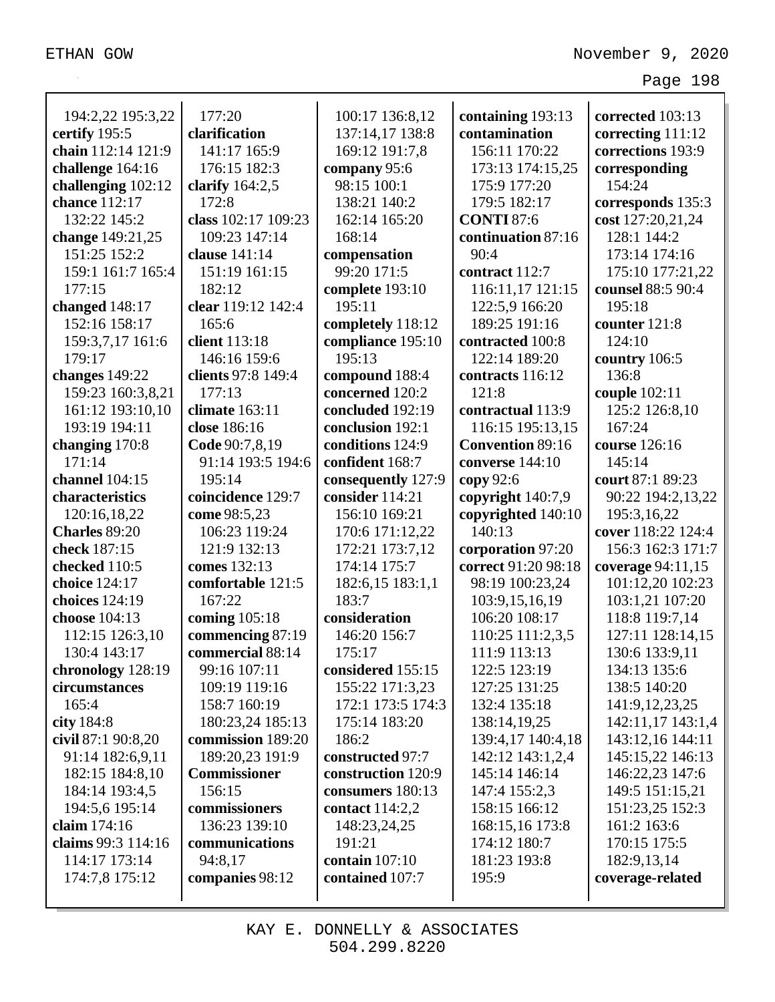| 194:2,22 195:3,22   | 177:20              | 100:17 136:8,12    | containing 193:13       | corrected 103:13   |
|---------------------|---------------------|--------------------|-------------------------|--------------------|
| certify 195:5       | clarification       | 137:14,17 138:8    | contamination           | correcting 111:12  |
| chain 112:14 121:9  | 141:17 165:9        | 169:12 191:7,8     | 156:11 170:22           | corrections 193:9  |
| challenge 164:16    | 176:15 182:3        | company 95:6       | 173:13 174:15,25        | corresponding      |
| challenging 102:12  | clarify $164:2,5$   | 98:15 100:1        | 175:9 177:20            | 154:24             |
| chance 112:17       | 172:8               | 138:21 140:2       | 179:5 182:17            | corresponds 135:3  |
| 132:22 145:2        | class 102:17 109:23 | 162:14 165:20      | <b>CONTI 87:6</b>       | cost 127:20,21,24  |
| change 149:21,25    | 109:23 147:14       | 168:14             | continuation 87:16      | 128:1 144:2        |
| 151:25 152:2        | clause 141:14       | compensation       | 90:4                    | 173:14 174:16      |
| 159:1 161:7 165:4   | 151:19 161:15       | 99:20 171:5        | contract 112:7          | 175:10 177:21,22   |
| 177:15              | 182:12              | complete 193:10    | 116:11,17 121:15        | counsel 88:5 90:4  |
| changed 148:17      | clear 119:12 142:4  | 195:11             | 122:5,9 166:20          | 195:18             |
| 152:16 158:17       | 165:6               | completely 118:12  | 189:25 191:16           | counter 121:8      |
| 159:3,7,17 161:6    | client 113:18       | compliance 195:10  | contracted 100:8        | 124:10             |
| 179:17              | 146:16 159:6        | 195:13             | 122:14 189:20           | country 106:5      |
| changes $149:22$    | clients 97:8 149:4  | compound 188:4     | contracts 116:12        | 136:8              |
| 159:23 160:3,8,21   | 177:13              | concerned 120:2    | 121:8                   | couple 102:11      |
| 161:12 193:10,10    | climate $163:11$    | concluded 192:19   | contractual 113:9       | 125:2 126:8,10     |
| 193:19 194:11       | close 186:16        | conclusion 192:1   | 116:15 195:13,15        | 167:24             |
| changing 170:8      | Code 90:7,8,19      | conditions 124:9   | <b>Convention 89:16</b> | course 126:16      |
| 171:14              | 91:14 193:5 194:6   | confident 168:7    | converse 144:10         | 145:14             |
| channel 104:15      | 195:14              | consequently 127:9 | copy $92:6$             | court 87:1 89:23   |
| characteristics     | coincidence 129:7   | consider 114:21    | copyright 140:7,9       | 90:22 194:2,13,22  |
| 120:16,18,22        | come 98:5,23        | 156:10 169:21      | copyrighted 140:10      | 195:3,16,22        |
| Charles 89:20       | 106:23 119:24       | 170:6 171:12,22    | 140:13                  | cover 118:22 124:4 |
| check 187:15        | 121:9 132:13        | 172:21 173:7,12    | corporation 97:20       | 156:3 162:3 171:7  |
| checked 110:5       | comes 132:13        | 174:14 175:7       | correct 91:20 98:18     | coverage 94:11,15  |
| choice 124:17       | comfortable 121:5   | 182:6,15 183:1,1   | 98:19 100:23,24         | 101:12,20 102:23   |
| choices 124:19      | 167:22              | 183:7              | 103:9,15,16,19          | 103:1,21 107:20    |
| choose 104:13       | coming 105:18       | consideration      | 106:20 108:17           | 118:8 119:7,14     |
| 112:15 126:3,10     | commencing 87:19    | 146:20 156:7       | 110:25 111:2,3,5        | 127:11 128:14,15   |
| 130:4 143:17        | commercial 88:14    | 175:17             | 111:9 113:13            | 130:6 133:9,11     |
| chronology 128:19   | 99:16 107:11        | considered 155:15  | 122:5 123:19            | 134:13 135:6       |
| circumstances       | 109:19 119:16       | 155:22 171:3,23    | 127:25 131:25           | 138:5 140:20       |
| 165:4               | 158:7 160:19        | 172:1 173:5 174:3  | 132:4 135:18            | 141:9, 12, 23, 25  |
| city 184:8          | 180:23,24 185:13    | 175:14 183:20      | 138:14,19,25            | 142:11,17 143:1,4  |
| civil $87:190:8,20$ | commission 189:20   | 186:2              | 139:4,17 140:4,18       | 143:12,16 144:11   |
| 91:14 182:6,9,11    | 189:20,23 191:9     | constructed 97:7   | 142:12 143:1,2,4        | 145:15,22 146:13   |
| 182:15 184:8,10     | <b>Commissioner</b> | construction 120:9 | 145:14 146:14           | 146:22,23 147:6    |
| 184:14 193:4,5      | 156:15              | consumers 180:13   | 147:4 155:2,3           | 149:5 151:15,21    |
| 194:5,6 195:14      | commissioners       | contact 114:2,2    | 158:15 166:12           | 151:23,25 152:3    |
| claim 174:16        | 136:23 139:10       | 148:23,24,25       | 168:15,16 173:8         | 161:2 163:6        |
| claims 99:3 114:16  | communications      | 191:21             | 174:12 180:7            | 170:15 175:5       |
| 114:17 173:14       | 94:8,17             | contain 107:10     | 181:23 193:8            | 182:9, 13, 14      |
| 174:7,8 175:12      | companies 98:12     | contained 107:7    | 195:9                   | coverage-related   |
|                     |                     |                    |                         |                    |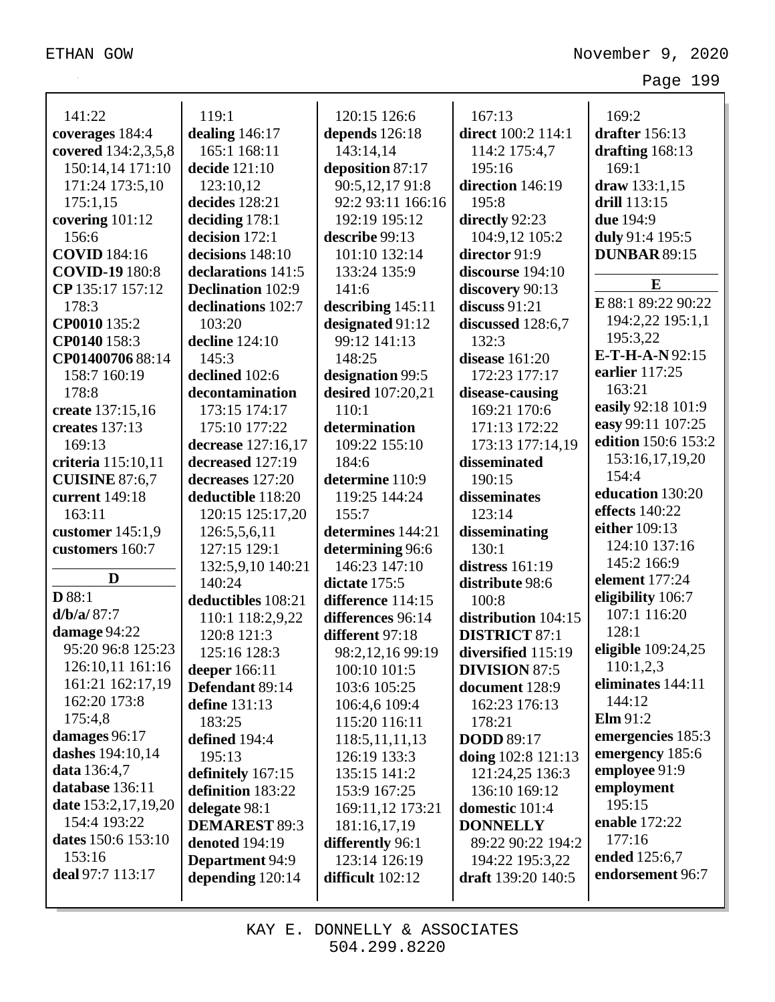| 141:22                  | 119:1                    |                                |                      |                         |
|-------------------------|--------------------------|--------------------------------|----------------------|-------------------------|
|                         |                          | 120:15 126:6<br>depends 126:18 | 167:13               | 169:2<br>drafter 156:13 |
| coverages 184:4         | dealing 146:17           |                                | direct 100:2 114:1   |                         |
| covered 134:2,3,5,8     | 165:1 168:11             | 143:14,14                      | 114:2 175:4,7        | drafting 168:13         |
| 150:14,14 171:10        | decide 121:10            | deposition 87:17               | 195:16               | 169:1                   |
| 171:24 173:5,10         | 123:10,12                | 90:5,12,1791:8                 | direction 146:19     | draw 133:1,15           |
| 175:1,15                | decides 128:21           | 92:2 93:11 166:16              | 195:8                | drill 113:15            |
| covering 101:12         | deciding 178:1           | 192:19 195:12                  | directly 92:23       | due 194:9               |
| 156:6                   | decision 172:1           | describe 99:13                 | 104:9,12 105:2       | duly 91:4 195:5         |
| <b>COVID</b> 184:16     | decisions 148:10         | 101:10 132:14                  | director 91:9        | <b>DUNBAR 89:15</b>     |
| <b>COVID-19</b> 180:8   | declarations 141:5       | 133:24 135:9                   | discourse 194:10     | E                       |
| CP 135:17 157:12        | <b>Declination</b> 102:9 | 141:6                          | discovery 90:13      |                         |
| 178:3                   | declinations 102:7       | describing 145:11              | discuss $91:21$      | E 88:1 89:22 90:22      |
| CP0010 135:2            | 103:20                   | designated 91:12               | discussed 128:6,7    | 194:2,22 195:1,1        |
| CP0140 158:3            | decline 124:10           | 99:12 141:13                   | 132:3                | 195:3,22                |
| CP01400706 88:14        | 145:3                    | 148:25                         | disease $161:20$     | E-T-H-A-N92:15          |
| 158:7 160:19            | declined 102:6           | designation 99:5               | 172:23 177:17        | earlier 117:25          |
| 178:8                   | decontamination          | desired 107:20,21              | disease-causing      | 163:21                  |
| create 137:15,16        | 173:15 174:17            | 110:1                          | 169:21 170:6         | easily 92:18 101:9      |
| creates 137:13          | 175:10 177:22            | determination                  | 171:13 172:22        | easy 99:11 107:25       |
| 169:13                  | decrease 127:16,17       | 109:22 155:10                  | 173:13 177:14,19     | edition 150:6 153:2     |
| criteria 115:10,11      | decreased 127:19         | 184:6                          | disseminated         | 153:16,17,19,20         |
| <b>CUISINE 87:6,7</b>   | decreases 127:20         | determine 110:9                | 190:15               | 154:4                   |
| current 149:18          | deductible 118:20        | 119:25 144:24                  | disseminates         | education 130:20        |
| 163:11                  | 120:15 125:17,20         | 155:7                          | 123:14               | effects $140:22$        |
| customer $145:1,9$      | 126:5,5,6,11             | determines 144:21              | disseminating        | either 109:13           |
| customers 160:7         | 127:15 129:1             | determining 96:6               | 130:1                | 124:10 137:16           |
|                         | 132:5,9,10 140:21        | 146:23 147:10                  | distress 161:19      | 145:2 166:9             |
| D                       | 140:24                   | dictate 175:5                  | distribute 98:6      | element 177:24          |
| <b>D</b> 88:1           | deductibles 108:21       | difference 114:15              | 100:8                | eligibility 106:7       |
| d/b/a/87:7              | 110:1 118:2,9,22         | differences 96:14              | distribution 104:15  | 107:1 116:20            |
| damage 94:22            | 120:8 121:3              | different 97:18                | <b>DISTRICT 87:1</b> | 128:1                   |
| 95:20 96:8 125:23       | 125:16 128:3             | 98:2,12,16 99:19               | diversified 115:19   | eligible 109:24,25      |
| 126:10,11 161:16        | deeper 166:11            | 100:10 101:5                   | <b>DIVISION 87:5</b> | 110:1,2,3               |
| 161:21 162:17,19        | Defendant 89:14          | 103:6 105:25                   | document 128:9       | eliminates 144:11       |
| 162:20 173:8            | define 131:13            | 106:4,6 109:4                  | 162:23 176:13        | 144:12                  |
| 175:4,8                 | 183:25                   | 115:20 116:11                  | 178:21               | $\mathbf{Elm} 91:2$     |
| damages 96:17           | defined 194:4            | 118:5, 11, 11, 13              | <b>DODD</b> 89:17    | emergencies 185:3       |
| <b>dashes</b> 194:10,14 | 195:13                   | 126:19 133:3                   | doing 102:8 121:13   | emergency 185:6         |
| data 136:4,7            | definitely 167:15        | 135:15 141:2                   | 121:24,25 136:3      | employee 91:9           |
| database 136:11         | definition 183:22        | 153:9 167:25                   | 136:10 169:12        | employment              |
| date 153:2,17,19,20     | delegate 98:1            | 169:11,12 173:21               | domestic 101:4       | 195:15                  |
| 154:4 193:22            | <b>DEMAREST 89:3</b>     | 181:16,17,19                   | <b>DONNELLY</b>      | enable 172:22           |
| dates 150:6 153:10      | <b>denoted</b> 194:19    | differently 96:1               | 89:22 90:22 194:2    | 177:16                  |
| 153:16                  | <b>Department</b> 94:9   | 123:14 126:19                  | 194:22 195:3,22      | ended 125:6,7           |
| deal 97:7 113:17        | depending $120:14$       | difficult 102:12               | draft 139:20 140:5   | endorsement 96:7        |
|                         |                          |                                |                      |                         |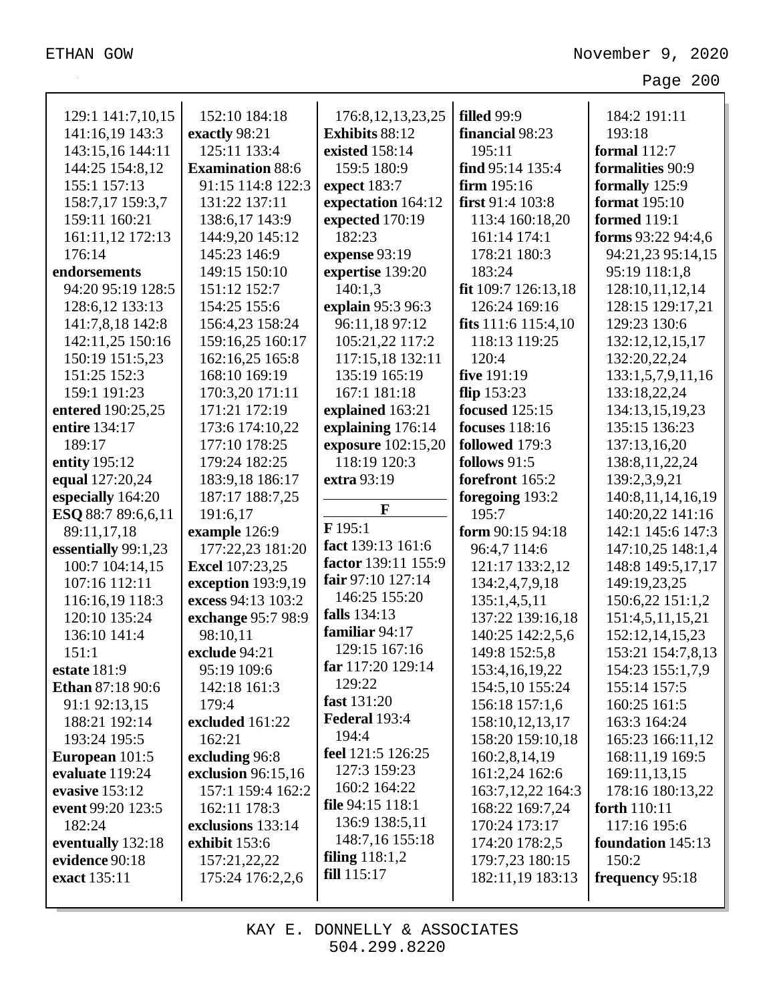|                                      | 152:10 184:18           | 176:8, 12, 13, 23, 25 | <b>filled</b> 99:9      | 184:2 191:11                     |
|--------------------------------------|-------------------------|-----------------------|-------------------------|----------------------------------|
| 129:1 141:7,10,15<br>141:16,19 143:3 | exactly 98:21           | Exhibits 88:12        | financial 98:23         | 193:18                           |
| 143:15,16 144:11                     | 125:11 133:4            | existed 158:14        | 195:11                  | <b>formal</b> 112:7              |
| 144:25 154:8,12                      | <b>Examination 88:6</b> | 159:5 180:9           | find 95:14 135:4        | formalities 90:9                 |
| 155:1 157:13                         | 91:15 114:8 122:3       | expect 183:7          | firm $195:16$           | formally 125:9                   |
| 158:7,17 159:3,7                     | 131:22 137:11           | expectation 164:12    | first 91:4 103:8        | format 195:10                    |
| 159:11 160:21                        | 138:6,17 143:9          | expected 170:19       | 113:4 160:18,20         | <b>formed</b> 119:1              |
| 161:11,12 172:13                     | 144:9,20 145:12         | 182:23                | 161:14 174:1            | forms 93:22 94:4,6               |
| 176:14                               | 145:23 146:9            | expense 93:19         | 178:21 180:3            | 94:21,23 95:14,15                |
| endorsements                         | 149:15 150:10           | expertise 139:20      | 183:24                  | 95:19 118:1,8                    |
| 94:20 95:19 128:5                    | 151:12 152:7            | 140:1,3               | fit 109:7 126:13,18     | 128:10,11,12,14                  |
|                                      | 154:25 155:6            | explain 95:3 96:3     | 126:24 169:16           |                                  |
| 128:6,12 133:13                      |                         |                       |                         | 128:15 129:17,21<br>129:23 130:6 |
| 141:7,8,18 142:8                     | 156:4,23 158:24         | 96:11,18 97:12        | fits $111:6$ $115:4,10$ |                                  |
| 142:11,25 150:16                     | 159:16,25 160:17        | 105:21,22 117:2       | 118:13 119:25<br>120:4  | 132:12,12,15,17                  |
| 150:19 151:5,23                      | 162:16,25 165:8         | 117:15,18 132:11      |                         | 132:20,22,24                     |
| 151:25 152:3                         | 168:10 169:19           | 135:19 165:19         | five 191:19             | 133:1,5,7,9,11,16                |
| 159:1 191:23                         | 170:3,20 171:11         | 167:1 181:18          | flip $153:23$           | 133:18,22,24                     |
| entered 190:25,25                    | 171:21 172:19           | explained 163:21      | <b>focused</b> 125:15   | 134:13,15,19,23                  |
| entire 134:17                        | 173:6 174:10,22         | explaining 176:14     | <b>focuses</b> 118:16   | 135:15 136:23                    |
| 189:17                               | 177:10 178:25           | exposure 102:15,20    | followed 179:3          | 137:13,16,20                     |
| entity 195:12                        | 179:24 182:25           | 118:19 120:3          | follows $91:5$          | 138:8, 11, 22, 24                |
| equal 127:20,24                      | 183:9,18 186:17         | extra 93:19           | forefront 165:2         | 139:2,3,9,21                     |
| especially 164:20                    | 187:17 188:7,25         | $\mathbf{F}$          | foregoing 193:2         | 140:8, 11, 14, 16, 19            |
| ESQ 88:7 89:6,6,11                   | 191:6,17                | F195:1                | 195:7                   | 140:20,22 141:16                 |
| 89:11,17,18                          | example 126:9           | fact 139:13 161:6     | form 90:15 94:18        | 142:1 145:6 147:3                |
| essentially 99:1,23                  | 177:22,23 181:20        | factor 139:11 155:9   | 96:4,7 114:6            | 147:10,25 148:1,4                |
| 100:7 104:14,15                      | <b>Excel</b> 107:23,25  | fair 97:10 127:14     | 121:17 133:2,12         | 148:8 149:5,17,17                |
| 107:16 112:11                        | exception 193:9,19      | 146:25 155:20         | 134:2,4,7,9,18          | 149:19,23,25                     |
| 116:16,19 118:3                      |                         |                       |                         |                                  |
|                                      | excess 94:13 103:2      |                       | 135:1,4,5,11            | 150:6,22 151:1,2                 |
| 120:10 135:24                        | exchange 95:7 98:9      | <b>falls</b> 134:13   | 137:22 139:16,18        | 151:4,5,11,15,21                 |
| 136:10 141:4                         | 98:10,11                | familiar 94:17        | 140:25 142:2,5,6        | 152:12,14,15,23                  |
| 151:1                                | exclude 94:21           | 129:15 167:16         | 149:8 152:5,8           | 153:21 154:7,8,13                |
| estate 181:9                         | 95:19 109:6             | far 117:20 129:14     | 153:4,16,19,22          | 154:23 155:1,7,9                 |
| Ethan 87:18 90:6                     | 142:18 161:3            | 129:22                | 154:5,10 155:24         | 155:14 157:5                     |
| 91:1 92:13,15                        | 179:4                   | fast 131:20           | 156:18 157:1,6          | 160:25 161:5                     |
| 188:21 192:14                        | excluded 161:22         | Federal 193:4         | 158:10,12,13,17         | 163:3 164:24                     |
| 193:24 195:5                         | 162:21                  | 194:4                 | 158:20 159:10,18        | 165:23 166:11,12                 |
| European 101:5                       | excluding 96:8          | feel 121:5 126:25     | 160:2,8,14,19           | 168:11,19 169:5                  |
| evaluate 119:24                      | exclusion 96:15,16      | 127:3 159:23          | 161:2,24 162:6          | 169:11,13,15                     |
| evasive 153:12                       | 157:1 159:4 162:2       | 160:2 164:22          | 163:7, 12, 22 164:3     | 178:16 180:13,22                 |
| event 99:20 123:5                    | 162:11 178:3            | file 94:15 118:1      | 168:22 169:7,24         | forth 110:11                     |
| 182:24                               | exclusions 133:14       | 136:9 138:5,11        | 170:24 173:17           | 117:16 195:6                     |
| eventually 132:18                    | exhibit 153:6           | 148:7,16 155:18       | 174:20 178:2,5          | foundation 145:13                |
| evidence 90:18                       | 157:21,22,22            | filing $118:1,2$      | 179:7,23 180:15         | 150:2                            |
| exact 135:11                         | 175:24 176:2,2,6        | fill 115:17           | 182:11,19 183:13        | frequency 95:18                  |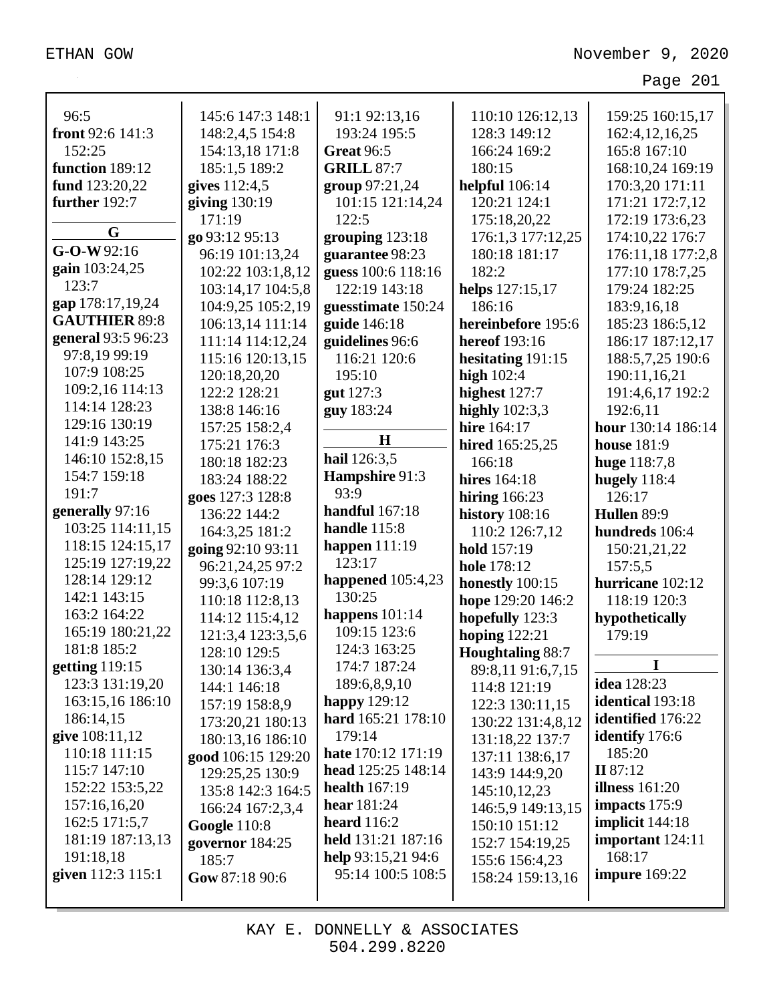| 96:5                 | 145:6 147:3 148:1   | 91:1 92:13,16             | 110:10 126:12,13        | 159:25 160:15,17         |
|----------------------|---------------------|---------------------------|-------------------------|--------------------------|
| front 92:6 141:3     | 148:2,4,5 154:8     | 193:24 195:5              | 128:3 149:12            | 162:4, 12, 16, 25        |
| 152:25               | 154:13,18 171:8     | <b>Great 96:5</b>         | 166:24 169:2            | 165:8 167:10             |
| function 189:12      | 185:1,5 189:2       | <b>GRILL 87:7</b>         | 180:15                  | 168:10,24 169:19         |
| fund 123:20,22       | gives 112:4,5       | group 97:21,24            | <b>helpful</b> 106:14   | 170:3,20 171:11          |
| further 192:7        | giving 130:19       | 101:15 121:14,24          | 120:21 124:1            | 171:21 172:7,12          |
|                      | 171:19              | 122:5                     | 175:18,20,22            | 172:19 173:6,23          |
| G                    | go 93:12 95:13      | grouping $123:18$         | 176:1,3 177:12,25       | 174:10,22 176:7          |
| $G-O-W92:16$         | 96:19 101:13,24     | guarantee 98:23           | 180:18 181:17           | 176:11,18 177:2,8        |
| gain 103:24,25       | 102:22 103:1,8,12   | guess 100:6 118:16        | 182:2                   | 177:10 178:7,25          |
| 123:7                | 103:14,17 104:5,8   | 122:19 143:18             | helps 127:15,17         | 179:24 182:25            |
| gap 178:17,19,24     | 104:9,25 105:2,19   | guesstimate 150:24        | 186:16                  | 183:9,16,18              |
| <b>GAUTHIER 89:8</b> | 106:13,14 111:14    | guide 146:18              | hereinbefore 195:6      | 185:23 186:5,12          |
| general 93:5 96:23   | 111:14 114:12,24    | guidelines 96:6           | <b>hereof</b> 193:16    | 186:17 187:12,17         |
| 97:8,19 99:19        | 115:16 120:13,15    | 116:21 120:6              | hesitating 191:15       | 188:5,7,25 190:6         |
| 107:9 108:25         | 120:18,20,20        | 195:10                    | high $102:4$            | 190:11,16,21             |
| 109:2,16 114:13      | 122:2 128:21        | gut 127:3                 | highest 127:7           | 191:4,6,17 192:2         |
| 114:14 128:23        | 138:8 146:16        | guy 183:24                | highly $102:3,3$        | 192:6,11                 |
| 129:16 130:19        | 157:25 158:2,4      |                           | hire 164:17             | hour 130:14 186:14       |
| 141:9 143:25         | 175:21 176:3        | H                         | hired 165:25,25         | <b>house</b> 181:9       |
| 146:10 152:8,15      | 180:18 182:23       | hail 126:3,5              | 166:18                  | huge 118:7,8             |
| 154:7 159:18         | 183:24 188:22       | Hampshire 91:3            | <b>hires</b> 164:18     | hugely 118:4             |
| 191:7                | goes 127:3 128:8    | 93:9                      | hiring $166:23$         | 126:17                   |
| generally 97:16      | 136:22 144:2        | <b>handful</b> 167:18     | <b>history</b> 108:16   | Hullen 89:9              |
| 103:25 114:11,15     | 164:3,25 181:2      | handle 115:8              | 110:2 126:7,12          | hundreds 106:4           |
| 118:15 124:15,17     | going 92:10 93:11   | happen 111:19             | hold 157:19             | 150:21,21,22             |
| 125:19 127:19,22     | 96:21,24,25 97:2    | 123:17                    | hole 178:12             | 157:5,5                  |
| 128:14 129:12        | 99:3,6 107:19       | happened 105:4,23         | honestly 100:15         | hurricane 102:12         |
| 142:1 143:15         | 110:18 112:8,13     | 130:25                    | hope 129:20 146:2       | 118:19 120:3             |
| 163:2 164:22         | 114:12 115:4,12     | happens $101:14$          | hopefully 123:3         | hypothetically           |
| 165:19 180:21,22     | 121:3,4 123:3,5,6   | 109:15 123:6              | hoping $122:21$         | 179:19                   |
| 181:8 185:2          | 128:10 129:5        | 124:3 163:25              | <b>Houghtaling 88:7</b> |                          |
| getting 119:15       | 130:14 136:3,4      | 174:7 187:24              | 89:8,11 91:6,7,15       |                          |
| 123:3 131:19,20      | 144:1 146:18        | 189:6,8,9,10              | 114:8 121:19            | <b>idea</b> 128:23       |
| 163:15,16 186:10     | 157:19 158:8,9      | happy $129:12$            | 122:3 130:11,15         | <b>identical</b> 193:18  |
| 186:14,15            | 173:20,21 180:13    | hard 165:21 178:10        | 130:22 131:4,8,12       | <b>identified</b> 176:22 |
| give 108:11,12       | 180:13,16 186:10    | 179:14                    | 131:18,22 137:7         | <b>identify</b> 176:6    |
| 110:18 111:15        | good 106:15 129:20  | <b>hate</b> 170:12 171:19 | 137:11 138:6,17         | 185:20                   |
| 115:7 147:10         | 129:25,25 130:9     | head 125:25 148:14        | 143:9 144:9,20          | II 87:12                 |
| 152:22 153:5,22      | 135:8 142:3 164:5   | health $167:19$           | 145:10,12,23            | illness $161:20$         |
| 157:16,16,20         | 166:24 167:2,3,4    | hear 181:24               | 146:5,9 149:13,15       | impacts 175:9            |
| 162:5 171:5,7        | <b>Google 110:8</b> | heard $116:2$             | 150:10 151:12           | implicit 144:18          |
| 181:19 187:13,13     | governor 184:25     | held 131:21 187:16        | 152:7 154:19,25         | important 124:11         |
| 191:18,18            | 185:7               | help 93:15,21 94:6        | 155:6 156:4,23          | 168:17                   |
| given 112:3 115:1    | Gow 87:18 90:6      | 95:14 100:5 108:5         | 158:24 159:13,16        | <b>impure</b> 169:22     |
|                      |                     |                           |                         |                          |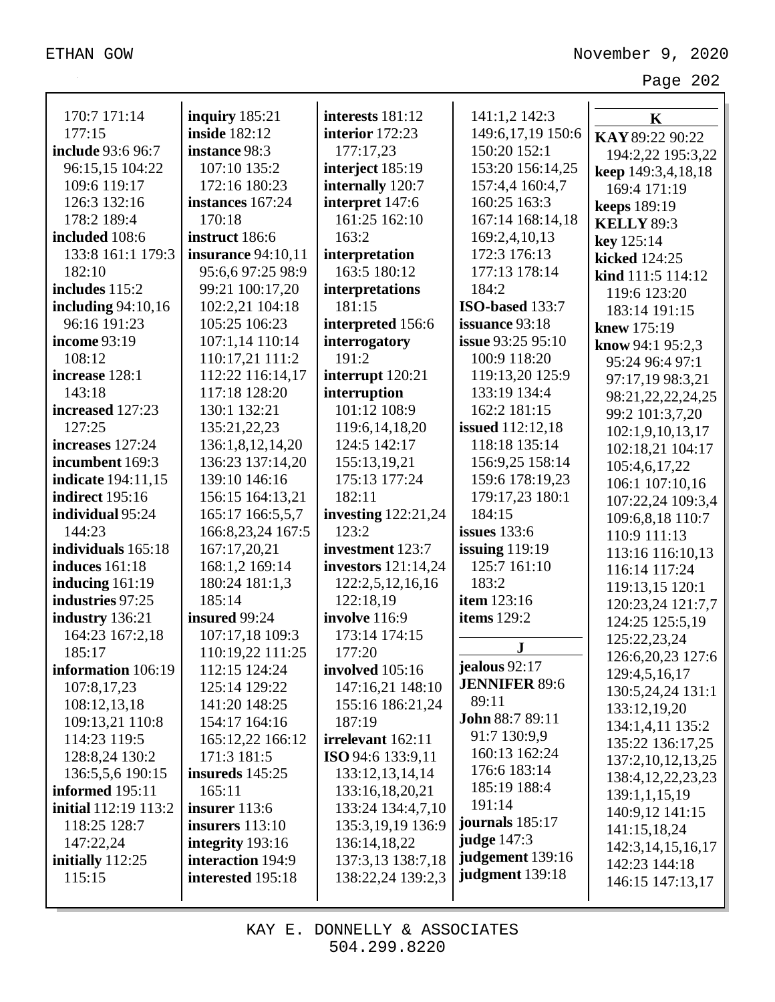| 170:7 171:14              | inquiry $185:21$          | interests 181:12           | 141:1,2 142:3            | K                     |
|---------------------------|---------------------------|----------------------------|--------------------------|-----------------------|
| 177:15                    | <b>inside</b> 182:12      | interior 172:23            | 149:6, 17, 19 150:6      | KAY 89:22 90:22       |
| include 93:6 96:7         | instance 98:3             | 177:17,23                  | 150:20 152:1             | 194:2,22 195:3,22     |
| 96:15,15 104:22           | 107:10 135:2              | interject 185:19           | 153:20 156:14,25         | keep 149:3,4,18,18    |
| 109:6 119:17              | 172:16 180:23             | internally 120:7           | 157:4,4 160:4,7          | 169:4 171:19          |
| 126:3 132:16              | instances 167:24          | interpret 147:6            | 160:25 163:3             | <b>keeps</b> 189:19   |
| 178:2 189:4               | 170:18                    | 161:25 162:10              | 167:14 168:14,18         | <b>KELLY 89:3</b>     |
| included 108:6            | instruct 186:6            | 163:2                      | 169:2,4,10,13            | key 125:14            |
| 133:8 161:1 179:3         | <b>insurance</b> 94:10,11 | interpretation             | 172:3 176:13             | kicked 124:25         |
| 182:10                    | 95:6,6 97:25 98:9         | 163:5 180:12               | 177:13 178:14            | kind 111:5 114:12     |
| includes 115:2            | 99:21 100:17,20           | interpretations            | 184:2                    | 119:6 123:20          |
| including 94:10,16        | 102:2,21 104:18           | 181:15                     | ISO-based 133:7          | 183:14 191:15         |
| 96:16 191:23              | 105:25 106:23             | interpreted 156:6          | issuance 93:18           | knew 175:19           |
| income 93:19              | 107:1,14 110:14           | interrogatory              | <b>issue</b> 93:25 95:10 | know $94:195:2,3$     |
| 108:12                    | 110:17,21 111:2           | 191:2                      | 100:9 118:20             | 95:24 96:4 97:1       |
| increase 128:1            | 112:22 116:14,17          | interrupt 120:21           | 119:13,20 125:9          | 97:17,19 98:3,21      |
| 143:18                    | 117:18 128:20             | interruption               | 133:19 134:4             | 98:21,22,22,24,25     |
| increased 127:23          | 130:1 132:21              | 101:12 108:9               | 162:2 181:15             | 99:2 101:3,7,20       |
| 127:25                    | 135:21,22,23              | 119:6, 14, 18, 20          | <b>issued</b> 112:12,18  | 102:1,9,10,13,17      |
| increases 127:24          | 136:1,8,12,14,20          | 124:5 142:17               | 118:18 135:14            | 102:18,21 104:17      |
| incumbent 169:3           | 136:23 137:14,20          | 155:13,19,21               | 156:9,25 158:14          | 105:4,6,17,22         |
| <b>indicate</b> 194:11,15 | 139:10 146:16             | 175:13 177:24              | 159:6 178:19,23          | 106:1 107:10,16       |
| <b>indirect</b> 195:16    | 156:15 164:13,21          | 182:11                     | 179:17,23 180:1          | 107:22,24 109:3,4     |
| individual 95:24          | 165:17 166:5,5,7          | <b>investing</b> 122:21,24 | 184:15                   | 109:6,8,18 110:7      |
| 144:23                    | 166:8,23,24 167:5         | 123:2                      | issues $133:6$           | 110:9 111:13          |
| individuals 165:18        | 167:17,20,21              | investment 123:7           | issuing $119:19$         | 113:16 116:10,13      |
| <b>induces</b> 161:18     | 168:1,2 169:14            | <b>investors</b> 121:14,24 | 125:7 161:10             | 116:14 117:24         |
| inducing $161:19$         | 180:24 181:1,3            | 122:2,5,12,16,16           | 183:2                    | 119:13,15 120:1       |
| industries 97:25          | 185:14                    | 122:18,19                  | item 123:16              | 120:23,24 121:7,7     |
| industry 136:21           | insured 99:24             | involve 116:9              | items 129:2              | 124:25 125:5,19       |
| 164:23 167:2,18           | 107:17,18 109:3           | 173:14 174:15              |                          | 125:22,23,24          |
| 185:17                    | 110:19,22 111:25          | 177:20                     | ${\bf J}$                | 126:6, 20, 23 127:6   |
| information 106:19        | 112:15 124:24             | involved 105:16            | jealous $92:17$          | 129:4,5,16,17         |
| 107:8,17,23               | 125:14 129:22             | 147:16,21 148:10           | <b>JENNIFER 89:6</b>     | 130:5,24,24 131:1     |
| 108:12,13,18              | 141:20 148:25             | 155:16 186:21,24           | 89:11                    | 133:12,19,20          |
| 109:13,21 110:8           | 154:17 164:16             | 187:19                     | <b>John 88:7 89:11</b>   | 134:1,4,11 135:2      |
| 114:23 119:5              | 165:12,22 166:12          | irrelevant 162:11          | 91:7 130:9,9             | 135:22 136:17,25      |
| 128:8,24 130:2            | 171:3 181:5               | ISO 94:6 133:9,11          | 160:13 162:24            | 137:2, 10, 12, 13, 25 |
| 136:5,5,6 190:15          | insureds $145:25$         | 133:12,13,14,14            | 176:6 183:14             | 138:4, 12, 22, 23, 23 |
| informed 195:11           | 165:11                    | 133:16,18,20,21            | 185:19 188:4             | 139:1,1,15,19         |
| initial 112:19 113:2      | insurer 113:6             | 133:24 134:4,7,10          | 191:14                   | 140:9,12 141:15       |
| 118:25 128:7              | insurers $113:10$         | 135:3,19,19 136:9          | journals 185:17          | 141:15,18,24          |
| 147:22,24                 | integrity 193:16          | 136:14,18,22               | <b>judge</b> 147:3       | 142:3, 14, 15, 16, 17 |
| initially 112:25          | interaction 194:9         | 137:3,13 138:7,18          | judgement 139:16         | 142:23 144:18         |
| 115:15                    | interested 195:18         | 138:22,24 139:2,3          | judgment 139:18          | 146:15 147:13,17      |
|                           |                           |                            |                          |                       |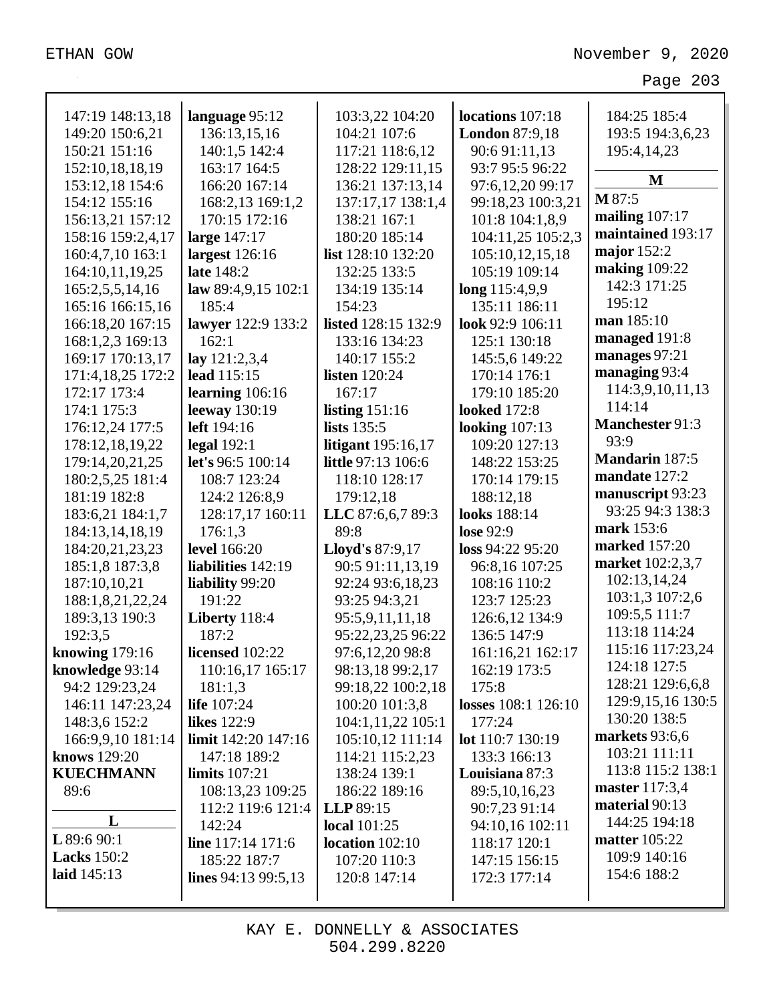| 147:19 148:13,18   | language 95:12         | 103:3,22 104:20            | locations 107:18      | 184:25 185:4          |
|--------------------|------------------------|----------------------------|-----------------------|-----------------------|
| 149:20 150:6,21    | 136:13,15,16           | 104:21 107:6               | <b>London 87:9,18</b> | 193:5 194:3,6,23      |
| 150:21 151:16      | 140:1,5 142:4          | 117:21 118:6,12            | 90:6 91:11,13         | 195:4,14,23           |
| 152:10,18,18,19    | 163:17 164:5           | 128:22 129:11,15           | 93:7 95:5 96:22       |                       |
| 153:12,18 154:6    | 166:20 167:14          | 136:21 137:13,14           | 97:6,12,20 99:17      | M                     |
| 154:12 155:16      | 168:2,13 169:1,2       | 137:17,17 138:1,4          | 99:18,23 100:3,21     | M 87:5                |
| 156:13,21 157:12   | 170:15 172:16          | 138:21 167:1               | 101:8 104:1,8,9       | mailing $107:17$      |
| 158:16 159:2,4,17  | large 147:17           | 180:20 185:14              | 104:11,25 105:2,3     | maintained 193:17     |
| 160:4,7,10 163:1   | largest 126:16         | list 128:10 132:20         | 105:10,12,15,18       | major $152:2$         |
| 164:10,11,19,25    | late 148:2             | 132:25 133:5               | 105:19 109:14         | <b>making</b> 109:22  |
| 165:2,5,5,14,16    | law $89:4,9,15$ 102:1  | 134:19 135:14              | long 115:4,9,9        | 142:3 171:25          |
| 165:16 166:15,16   | 185:4                  | 154:23                     | 135:11 186:11         | 195:12                |
| 166:18,20 167:15   | lawyer 122:9 133:2     | <b>listed</b> 128:15 132:9 | look 92:9 106:11      | man 185:10            |
| 168:1,2,3 169:13   | 162:1                  | 133:16 134:23              | 125:1 130:18          | managed 191:8         |
| 169:17 170:13,17   | lay 121:2,3,4          | 140:17 155:2               | 145:5,6 149:22        | manages 97:21         |
| 171:4,18,25 172:2  | lead 115:15            | <b>listen</b> 120:24       | 170:14 176:1          | managing 93:4         |
| 172:17 173:4       | learning $106:16$      | 167:17                     | 179:10 185:20         | 114:3,9,10,11,13      |
| 174:1 175:3        | leeway 130:19          | listing $151:16$           | <b>looked</b> 172:8   | 114:14                |
| 176:12,24 177:5    | left 194:16            | <b>lists</b> 135:5         | looking $107:13$      | Manchester 91:3       |
| 178:12,18,19,22    | legal $192:1$          | <b>litigant</b> 195:16,17  | 109:20 127:13         | 93:9                  |
| 179:14,20,21,25    | let's 96:5 100:14      | little 97:13 106:6         | 148:22 153:25         | <b>Mandarin</b> 187:5 |
| 180:2,5,25 181:4   | 108:7 123:24           | 118:10 128:17              | 170:14 179:15         | mandate 127:2         |
| 181:19 182:8       | 124:2 126:8,9          | 179:12,18                  | 188:12,18             | manuscript 93:23      |
| 183:6,21 184:1,7   | 128:17,17 160:11       | LLC 87:6,6,7 89:3          | looks 188:14          | 93:25 94:3 138:3      |
| 184:13,14,18,19    | 176:1,3                | 89:8                       | lose 92:9             | mark 153:6            |
| 184:20,21,23,23    | level 166:20           | Lloyd's 87:9,17            | loss 94:22 95:20      | marked 157:20         |
| 185:1,8 187:3,8    | liabilities 142:19     | 90:5 91:11,13,19           | 96:8,16 107:25        | market 102:2,3,7      |
| 187:10,10,21       | liability 99:20        | 92:24 93:6,18,23           | 108:16 110:2          | 102:13,14,24          |
| 188:1,8,21,22,24   | 191:22                 | 93:25 94:3,21              | 123:7 125:23          | 103:1,3 107:2,6       |
| 189:3,13 190:3     | Liberty 118:4          | 95:5,9,11,11,18            | 126:6,12 134:9        | 109:5,5 111:7         |
| 192:3,5            | 187:2                  | 95:22,23,25 96:22          | 136:5 147:9           | 113:18 114:24         |
| knowing $179:16$   | licensed 102:22        | 97:6,12,20 98:8            | 161:16,21 162:17      | 115:16 117:23,24      |
| knowledge 93:14    | 110:16,17 165:17       | 98:13,18 99:2,17           | 162:19 173:5          | 124:18 127:5          |
| 94:2 129:23,24     | 181:1,3                | 99:18,22 100:2,18          | 175:8                 | 128:21 129:6,6,8      |
| 146:11 147:23,24   | <b>life</b> 107:24     | 100:20 101:3,8             | losses 108:1 126:10   | 129:9, 15, 16 130:5   |
| 148:3,6 152:2      | <b>likes</b> 122:9     | 104:1,11,22 105:1          | 177:24                | 130:20 138:5          |
| 166:9,9,10 181:14  | limit 142:20 147:16    | 105:10,12 111:14           | lot 110:7 130:19      | markets 93:6,6        |
| knows 129:20       | 147:18 189:2           | 114:21 115:2,23            | 133:3 166:13          | 103:21 111:11         |
| <b>KUECHMANN</b>   | <b>limits</b> 107:21   | 138:24 139:1               | Louisiana 87:3        | 113:8 115:2 138:1     |
| 89:6               | 108:13,23 109:25       | 186:22 189:16              | 89:5, 10, 16, 23      | master 117:3,4        |
|                    | 112:2 119:6 121:4      | LLP 89:15                  | 90:7,23 91:14         | material 90:13        |
| L                  | 142:24                 | local $101:25$             | 94:10,16 102:11       | 144:25 194:18         |
| $L$ 89:6 90:1      | line 117:14 171:6      | location $102:10$          | 118:17 120:1          | <b>matter</b> 105:22  |
| <b>Lacks</b> 150:2 | 185:22 187:7           | 107:20 110:3               | 147:15 156:15         | 109:9 140:16          |
| laid 145:13        | lines $94:13\,99:5,13$ | 120:8 147:14               | 172:3 177:14          | 154:6 188:2           |
|                    |                        |                            |                       |                       |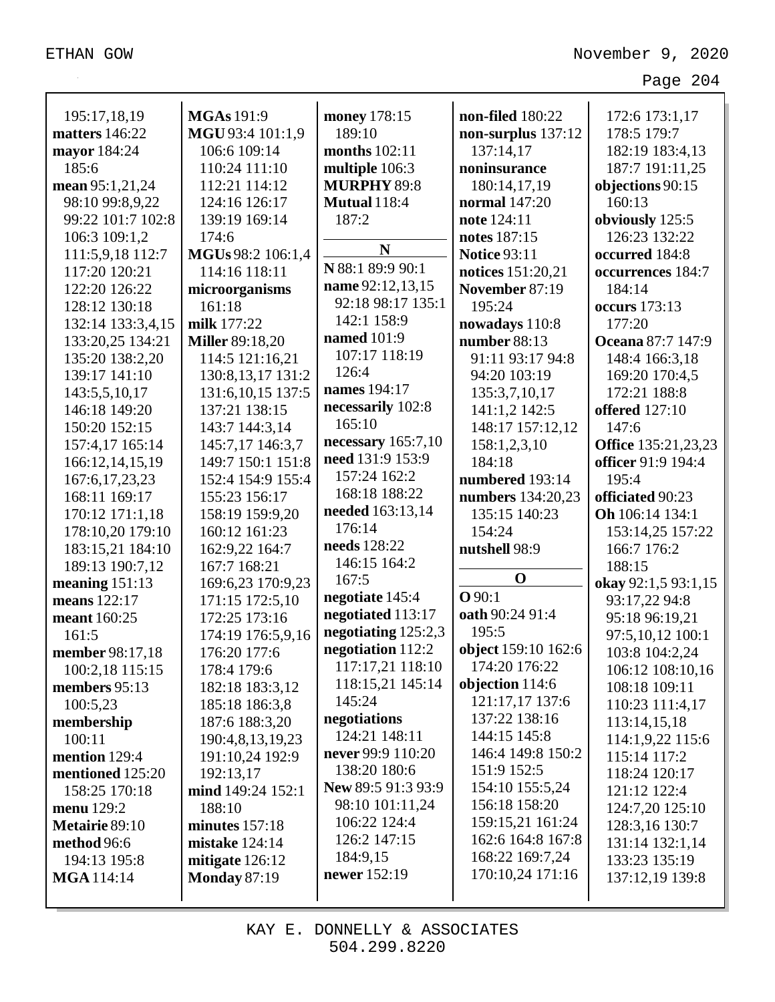| 195:17,18,19      | <b>MGAs</b> 191:9      | money 178:15         | non-filed 180:22    | 172:6 173:1,17             |
|-------------------|------------------------|----------------------|---------------------|----------------------------|
| matters 146:22    | MGU 93:4 101:1,9       | 189:10               | non-surplus 137:12  | 178:5 179:7                |
| mayor 184:24      | 106:6 109:14           | months 102:11        | 137:14,17           | 182:19 183:4,13            |
| 185:6             | 110:24 111:10          | multiple 106:3       | noninsurance        | 187:7 191:11,25            |
| mean 95:1,21,24   | 112:21 114:12          | <b>MURPHY 89:8</b>   | 180:14,17,19        | objections 90:15           |
| 98:10 99:8,9,22   | 124:16 126:17          | <b>Mutual</b> 118:4  | normal 147:20       | 160:13                     |
| 99:22 101:7 102:8 | 139:19 169:14          | 187:2                | note 124:11         | obviously 125:5            |
| 106:3 109:1,2     | 174:6                  |                      | notes 187:15        | 126:23 132:22              |
| 111:5,9,18 112:7  | MGUs 98:2 106:1,4      | N                    | <b>Notice 93:11</b> | occurred 184:8             |
| 117:20 120:21     | 114:16 118:11          | N 88:1 89:9 90:1     | notices 151:20,21   | occurrences 184:7          |
| 122:20 126:22     | microorganisms         | name 92:12,13,15     | November 87:19      | 184:14                     |
| 128:12 130:18     | 161:18                 | 92:18 98:17 135:1    | 195:24              | <b>occurs</b> 173:13       |
| 132:14 133:3,4,15 | milk 177:22            | 142:1 158:9          | nowadays 110:8      | 177:20                     |
| 133:20,25 134:21  | <b>Miller</b> 89:18,20 | <b>named</b> 101:9   | number 88:13        | Oceana 87:7 147:9          |
| 135:20 138:2,20   | 114:5 121:16,21        | 107:17 118:19        | 91:11 93:17 94:8    | 148:4 166:3,18             |
| 139:17 141:10     | 130:8, 13, 17 131:2    | 126:4                | 94:20 103:19        | 169:20 170:4,5             |
| 143:5,5,10,17     | 131:6, 10, 15 137:5    | names 194:17         | 135:3,7,10,17       | 172:21 188:8               |
| 146:18 149:20     | 137:21 138:15          | necessarily 102:8    | 141:1,2 142:5       | <b>offered</b> 127:10      |
| 150:20 152:15     | 143:7 144:3,14         | 165:10               | 148:17 157:12,12    | 147:6                      |
| 157:4,17 165:14   | 145:7,17 146:3,7       | necessary $165:7,10$ | 158:1,2,3,10        | <b>Office</b> 135:21,23,23 |
| 166:12,14,15,19   | 149:7 150:1 151:8      | need 131:9 153:9     | 184:18              | officer 91:9 194:4         |
| 167:6, 17, 23, 23 | 152:4 154:9 155:4      | 157:24 162:2         | numbered 193:14     | 195:4                      |
| 168:11 169:17     | 155:23 156:17          | 168:18 188:22        | numbers 134:20,23   | officiated 90:23           |
| 170:12 171:1,18   | 158:19 159:9,20        | needed 163:13,14     | 135:15 140:23       | Oh 106:14 134:1            |
| 178:10,20 179:10  | 160:12 161:23          | 176:14               | 154:24              | 153:14,25 157:22           |
| 183:15,21 184:10  | 162:9,22 164:7         | needs 128:22         | nutshell 98:9       | 166:7 176:2                |
| 189:13 190:7,12   | 167:7 168:21           | 146:15 164:2         |                     | 188:15                     |
| meaning $151:13$  | 169:6,23 170:9,23      | 167:5                | $\mathbf 0$         | okay 92:1,5 93:1,15        |
| means 122:17      | 171:15 172:5,10        | negotiate 145:4      | Q90:1               | 93:17,22 94:8              |
| meant 160:25      | 172:25 173:16          | negotiated 113:17    | oath 90:24 91:4     | 95:18 96:19,21             |
| 161:5             | 174:19 176:5,9,16      | negotiating 125:2,3  | 195:5               | 97:5,10,12 100:1           |
| member 98:17,18   | 176:20 177:6           | negotiation 112:2    | object 159:10 162:6 | 103:8 104:2,24             |
| 100:2,18 115:15   | 178:4 179:6            | 117:17,21 118:10     | 174:20 176:22       | 106:12 108:10,16           |
| members 95:13     | 182:18 183:3,12        | 118:15,21 145:14     | objection 114:6     | 108:18 109:11              |
| 100:5,23          | 185:18 186:3,8         | 145:24               | 121:17,17 137:6     | 110:23 111:4,17            |
| membership        | 187:6 188:3,20         | negotiations         | 137:22 138:16       | 113:14,15,18               |
| 100:11            | 190:4,8,13,19,23       | 124:21 148:11        | 144:15 145:8        | 114:1,9,22 115:6           |
| mention 129:4     | 191:10,24 192:9        | never 99:9 110:20    | 146:4 149:8 150:2   | 115:14 117:2               |
| mentioned 125:20  | 192:13,17              | 138:20 180:6         | 151:9 152:5         | 118:24 120:17              |
| 158:25 170:18     | mind 149:24 152:1      | New 89:5 91:3 93:9   | 154:10 155:5,24     | 121:12 122:4               |
| menu 129:2        | 188:10                 | 98:10 101:11,24      | 156:18 158:20       | 124:7,20 125:10            |
| Metairie 89:10    | minutes $157:18$       | 106:22 124:4         | 159:15,21 161:24    | 128:3,16 130:7             |
| method 96:6       | <b>mistake</b> 124:14  | 126:2 147:15         | 162:6 164:8 167:8   | 131:14 132:1,14            |
| 194:13 195:8      | mitigate 126:12        | 184:9,15             | 168:22 169:7,24     | 133:23 135:19              |
| <b>MGA</b> 114:14 | <b>Monday 87:19</b>    | newer 152:19         | 170:10,24 171:16    | 137:12,19 139:8            |
|                   |                        |                      |                     |                            |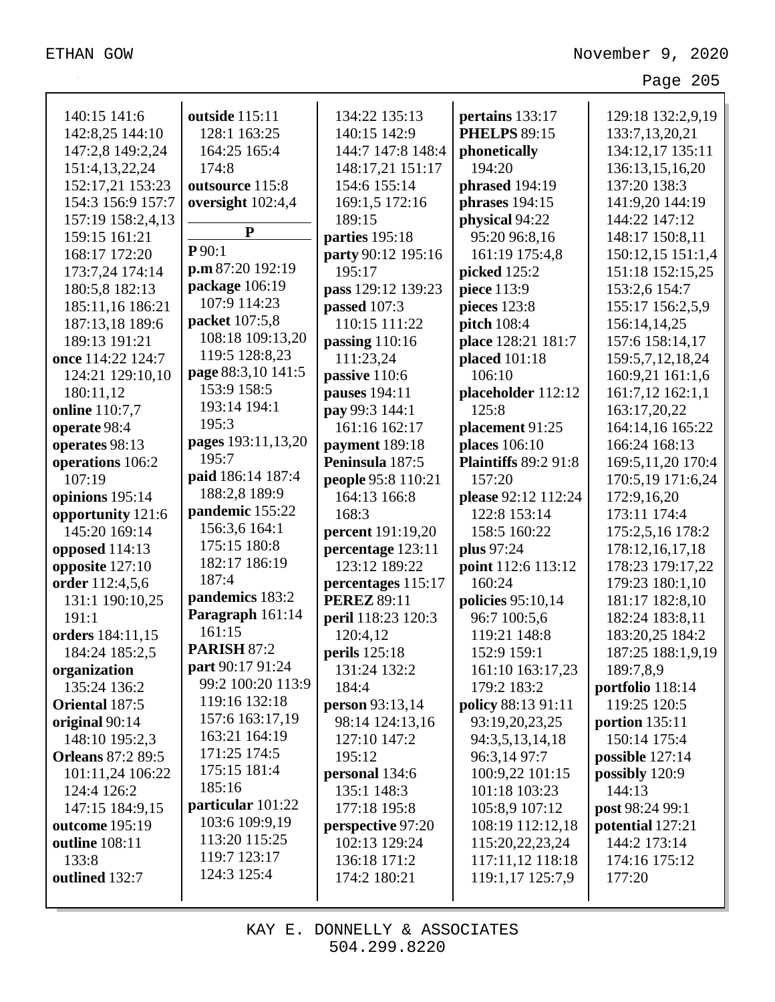| 140:15 141:6             | outside 115:11                        | 134:22 135:13             | pertains 133:17             | 129:18 132:2,9,19    |
|--------------------------|---------------------------------------|---------------------------|-----------------------------|----------------------|
| 142:8,25 144:10          | 128:1 163:25                          | 140:15 142:9              | <b>PHELPS 89:15</b>         | 133:7,13,20,21       |
| 147:2,8 149:2,24         | 164:25 165:4                          | 144:7 147:8 148:4         | phonetically                | 134:12,17 135:11     |
| 151:4,13,22,24           | 174:8                                 | 148:17,21 151:17          | 194:20                      | 136:13,15,16,20      |
| 152:17,21 153:23         | outsource 115:8                       | 154:6 155:14              | phrased 194:19              | 137:20 138:3         |
| 154:3 156:9 157:7        | oversight 102:4,4                     | 169:1,5 172:16            | phrases $194:15$            | 141:9,20 144:19      |
| 157:19 158:2,4,13        | ${\bf P}$                             | 189:15                    | physical 94:22              | 144:22 147:12        |
| 159:15 161:21            | P90:1                                 | parties 195:18            | 95:20 96:8,16               | 148:17 150:8,11      |
| 168:17 172:20            | p.m 87:20 192:19                      | party 90:12 195:16        | 161:19 175:4,8              | 150:12,15 151:1,4    |
| 173:7,24 174:14          | package 106:19                        | 195:17                    | picked 125:2                | 151:18 152:15,25     |
| 180:5,8 182:13           | 107:9 114:23                          | pass 129:12 139:23        | piece 113:9                 | 153:2,6 154:7        |
| 185:11,16 186:21         |                                       | passed 107:3              | pieces 123:8                | 155:17 156:2,5,9     |
| 187:13,18 189:6          | packet 107:5,8                        | 110:15 111:22             | pitch 108:4                 | 156:14,14,25         |
| 189:13 191:21            | 108:18 109:13,20                      | passing $110:16$          | place 128:21 181:7          | 157:6 158:14,17      |
| once 114:22 124:7        | 119:5 128:8,23                        | 111:23,24                 | placed 101:18               | 159:5,7,12,18,24     |
| 124:21 129:10,10         | page 88:3,10 141:5                    | passive 110:6             | 106:10                      | 160:9,21 161:1,6     |
| 180:11,12                | 153:9 158:5                           | pauses 194:11             | placeholder 112:12          | 161:7,12 162:1,1     |
| online 110:7,7           | 193:14 194:1                          | pay 99:3 144:1            | 125:8                       | 163:17,20,22         |
| operate 98:4             | 195:3                                 | 161:16 162:17             | placement 91:25             | 164:14,16 165:22     |
| operates 98:13           | pages 193:11,13,20                    | payment 189:18            | places 106:10               | 166:24 168:13        |
| operations 106:2         | 195:7                                 | Peninsula 187:5           | <b>Plaintiffs 89:2 91:8</b> | 169:5, 11, 20 170: 4 |
| 107:19                   | paid 186:14 187:4                     | <b>people 95:8 110:21</b> | 157:20                      | 170:5,19 171:6,24    |
| opinions 195:14          | 188:2,8 189:9                         | 164:13 166:8              | please 92:12 112:24         | 172:9,16,20          |
| opportunity 121:6        | pandemic 155:22                       | 168:3                     | 122:8 153:14                | 173:11 174:4         |
| 145:20 169:14            | 156:3,6 164:1                         | <b>percent</b> 191:19,20  | 158:5 160:22                | 175:2,5,16 178:2     |
| opposed 114:13           | 175:15 180:8                          | percentage 123:11         | plus 97:24                  | 178:12,16,17,18      |
| opposite 127:10          | 182:17 186:19                         | 123:12 189:22             | point 112:6 113:12          | 178:23 179:17,22     |
| order 112:4,5,6          | 187:4                                 | percentages 115:17        | 160:24                      | 179:23 180:1,10      |
| 131:1 190:10,25          | pandemics 183:2                       | <b>PEREZ 89:11</b>        | policies 95:10,14           | 181:17 182:8,10      |
| 191:1                    | Paragraph 161:14                      | peril 118:23 120:3        | 96:7 100:5,6                | 182:24 183:8,11      |
| orders 184:11,15         | 161:15                                | 120:4,12                  | 119:21 148:8                | 183:20,25 184:2      |
| 184:24 185:2,5           | <b>PARISH 87:2</b>                    | perils 125:18             | 152:9 159:1                 | 187:25 188:1,9,19    |
| organization             | part 90:17 91:24<br>99:2 100:20 113:9 | 131:24 132:2              | 161:10 163:17,23            | 189:7,8,9            |
| 135:24 136:2             |                                       | 184:4                     | 179:2 183:2                 | portfolio 118:14     |
| Oriental 187:5           | 119:16 132:18                         | person 93:13,14           | policy 88:13 91:11          | 119:25 120:5         |
| original 90:14           | 157:6 163:17,19                       | 98:14 124:13,16           | 93:19,20,23,25              | portion $135:11$     |
| 148:10 195:2,3           | 163:21 164:19                         | 127:10 147:2              | 94:3,5,13,14,18             | 150:14 175:4         |
| <b>Orleans 87:2 89:5</b> | 171:25 174:5                          | 195:12                    | 96:3,14 97:7                | possible 127:14      |
| 101:11,24 106:22         | 175:15 181:4<br>185:16                | personal 134:6            | 100:9,22 101:15             | possibly 120:9       |
| 124:4 126:2              |                                       | 135:1 148:3               | 101:18 103:23               | 144:13               |
| 147:15 184:9,15          | particular 101:22<br>103:6 109:9,19   | 177:18 195:8              | 105:8,9 107:12              | post 98:24 99:1      |
| outcome 195:19           | 113:20 115:25                         | perspective 97:20         | 108:19 112:12,18            | potential 127:21     |
| outline 108:11           | 119:7 123:17                          | 102:13 129:24             | 115:20,22,23,24             | 144:2 173:14         |
| 133:8                    | 124:3 125:4                           | 136:18 171:2              | 117:11,12 118:18            | 174:16 175:12        |
| outlined 132:7           |                                       | 174:2 180:21              | 119:1,17 125:7,9            | 177:20               |
|                          |                                       |                           |                             |                      |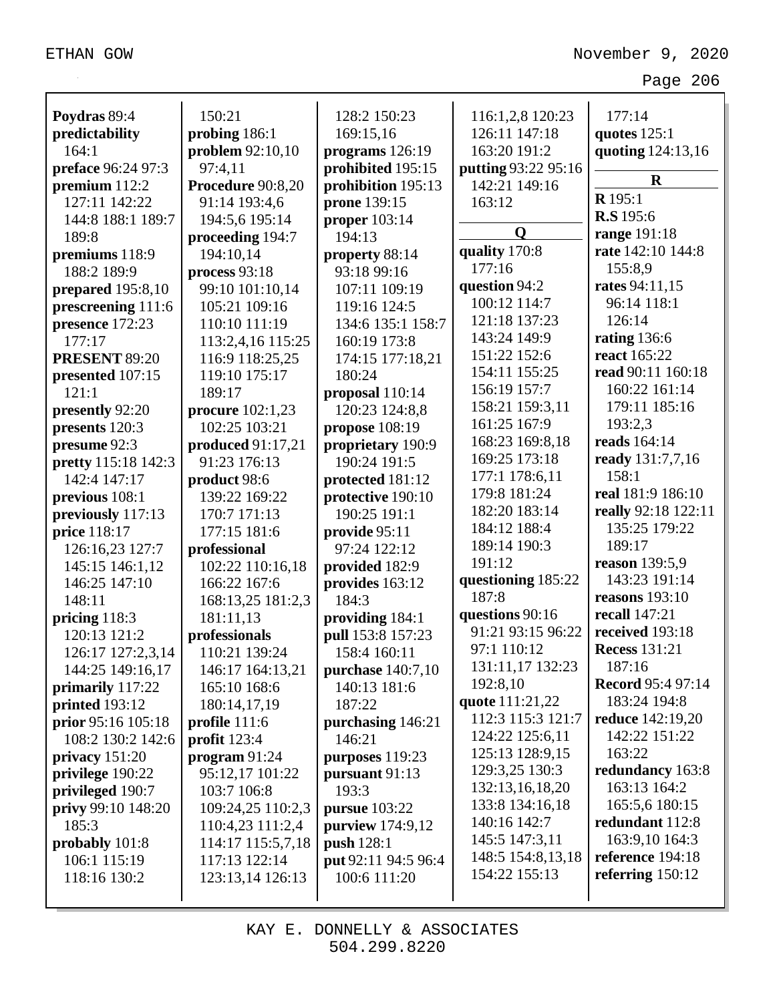| Poydras 89:4               | 150:21             | 128:2 150:23         | 116:1,2,8 120:23    | 177:14                   |
|----------------------------|--------------------|----------------------|---------------------|--------------------------|
| predictability             | probing 186:1      | 169:15,16            | 126:11 147:18       | quotes $125:1$           |
| 164:1                      | problem 92:10,10   | programs 126:19      | 163:20 191:2        | quoting 124:13,16        |
| preface 96:24 97:3         | 97:4,11            | prohibited 195:15    | putting 93:22 95:16 |                          |
| premium $112:2$            | Procedure 90:8,20  | prohibition 195:13   | 142:21 149:16       | $\mathbf R$              |
| 127:11 142:22              | 91:14 193:4,6      | prone 139:15         | 163:12              | R 195:1                  |
| 144:8 188:1 189:7          | 194:5,6 195:14     | <b>proper</b> 103:14 |                     | <b>R.S</b> 195:6         |
| 189:8                      | proceeding 194:7   | 194:13               | $\mathbf 0$         | range 191:18             |
| premiums 118:9             | 194:10,14          | property 88:14       | quality 170:8       | rate 142:10 144:8        |
| 188:2 189:9                | process 93:18      | 93:18 99:16          | 177:16              | 155:8,9                  |
| prepared 195:8,10          | 99:10 101:10,14    | 107:11 109:19        | question 94:2       | rates 94:11,15           |
| prescreening 111:6         | 105:21 109:16      | 119:16 124:5         | 100:12 114:7        | 96:14 118:1              |
| presence 172:23            | 110:10 111:19      | 134:6 135:1 158:7    | 121:18 137:23       | 126:14                   |
| 177:17                     | 113:2,4,16 115:25  | 160:19 173:8         | 143:24 149:9        | rating $136:6$           |
| <b>PRESENT 89:20</b>       | 116:9 118:25,25    | 174:15 177:18,21     | 151:22 152:6        | <b>react</b> 165:22      |
| presented 107:15           | 119:10 175:17      | 180:24               | 154:11 155:25       | read 90:11 160:18        |
| 121:1                      | 189:17             | proposal 110:14      | 156:19 157:7        | 160:22 161:14            |
| presently 92:20            | procure $102:1,23$ | 120:23 124:8,8       | 158:21 159:3,11     | 179:11 185:16            |
| presents 120:3             | 102:25 103:21      | propose $108:19$     | 161:25 167:9        | 193:2,3                  |
| presume 92:3               | produced 91:17,21  | proprietary 190:9    | 168:23 169:8,18     | reads 164:14             |
| <b>pretty</b> 115:18 142:3 | 91:23 176:13       | 190:24 191:5         | 169:25 173:18       | ready 131:7,7,16         |
| 142:4 147:17               | product 98:6       | protected 181:12     | 177:1 178:6,11      | 158:1                    |
| previous 108:1             | 139:22 169:22      | protective 190:10    | 179:8 181:24        | real 181:9 186:10        |
| previously 117:13          | 170:7 171:13       | 190:25 191:1         | 182:20 183:14       | really 92:18 122:11      |
| price 118:17               | 177:15 181:6       | provide 95:11        | 184:12 188:4        | 135:25 179:22            |
| 126:16,23 127:7            | professional       | 97:24 122:12         | 189:14 190:3        | 189:17                   |
| 145:15 146:1,12            | 102:22 110:16,18   | provided 182:9       | 191:12              | reason 139:5,9           |
| 146:25 147:10              | 166:22 167:6       | provides 163:12      | questioning 185:22  | 143:23 191:14            |
| 148:11                     | 168:13,25 181:2,3  | 184:3                | 187:8               | reasons $193:10$         |
| pricing $118:3$            | 181:11,13          | providing 184:1      | questions 90:16     | recall 147:21            |
| 120:13 121:2               | professionals      | pull 153:8 157:23    | 91:21 93:15 96:22   | received 193:18          |
| 126:17 127:2,3,14          | 110:21 139:24      | 158:4 160:11         | 97:1 110:12         | <b>Recess 131:21</b>     |
| 144:25 149:16,17           | 146:17 164:13,21   | purchase 140:7,10    | 131:11,17 132:23    | 187:16                   |
| primarily 117:22           | 165:10 168:6       | 140:13 181:6         | 192:8,10            | <b>Record 95:4 97:14</b> |
| printed 193:12             | 180:14,17,19       | 187:22               | quote 111:21,22     | 183:24 194:8             |
| prior 95:16 105:18         | profile $111:6$    | purchasing 146:21    | 112:3 115:3 121:7   | <b>reduce</b> 142:19,20  |
| 108:2 130:2 142:6          | profit $123:4$     | 146:21               | 124:22 125:6,11     | 142:22 151:22            |
| privacy $151:20$           | program $91:24$    | purposes 119:23      | 125:13 128:9,15     | 163:22                   |
| privilege 190:22           | 95:12,17 101:22    | pursuant 91:13       | 129:3,25 130:3      | redundancy 163:8         |
| privileged 190:7           | 103:7 106:8        | 193:3                | 132:13,16,18,20     | 163:13 164:2             |
| privy 99:10 148:20         | 109:24,25 110:2,3  | <b>pursue</b> 103:22 | 133:8 134:16,18     | 165:5,6 180:15           |
| 185:3                      | 110:4,23 111:2,4   | purview 174:9,12     | 140:16 142:7        | redundant 112:8          |
| probably 101:8             | 114:17 115:5,7,18  | push 128:1           | 145:5 147:3,11      | 163:9,10 164:3           |
| 106:1 115:19               | 117:13 122:14      | put 92:11 94:5 96:4  | 148:5 154:8,13,18   | reference 194:18         |
| 118:16 130:2               | 123:13,14 126:13   | 100:6 111:20         | 154:22 155:13       | referring $150:12$       |
|                            |                    |                      |                     |                          |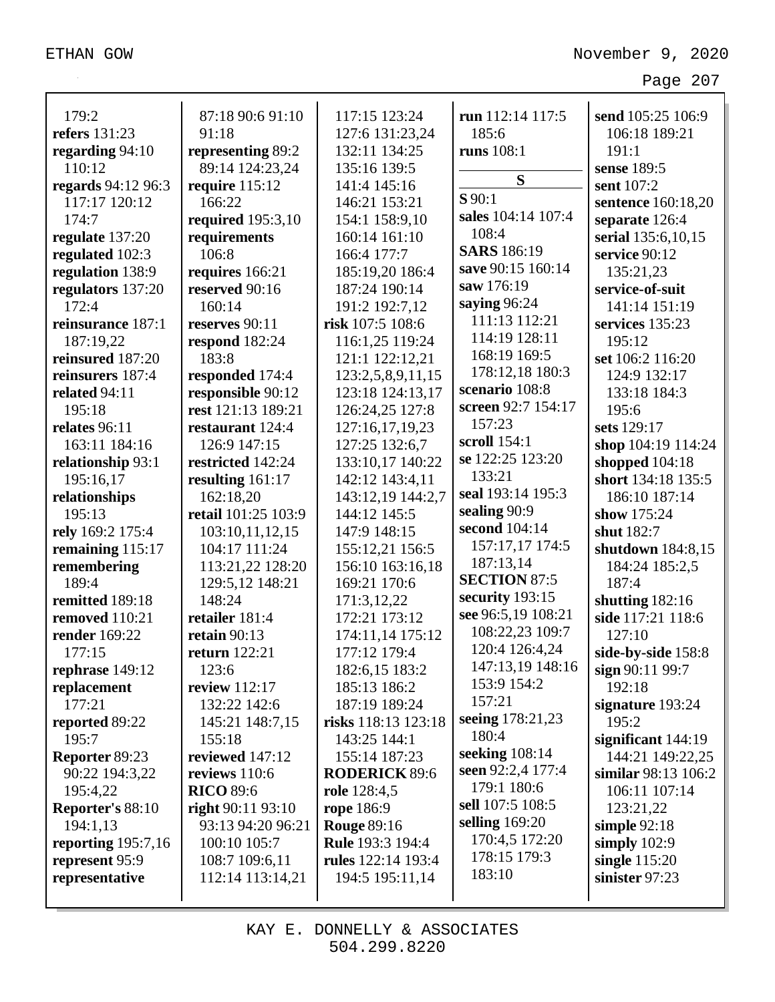| 179:2                      | 87:18 90:6 91:10                 | 117:15 123:24                     | run 112:14 117:5                      | send 105:25 106:9                    |
|----------------------------|----------------------------------|-----------------------------------|---------------------------------------|--------------------------------------|
| refers 131:23              | 91:18                            |                                   | 185:6                                 | 106:18 189:21                        |
| regarding 94:10            | representing 89:2                | 127:6 131:23,24<br>132:11 134:25  | runs 108:1                            | 191:1                                |
| 110:12                     | 89:14 124:23,24                  | 135:16 139:5                      |                                       | sense 189:5                          |
| regards 94:12 96:3         | require 115:12                   | 141:4 145:16                      | S                                     | sent 107:2                           |
| 117:17 120:12              | 166:22                           | 146:21 153:21                     | $S$ 90:1                              | sentence 160:18,20                   |
| 174:7                      | required 195:3,10                | 154:1 158:9,10                    | sales 104:14 107:4                    | separate 126:4                       |
| regulate 137:20            | requirements                     | 160:14 161:10                     | 108:4                                 | serial 135:6,10,15                   |
| regulated 102:3            | 106:8                            | 166:4 177:7                       | <b>SARS</b> 186:19                    | service 90:12                        |
| regulation 138:9           | requires 166:21                  | 185:19,20 186:4                   | save 90:15 160:14                     | 135:21,23                            |
| regulators 137:20          | reserved 90:16                   | 187:24 190:14                     | saw 176:19                            | service-of-suit                      |
| 172:4                      | 160:14                           | 191:2 192:7,12                    | saying 96:24                          | 141:14 151:19                        |
| reinsurance 187:1          | reserves 90:11                   | risk 107:5 108:6                  | 111:13 112:21                         | services 135:23                      |
| 187:19,22                  | respond 182:24                   | 116:1,25 119:24                   | 114:19 128:11                         | 195:12                               |
| reinsured 187:20           | 183:8                            | 121:1 122:12,21                   | 168:19 169:5                          | set 106:2 116:20                     |
| reinsurers 187:4           | responded 174:4                  | 123:2,5,8,9,11,15                 | 178:12,18 180:3                       | 124:9 132:17                         |
| related 94:11              | responsible 90:12                | 123:18 124:13,17                  | scenario 108:8                        | 133:18 184:3                         |
| 195:18                     | rest 121:13 189:21               | 126:24,25 127:8                   | screen 92:7 154:17                    | 195:6                                |
| relates 96:11              | restaurant 124:4                 | 127:16,17,19,23                   | 157:23                                | sets 129:17                          |
| 163:11 184:16              | 126:9 147:15                     | 127:25 132:6,7                    | scroll 154:1                          | shop 104:19 114:24                   |
| relationship 93:1          | restricted 142:24                | 133:10,17 140:22                  | se 122:25 123:20                      | shopped 104:18                       |
| 195:16,17                  | resulting $161:17$               | 142:12 143:4,11                   | 133:21                                | short 134:18 135:5                   |
| relationships              | 162:18,20                        | 143:12,19 144:2,7                 | seal 193:14 195:3                     | 186:10 187:14                        |
| 195:13                     | retail 101:25 103:9              | 144:12 145:5                      | sealing 90:9                          | show 175:24                          |
| rely 169:2 175:4           | 103:10,11,12,15                  | 147:9 148:15                      | second 104:14                         | shut 182:7                           |
| remaining 115:17           | 104:17 111:24                    | 155:12,21 156:5                   | 157:17,17 174:5                       | shutdown 184:8,15                    |
| remembering                | 113:21,22 128:20                 | 156:10 163:16,18                  | 187:13,14                             | 184:24 185:2,5                       |
| 189:4                      | 129:5,12 148:21                  | 169:21 170:6                      | <b>SECTION 87:5</b>                   | 187:4                                |
| remitted 189:18            | 148:24                           | 171:3,12,22                       | security 193:15                       | shutting $182:16$                    |
| removed 110:21             | retailer 181:4                   | 172:21 173:12                     | see 96:5,19 108:21<br>108:22,23 109:7 | side 117:21 118:6                    |
| render 169:22              | retain $90:13$                   | 174:11,14 175:12                  | 120:4 126:4,24                        | 127:10                               |
| 177:15                     | <b>return</b> 122:21             | 177:12 179:4                      | 147:13,19 148:16                      | side-by-side 158:8                   |
| rephrase 149:12            | 123:6                            | 182:6,15 183:2                    | 153:9 154:2                           | sign 90:11 99:7                      |
| replacement                | <b>review</b> 112:17             | 185:13 186:2                      | 157:21                                | 192:18                               |
| 177:21                     | 132:22 142:6                     | 187:19 189:24                     | seeing 178:21,23                      | signature 193:24                     |
| reported 89:22             | 145:21 148:7,15                  | risks 118:13 123:18               | 180:4                                 | 195:2                                |
| 195:7                      | 155:18                           | 143:25 144:1                      | seeking $108:14$                      | significant $144:19$                 |
| Reporter 89:23             | reviewed 147:12<br>reviews 110:6 | 155:14 187:23                     | seen 92:2,4 177:4                     | 144:21 149:22,25                     |
| 90:22 194:3,22<br>195:4,22 | <b>RICO</b> 89:6                 | <b>RODERICK 89:6</b>              | 179:1 180:6                           | similar 98:13 106:2<br>106:11 107:14 |
| Reporter's 88:10           | right $90:11$ $93:10$            | <b>role</b> 128:4,5<br>rope 186:9 | sell 107:5 108:5                      | 123:21,22                            |
| 194:1,13                   | 93:13 94:20 96:21                | <b>Rouge 89:16</b>                | selling $169:20$                      | simple $92:18$                       |
| reporting $195:7,16$       | 100:10 105:7                     | <b>Rule</b> 193:3 194:4           | 170:4,5 172:20                        | simply $102:9$                       |
| represent 95:9             | 108:7 109:6,11                   | rules 122:14 193:4                | 178:15 179:3                          | single $115:20$                      |
| representative             | 112:14 113:14,21                 | 194:5 195:11,14                   | 183:10                                | sinister 97:23                       |
|                            |                                  |                                   |                                       |                                      |
|                            |                                  |                                   |                                       |                                      |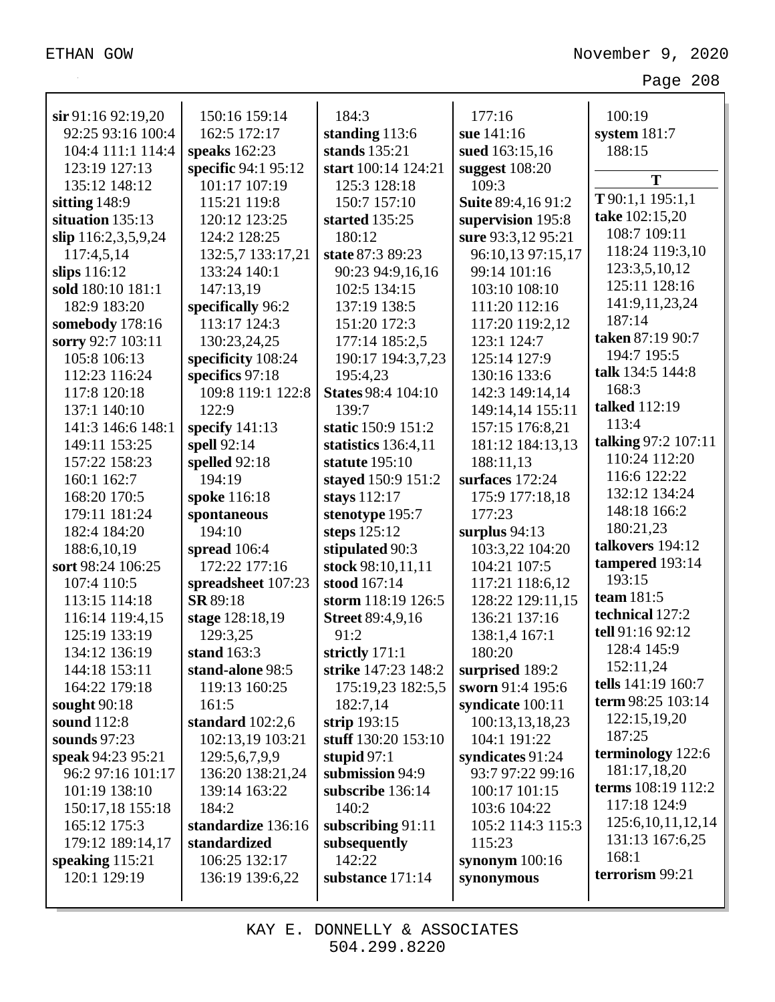| $\sin 91:1692:19,20$ | 150:16 159:14       | 184:3                     | 177:16             | 100:19                |
|----------------------|---------------------|---------------------------|--------------------|-----------------------|
| 92:25 93:16 100:4    | 162:5 172:17        | standing 113:6            | sue 141:16         | system $181:7$        |
| 104:4 111:1 114:4    | speaks $162:23$     | stands 135:21             | sued 163:15,16     | 188:15                |
| 123:19 127:13        | specific 94:1 95:12 | start 100:14 124:21       | suggest $108:20$   | T                     |
| 135:12 148:12        | 101:17 107:19       | 125:3 128:18              | 109:3              |                       |
| sitting 148:9        | 115:21 119:8        | 150:7 157:10              | Suite 89:4,16 91:2 | T90:1,1195:1,1        |
| situation 135:13     | 120:12 123:25       | started 135:25            | supervision 195:8  | take 102:15,20        |
| slip 116:2,3,5,9,24  | 124:2 128:25        | 180:12                    | sure 93:3,12 95:21 | 108:7 109:11          |
| 117:4,5,14           | 132:5,7 133:17,21   | state 87:3 89:23          | 96:10,13 97:15,17  | 118:24 119:3,10       |
| slips $116:12$       | 133:24 140:1        | 90:23 94:9,16,16          | 99:14 101:16       | 123:3,5,10,12         |
| sold 180:10 181:1    | 147:13,19           | 102:5 134:15              | 103:10 108:10      | 125:11 128:16         |
| 182:9 183:20         | specifically 96:2   | 137:19 138:5              | 111:20 112:16      | 141:9,11,23,24        |
| somebody 178:16      | 113:17 124:3        | 151:20 172:3              | 117:20 119:2,12    | 187:14                |
| sorry 92:7 103:11    | 130:23,24,25        | 177:14 185:2,5            | 123:1 124:7        | taken 87:19 90:7      |
| 105:8 106:13         | specificity 108:24  | 190:17 194:3,7,23         | 125:14 127:9       | 194:7 195:5           |
| 112:23 116:24        | specifics 97:18     | 195:4,23                  | 130:16 133:6       | talk 134:5 144:8      |
| 117:8 120:18         | 109:8 119:1 122:8   | <b>States 98:4 104:10</b> | 142:3 149:14,14    | 168:3                 |
| 137:1 140:10         | 122:9               | 139:7                     | 149:14,14 155:11   | talked 112:19         |
| 141:3 146:6 148:1    | specify $141:13$    | static 150:9 151:2        | 157:15 176:8,21    | 113:4                 |
| 149:11 153:25        | spell 92:14         | statistics 136:4,11       | 181:12 184:13,13   | talking 97:2 107:11   |
| 157:22 158:23        | spelled 92:18       | statute 195:10            | 188:11,13          | 110:24 112:20         |
| 160:1 162:7          | 194:19              | stayed 150:9 151:2        | surfaces 172:24    | 116:6 122:22          |
| 168:20 170:5         | spoke 116:18        | stays 112:17              | 175:9 177:18,18    | 132:12 134:24         |
| 179:11 181:24        | spontaneous         | stenotype 195:7           | 177:23             | 148:18 166:2          |
| 182:4 184:20         | 194:10              | steps 125:12              | surplus $94:13$    | 180:21,23             |
| 188:6,10,19          | spread $106:4$      | stipulated 90:3           | 103:3,22 104:20    | talkovers 194:12      |
| sort 98:24 106:25    | 172:22 177:16       | stock 98:10,11,11         | 104:21 107:5       | tampered 193:14       |
| 107:4 110:5          | spreadsheet 107:23  | stood 167:14              | 117:21 118:6,12    | 193:15                |
| 113:15 114:18        | SR 89:18            | storm 118:19 126:5        | 128:22 129:11,15   | team 181:5            |
| 116:14 119:4,15      | stage 128:18,19     | <b>Street 89:4,9,16</b>   | 136:21 137:16      | technical 127:2       |
| 125:19 133:19        | 129:3,25            | 91:2                      | 138:1,4 167:1      | tell 91:16 92:12      |
| 134:12 136:19        | stand 163:3         | strictly 171:1            | 180:20             | 128:4 145:9           |
| 144:18 153:11        | stand-alone 98:5    | strike 147:23 148:2       | surprised 189:2    | 152:11,24             |
| 164:22 179:18        | 119:13 160:25       | 175:19,23 182:5,5         | sworn 91:4 195:6   | tells 141:19 160:7    |
| sought $90:18$       | 161:5               | 182:7,14                  | syndicate 100:11   | term 98:25 103:14     |
| sound 112:8          | standard $102:2,6$  | strip $193:15$            | 100:13,13,18,23    | 122:15,19,20          |
| sounds $97:23$       | 102:13,19 103:21    | stuff 130:20 153:10       | 104:1 191:22       | 187:25                |
| speak 94:23 95:21    | 129:5,6,7,9,9       | stupid $97:1$             | syndicates 91:24   | terminology 122:6     |
| 96:2 97:16 101:17    | 136:20 138:21,24    | submission 94:9           | 93:7 97:22 99:16   | 181:17,18,20          |
| 101:19 138:10        | 139:14 163:22       | subscribe 136:14          | 100:17 101:15      | terms 108:19 112:2    |
| 150:17,18 155:18     | 184:2               | 140:2                     | 103:6 104:22       | 117:18 124:9          |
| 165:12 175:3         | standardize 136:16  | subscribing $91:11$       | 105:2 114:3 115:3  | 125:6, 10, 11, 12, 14 |
| 179:12 189:14,17     | standardized        | subsequently              | 115:23             | 131:13 167:6,25       |
| speaking $115:21$    | 106:25 132:17       | 142:22                    | synonym $100:16$   | 168:1                 |
| 120:1 129:19         | 136:19 139:6,22     | substance 171:14          | synonymous         | terrorism 99:21       |
|                      |                     |                           |                    |                       |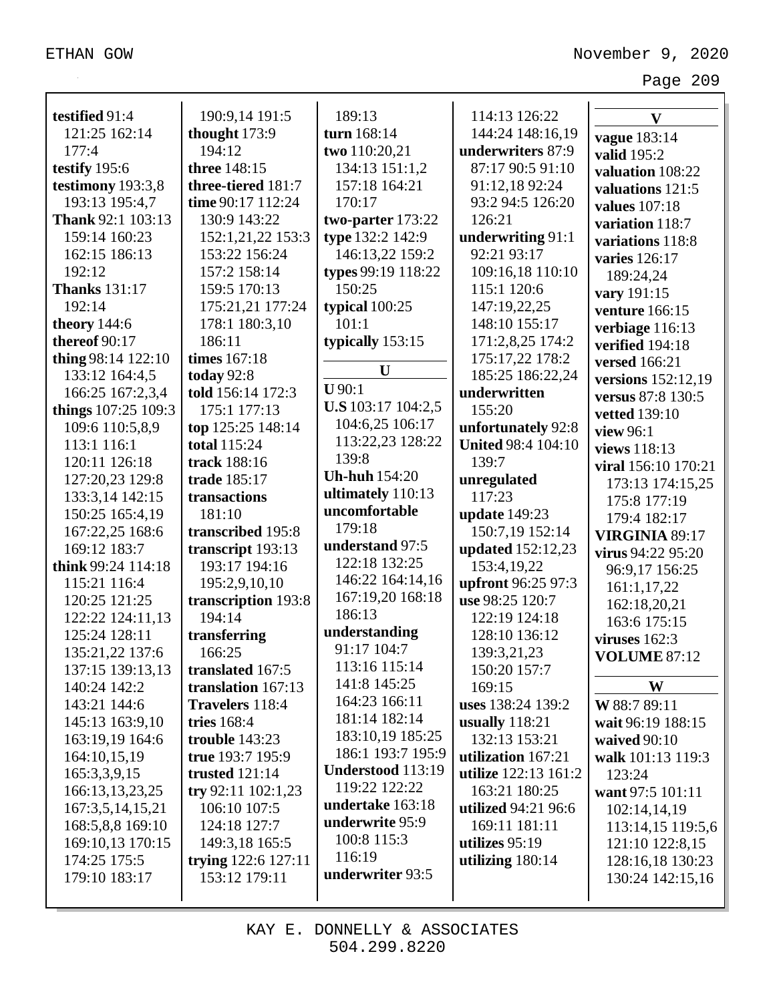| testified 91:4       | 190:9,14 191:5      | 189:13               | 114:13 126:22              | $\overline{\mathbf{V}}$ |
|----------------------|---------------------|----------------------|----------------------------|-------------------------|
| 121:25 162:14        | thought 173:9       | turn 168:14          | 144:24 148:16,19           | <b>vague</b> 183:14     |
| 177:4                | 194:12              | two 110:20,21        | underwriters 87:9          | valid 195:2             |
| testify 195:6        | three 148:15        | 134:13 151:1,2       | 87:17 90:5 91:10           | valuation 108:22        |
| testimony 193:3,8    | three-tiered 181:7  | 157:18 164:21        | 91:12,18 92:24             | valuations 121:5        |
| 193:13 195:4,7       | time 90:17 112:24   | 170:17               | 93:2 94:5 126:20           | <b>values</b> 107:18    |
| Thank 92:1 103:13    | 130:9 143:22        | two-parter 173:22    | 126:21                     | variation 118:7         |
| 159:14 160:23        | 152:1,21,22 153:3   | type 132:2 142:9     | underwriting 91:1          | variations 118:8        |
| 162:15 186:13        | 153:22 156:24       | 146:13,22 159:2      | 92:21 93:17                | varies 126:17           |
| 192:12               | 157:2 158:14        | types 99:19 118:22   | 109:16,18 110:10           | 189:24,24               |
| <b>Thanks</b> 131:17 | 159:5 170:13        | 150:25               | 115:1 120:6                | vary 191:15             |
| 192:14               | 175:21,21 177:24    | typical 100:25       | 147:19,22,25               | venture 166:15          |
| theory 144:6         | 178:1 180:3,10      | 101:1                | 148:10 155:17              | verbiage 116:13         |
| thereof 90:17        | 186:11              | typically 153:15     | 171:2,8,25 174:2           | verified 194:18         |
| thing 98:14 122:10   | times 167:18        |                      | 175:17,22 178:2            | <b>versed</b> 166:21    |
| 133:12 164:4,5       | today 92:8          | U                    | 185:25 186:22,24           | versions 152:12,19      |
| 166:25 167:2,3,4     | told 156:14 172:3   | $U$ 90:1             | underwritten               | versus 87:8 130:5       |
| things 107:25 109:3  | 175:1 177:13        | U.S 103:17 104:2,5   | 155:20                     | <b>vetted</b> 139:10    |
| 109:6 110:5,8,9      | top 125:25 148:14   | 104:6,25 106:17      | unfortunately 92:8         | view 96:1               |
| 113:1 116:1          | <b>total</b> 115:24 | 113:22,23 128:22     | <b>United 98:4 104:10</b>  | views 118:13            |
| 120:11 126:18        | track 188:16        | 139:8                | 139:7                      | viral 156:10 170:21     |
| 127:20,23 129:8      | trade 185:17        | <b>Uh-huh</b> 154:20 | unregulated                | 173:13 174:15,25        |
| 133:3,14 142:15      | transactions        | ultimately 110:13    | 117:23                     | 175:8 177:19            |
| 150:25 165:4,19      | 181:10              | uncomfortable        | update 149:23              | 179:4 182:17            |
| 167:22,25 168:6      | transcribed 195:8   | 179:18               | 150:7,19 152:14            | <b>VIRGINIA 89:17</b>   |
| 169:12 183:7         | transcript 193:13   | understand 97:5      | updated 152:12,23          | virus 94:22 95:20       |
| think 99:24 114:18   | 193:17 194:16       | 122:18 132:25        | 153:4,19,22                | 96:9,17 156:25          |
| 115:21 116:4         | 195:2,9,10,10       | 146:22 164:14,16     | upfront 96:25 97:3         | 161:1,17,22             |
| 120:25 121:25        | transcription 193:8 | 167:19,20 168:18     | use 98:25 120:7            | 162:18,20,21            |
| 122:22 124:11,13     | 194:14              | 186:13               | 122:19 124:18              | 163:6 175:15            |
| 125:24 128:11        | transferring        | understanding        | 128:10 136:12              | viruses 162:3           |
| 135:21,22 137:6      | 166:25              | 91:17 104:7          | 139:3,21,23                | <b>VOLUME 87:12</b>     |
| 137:15 139:13,13     | translated 167:5    | 113:16 115:14        | 150:20 157:7               |                         |
| 140:24 142:2         | translation 167:13  | 141:8 145:25         | 169:15                     | W                       |
| 143:21 144:6         | Travelers 118:4     | 164:23 166:11        | uses 138:24 139:2          | W 88:7 89:11            |
| 145:13 163:9,10      | tries 168:4         | 181:14 182:14        | usually 118:21             | wait 96:19 188:15       |
| 163:19,19 164:6      | trouble $143:23$    | 183:10,19 185:25     | 132:13 153:21              | waived 90:10            |
| 164:10,15,19         | true 193:7 195:9    | 186:1 193:7 195:9    | utilization 167:21         | walk 101:13 119:3       |
| 165:3,3,9,15         | trusted $121:14$    | Understood 113:19    | utilize 122:13 161:2       | 123:24                  |
| 166:13,13,23,25      | try 92:11 102:1,23  | 119:22 122:22        | 163:21 180:25              | want 97:5 101:11        |
| 167:3,5,14,15,21     | 106:10 107:5        | undertake 163:18     | <b>utilized</b> 94:21 96:6 | 102:14,14,19            |
| 168:5,8,8 169:10     | 124:18 127:7        | underwrite 95:9      | 169:11 181:11              | 113:14,15 119:5,6       |
| 169:10,13 170:15     | 149:3,18 165:5      | 100:8 115:3          | utilizes $95:19$           | 121:10 122:8,15         |
| 174:25 175:5         | trying 122:6 127:11 | 116:19               | utilizing 180:14           | 128:16,18 130:23        |
| 179:10 183:17        | 153:12 179:11       | underwriter 93:5     |                            | 130:24 142:15,16        |
|                      |                     |                      |                            |                         |